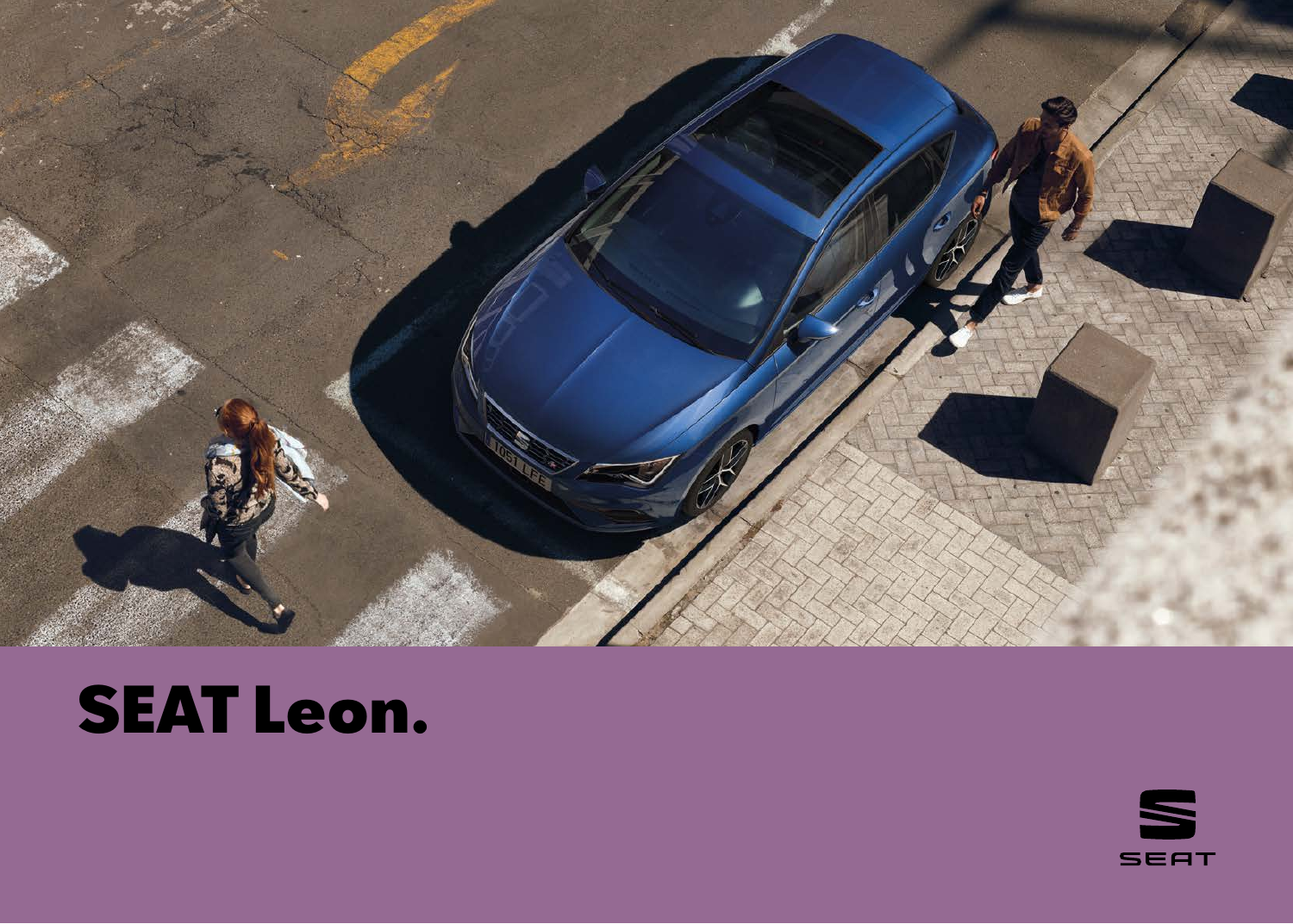

## SEAT Leon.

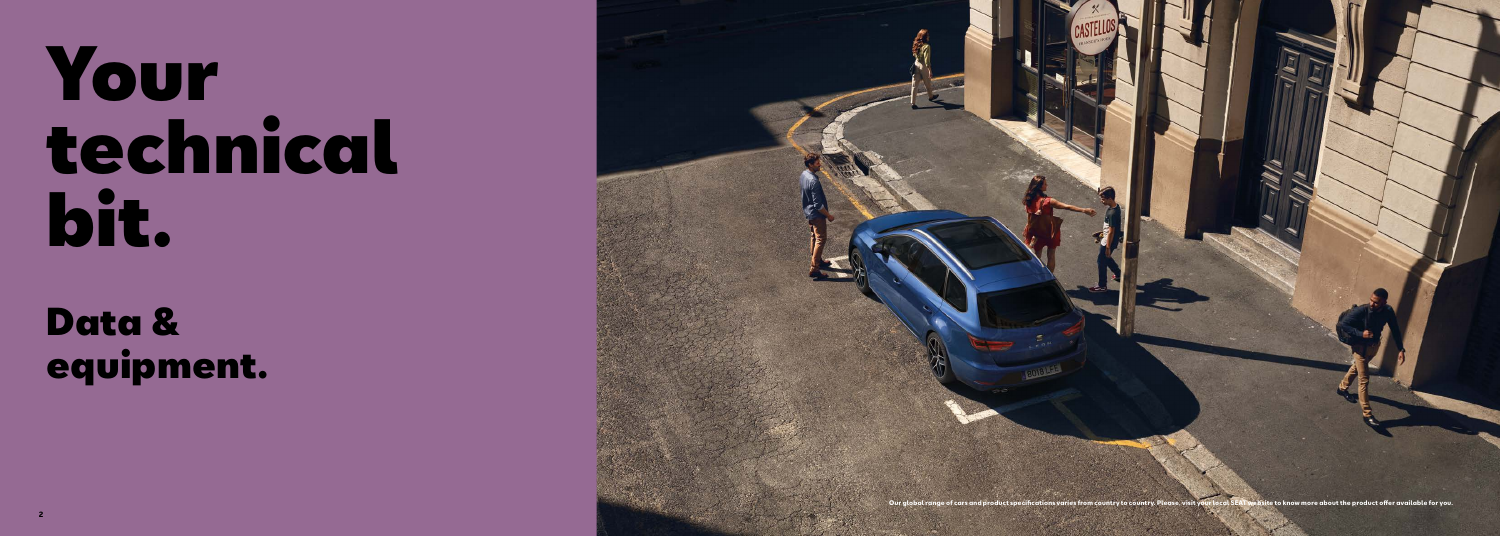# Your technical bit.

Data & equipment.

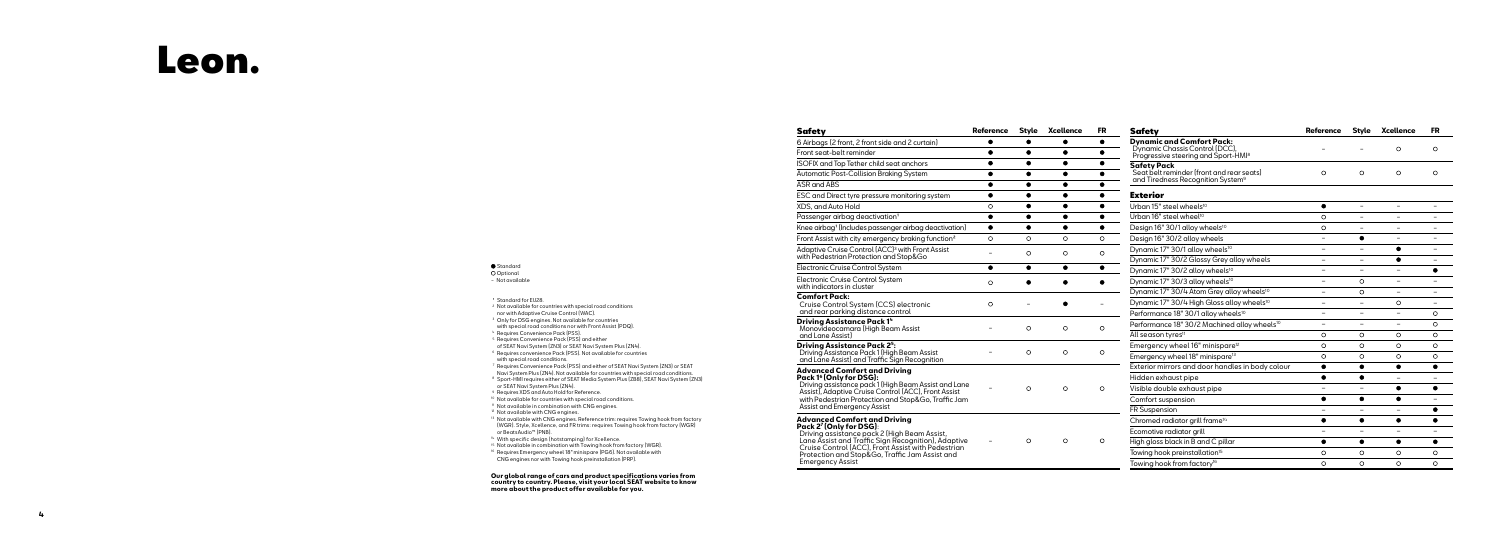ASR and ABS

ESC and Direct ty

XDS, and Auto Ho

Passenger airbad

Knee airbag<sup>1</sup> (Incl

Front Assist with o

Adaptive Cruise ( with Pedestrian P

Electronic Cruise

Electronic Cruise with indicators in

**Driving Assistar Driving Assistand** and Lane Assist)

**Advanced Comf Pack 1<sup>6</sup> (Only for** Driving assistance Assist), Adaptive ( with Pedestrian P Assist and Emerge

#### **Advanced Comf Pack 2 <sup>7</sup> (Only for DSG)** Driving assistan Lane Assist and

#### **Standard**

### **Comfort Pack:**

| Safety                                                                                                                                                                                                                                                                                                        | Reference | Style | Xcellence | FR      |
|---------------------------------------------------------------------------------------------------------------------------------------------------------------------------------------------------------------------------------------------------------------------------------------------------------------|-----------|-------|-----------|---------|
| 6 Airbags (2 front, 2 front side and 2 curtain)                                                                                                                                                                                                                                                               |           |       |           |         |
| Front seat-belt reminder                                                                                                                                                                                                                                                                                      |           |       |           |         |
| ISOFIX and Top Tether child seat anchors                                                                                                                                                                                                                                                                      |           |       |           |         |
| Automatic Post-Collision Braking System                                                                                                                                                                                                                                                                       |           |       |           |         |
| <b>ASR and ABS</b>                                                                                                                                                                                                                                                                                            |           |       |           |         |
| ESC and Direct tyre pressure monitoring system                                                                                                                                                                                                                                                                |           |       |           |         |
| XDS, and Auto Hold                                                                                                                                                                                                                                                                                            | O         | ٠     | $\bullet$ |         |
| Passenger airbag deactivation <sup>1</sup>                                                                                                                                                                                                                                                                    |           |       |           |         |
| Knee airbag <sup>1</sup> (Includes passenger airbag deactivation)                                                                                                                                                                                                                                             |           |       | ●         |         |
| Front Assist with city emergency braking function <sup>2</sup>                                                                                                                                                                                                                                                | O         | O     | O         | O       |
| Adaptive Cruise Control (ACC) <sup>3</sup> with Front Assist<br>with Pedestrian Protection and Stop&Go                                                                                                                                                                                                        |           | O     | O         | O       |
| Electronic Cruise Control System                                                                                                                                                                                                                                                                              |           |       | ٠         |         |
| Electronic Cruise Control System<br>with indicators in cluster                                                                                                                                                                                                                                                | O         |       |           |         |
| <b>Comfort Pack:</b><br>Cruise Control System (CCS) electronic<br>and rear parking distance control                                                                                                                                                                                                           | $\circ$   |       |           |         |
| Driving Assistance Pack 14<br>Monovideocamara (High Beam Assist<br>and Lane Assist                                                                                                                                                                                                                            |           | O     | $\circ$   | $\circ$ |
| <b>Driving Assistance Pack 25:</b><br>Driving Assistance Pack 1 (High Beam Assist<br>and Lane Assist) and Traffic Sign Recognition                                                                                                                                                                            |           | O     | O         | O       |
| Advanced Comfort and Driving<br>Pack 1 <sup>6</sup> (Only for DSG):<br>Driving assistance pack 1 (High Beam Assist and Lane<br>Assist), Adaptive Cruise Control (ACC), Front Assist<br>with Pedestrian Protection and Stop&Go, Traffic Jam<br>Assist and Emergency Assist                                     |           | O     | $\circ$   | $\circ$ |
| Advanced Comfort and Driving<br>Pack 2 <sup>7</sup> (Only for DSG):<br>Driving assistance pack 2 (High Beam Assist,<br>Lane Assist and Traffic Sign Recognition), Adaptive<br>Cruise Control (ACC), Front Assist with Pedestrian<br>Protection and Stop&Go, Traffic Jam Assist and<br><b>Emergency Assist</b> |           | O     | O         | $\circ$ |

**O** Optional − Not available

<sup>1</sup> Standard for EU28.

### Leon.

#### 6 Airbags (2 front

Front seat-belt re

**ISOFIX and Top Te** 

Automatic Post-C

- <sup>2</sup> Not available for countries with special road conditions nor with Adaptive Cruise Control (WAC).
- <sup>3</sup> Only for DSG engines. Not available for countries with special road conditions nor with Front Assist (PDQ).
- 4 Requires Convenience Pack (PSS).
- <sup>5</sup> Requires Convenience Pack (PSS) and either
- of SEAT Navi System (ZN3) or SEAT Navi System Plus (ZN4).
- <sup>6</sup> Requires convenience Pack (PSS). Not available for countries with special road conditions.
- <sup>7</sup> Requires Convenience Pack (PSS) and either of SEAT Navi System (ZN3) or SEAT Navi System Plus (ZN4). Not available for countries with special road conditions.
- 8 Sport-HMI requires either of SEAT Media System Plus (ZB8), SEAT Navi System (ZN3) or SEAT Navi System Plus (ZN4).
- <sup>9</sup> Requires XDS and Auto Hold for Reference.
- <sup>10</sup> Not available for countries with special road conditions.
- <sup>11</sup> Not available in combination with CNG engines.
- <sup>12</sup> Not available with CNG engines.
- <sup>13</sup> Not available with CNG engines. Reference trim: requires Towing hook from factory (WGR). Style, Xcellence, and FR trims: requires Towing hook from factory (WGR) or BeatsAudio™ (PNB).
- <sup>14</sup> With specific design (hotstamping) for Xcellence.
- <sup>15</sup> Not available in combination with Towing hook from factory (WGR).
- <sup>16</sup> Requires Emergency wheel 18" minispare (PG6). Not available with CNG engines nor with Towing hook preinstallation (PRP).

| <b>Safety</b>                                                                                                         | <b>Reference</b>         | <b>Style</b>             | <b>Xcellence</b>         | <b>FR</b> |
|-----------------------------------------------------------------------------------------------------------------------|--------------------------|--------------------------|--------------------------|-----------|
| <b>Dynamic and Comfort Pack:</b><br>Dynamic Chassis Control (DCC),<br>Progressive steering and Sport-HMI <sup>8</sup> |                          |                          | $\circ$                  | O         |
| <b>Safety Pack</b><br>Seat belt reminder (front and rear seats)<br>and Tiredness Recognition System <sup>9</sup>      | O                        | $\circ$                  | O                        | O         |
| <b>Exterior</b>                                                                                                       |                          |                          |                          |           |
| Urban 15" steel wheels <sup>10</sup>                                                                                  | $\bullet$                |                          |                          |           |
| Urban 16" steel wheel <sup>10</sup>                                                                                   | O                        |                          |                          |           |
| Design 16" 30/1 alloy wheels <sup>10</sup>                                                                            | O                        |                          | $\overline{\phantom{0}}$ | $\equiv$  |
| Design 16" 30/2 alloy wheels                                                                                          | $\overline{\phantom{0}}$ |                          |                          |           |
| Dynamic 17" 30/1 alloy wheels <sup>10</sup>                                                                           |                          |                          | ٠                        |           |
| Dynamic 17" 30/2 Glossy Grey alloy wheels                                                                             | ÷,                       |                          |                          |           |
| Dynamic 17" 30/2 alloy wheels <sup>10</sup>                                                                           |                          |                          |                          |           |
| Dynamic 17" 30/3 alloy wheels <sup>10</sup>                                                                           |                          | O                        |                          |           |
| Dynamic 17" 30/4 Atom Grey alloy wheels <sup>10</sup>                                                                 |                          | $\circ$                  | $\overline{\phantom{0}}$ |           |
| Dynamic 17" 30/4 High Gloss alloy wheels <sup>10</sup>                                                                | $\equiv$                 | $\overline{\phantom{0}}$ | O                        | $\equiv$  |
| Performance 18" 30/1 alloy wheels <sup>10</sup>                                                                       |                          |                          | $\overline{\phantom{0}}$ | O         |
| Performance 18" 30/2 Machined alloy wheels <sup>10</sup>                                                              |                          |                          |                          | $\circ$   |
| All season tyres <sup>11</sup>                                                                                        | O                        | O                        | O                        | O         |
| Emergency wheel 16" minispare <sup>12</sup>                                                                           | O                        | O                        | O                        | O         |
| Emergency wheel 18" minispare <sup>13</sup>                                                                           | $\Omega$                 | $\circ$                  | $\circ$                  | O         |
| Exterior mirrors and door handles in body colour                                                                      |                          |                          |                          |           |
| Hidden exhaust pipe                                                                                                   |                          |                          |                          |           |
| Visible double exhaust pipe                                                                                           |                          |                          | Ο.                       |           |
| Comfort suspension                                                                                                    |                          |                          |                          |           |
| FR Suspension                                                                                                         |                          |                          |                          |           |
| Chromed radiator grill frame <sup>14</sup>                                                                            | $\bullet$                | $\bullet$                | $\bullet$                | ٠         |
| Ecomotive radiator grill                                                                                              | -                        | -                        | -                        | $\equiv$  |
| High gloss black in B and C pillar                                                                                    | ●                        | ●                        | ●                        |           |
| Towing hook preinstallation <sup>15</sup>                                                                             | O                        | O                        | O                        | $\circ$   |
| Towing hook from factory <sup>16</sup>                                                                                | $\circ$                  | $\circ$                  | $\circ$                  | $\circ$   |
|                                                                                                                       |                          |                          |                          |           |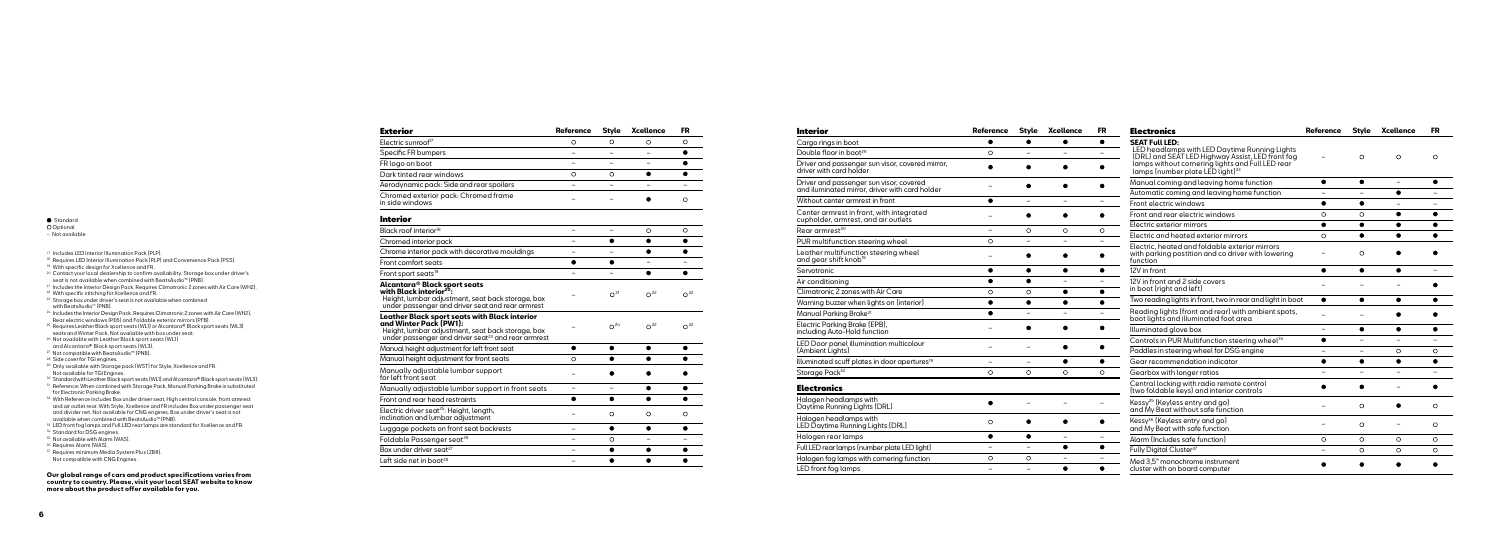#### **Standard**

#### **O** Optional

| Cargo rings in I                    |
|-------------------------------------|
| Double floor in                     |
| Driver and pas:<br>driver with carc |
| Driver and pas:<br>and iluminated   |
| Without center                      |
| Center armres<br>cupholder, arn     |
| Rear armrest <sup>30</sup>          |
| PUR multifunct                      |
| Leather multifı<br>and gear shift   |
| Servotronic                         |
| Air conditionin                     |
| Climatronic 2 z                     |
| Warning buzzeı                      |
| Manual Parkino                      |
| Electric Parkinc<br>including Auto- |
| LED Door pane<br>(Ambient Light:    |

| (Ambient Lights, |  |
|------------------|--|
| Illuminated scuf |  |

| <b>Interior</b>                                                                 | <b>Reference</b> | Style                    | Xcellence                | <b>FR</b>                | <b>Electronics</b>                                                                                                                                   | <b>Reference</b>         |                          | Style Xcellence   | <b>FR</b> |
|---------------------------------------------------------------------------------|------------------|--------------------------|--------------------------|--------------------------|------------------------------------------------------------------------------------------------------------------------------------------------------|--------------------------|--------------------------|-------------------|-----------|
| Cargo rings in boot                                                             | $\bullet$        | $\bullet$                | $\bullet$                | $\bullet$                | <b>SEAT Full LED:</b>                                                                                                                                |                          |                          |                   |           |
| Double floor in boot <sup>29</sup>                                              | $\circ$          |                          |                          | $\equiv$                 | LED headlamps with LED Daytime Running Lights                                                                                                        | $\equiv$                 | $\circ$                  | $\circ$           | $\circ$   |
| Driver and passenger sun visor, covered mirror,<br>driver with card holder      |                  |                          |                          | $\bullet$                | LORL) and SEAT LED Highway Assist, LED front fog<br>lamps without cornering lights and Full LED rear<br>lamps (number plate LED light) <sup>33</sup> |                          |                          |                   |           |
| Driver and passenger sun visor, covered                                         |                  |                          |                          | $\bullet$                | Manual coming and leaving home function                                                                                                              | $\bullet$                | $\bullet$                | $\qquad \qquad -$ |           |
| and iluminated mirror, driver with card holder                                  |                  |                          |                          |                          | Automatic coming and leaving home function                                                                                                           | $\equiv$                 | $\equiv$                 | $\bullet$         |           |
| Without center armrest in front                                                 | $\bullet$        | $\overline{\phantom{m}}$ | $\overline{\phantom{m}}$ | $\qquad \qquad -$        | Front electric windows                                                                                                                               | $\bullet$                | $\bullet$                | $\equiv$          |           |
| Center armrest in front, with integrated<br>cupholder, armrest, and air outlets |                  |                          |                          | $\bullet$                | Front and rear electric windows                                                                                                                      | $\circ$                  | $\circ$                  | $\bullet$         |           |
| Rear armrest <sup>30</sup>                                                      | $-$              | $\circ$                  | $\circ$                  | $\circ$                  | Electric exterior mirrors                                                                                                                            | $\bullet$                | $\bullet$                | $\bullet$         | $\bullet$ |
| PUR multifunction steering wheel                                                | $\circ$          | $\equiv$                 | $\equiv$                 | $\equiv$                 | Electric and heated exterior mirrors                                                                                                                 | $\circ$                  | $\bullet$                | $\bullet$         |           |
| Leather multifunction steering wheel<br>and gear shift knob <sup>19</sup>       |                  |                          |                          | $\bullet$                | Electric, heated and foldable exterior mirrors<br>with parking postition and co driver with lowering<br>function                                     | $\overline{\phantom{0}}$ | $\circ$                  |                   |           |
| Servotronic                                                                     | $\bullet$        | $\bullet$                | $\bullet$                | $\bullet$                | 12V in front                                                                                                                                         | $\bullet$                | $\bullet$                | $\bullet$         |           |
| Air conditioning                                                                | $\bullet$        | $\bullet$                |                          | $\equiv$                 | 12V in front and 2 side covers                                                                                                                       |                          |                          |                   |           |
| Climatronic 2 zones with Air Care                                               | $\circ$          | $\circ$                  | $\bullet$                | $\bullet$                | in boot (right and left)                                                                                                                             |                          |                          |                   |           |
| Warning buzzer when lights on (interior)                                        | $\bullet$        | $\bullet$                | $\bullet$                | $\bullet$                | Two reading lights in front, two in rear and light in boot                                                                                           | $\bullet$                | $\bullet$                | $\bullet$         |           |
| Manual Parkina Brake <sup>31</sup>                                              | $\bullet$        | $\overline{\phantom{0}}$ | $\overline{\phantom{a}}$ | $\equiv$                 | Reading lights (front and rear) with ambient spots,<br>boot lights and illuminated foot area                                                         | $\overline{\phantom{0}}$ |                          |                   |           |
| Electric Parking Brake (EPB),<br>including Auto-Hold function                   |                  |                          |                          | $\bullet$                | Illuminated glove box                                                                                                                                | $\overline{\phantom{0}}$ | $\bullet$                | $\bullet$         |           |
| LED Door panel illumination multicolour                                         |                  |                          |                          | $\bullet$                | Controls in PUR Multifunction steering wheel <sup>34</sup>                                                                                           | $\bullet$                | $\overline{a}$           |                   |           |
| [Ambient Lights]                                                                |                  |                          |                          |                          | Paddles in steering wheel for DSG engine                                                                                                             | $\frac{1}{2}$            | $\overline{\phantom{a}}$ | $\circ$           | $\circ$   |
| Illuminated scuff plates in door apertures <sup>19</sup>                        | Ξ.               | $\qquad \qquad -$        | $\bullet$                | $\bullet$                | Gear recommendation indicator                                                                                                                        | $\bullet$                | $\bullet$                | $\bullet$         | $\bullet$ |
| Storage Pack <sup>32</sup>                                                      | $\Omega$         | $\Omega$                 | $\Omega$                 | $\circ$                  | Gearbox with longer ratios                                                                                                                           | $\equiv$                 | $\overline{\phantom{0}}$ | $\equiv$          |           |
| <b>Electronics</b>                                                              |                  |                          |                          |                          | Central locking with radio remote control<br>(two foldable keys) and interior controls                                                               |                          |                          |                   |           |
| Halogen headlamps with<br>Daytime Running Lights (DRL)                          |                  |                          |                          | $\overline{\phantom{0}}$ | Kessy <sup>35</sup> (Keyless entry and go)<br>and My Beat without safe function                                                                      |                          | $\circ$                  | ٠                 | $\circ$   |
| Halogen headlamps with<br>LED Daytime Running Lights (DRL)                      | $\circ$          |                          |                          | $\bullet$                | Kessy <sup>36</sup> [Keyless entry and go]<br>and My Beat with safe function                                                                         |                          | $\circ$                  |                   | $\circ$   |
| Halogen rear lamps                                                              | $\bullet$        | $\bullet$                | $\overline{\phantom{0}}$ |                          | Alarm (Includes safe function)                                                                                                                       | $\circ$                  | $\circ$                  | $\circ$           | $\circ$   |
| Full LED rear lamps (number plate LED light)                                    | $\overline{a}$   | $\equiv$                 | $\bullet$                | $\bullet$                | Fully Digital Cluster <sup>37</sup>                                                                                                                  | L.                       | $\circ$                  | $\circ$           | $\circ$   |
| Halogen fog lamps with cornering function                                       | $\circ$          | $\circ$                  | $\qquad \qquad -$        | $\overline{\phantom{0}}$ | Med 3.5" monochrome instrument                                                                                                                       |                          |                          |                   |           |
| LED front fog lamps                                                             | ۳                | $=$                      | $\bullet$                | $\bullet$                | cluster with on board computer                                                                                                                       |                          |                          |                   |           |

| Exterior                                                                                                                                                                                       | <b>Reference</b> | <b>Style</b>             | <b>Xcellence</b> | FR              |
|------------------------------------------------------------------------------------------------------------------------------------------------------------------------------------------------|------------------|--------------------------|------------------|-----------------|
| Electric sunroof <sup>17</sup>                                                                                                                                                                 | O                | $\circ$                  | $\circ$          | O               |
| Specific FR bumpers                                                                                                                                                                            |                  |                          |                  |                 |
| FR logo on boot                                                                                                                                                                                |                  |                          |                  |                 |
| Dark tinted rear windows                                                                                                                                                                       | O                | $\circ$                  | e                |                 |
| Aerodynamic pack: Side and rear spoilers                                                                                                                                                       |                  |                          |                  |                 |
| Chromed exterior pack: Chromed frame<br>in side windows                                                                                                                                        |                  |                          |                  | $\circ$         |
| <b>Interior</b>                                                                                                                                                                                |                  |                          |                  |                 |
| Black roof interior <sup>18</sup>                                                                                                                                                              | $\equiv$         | $\overline{\phantom{0}}$ | $\circ$          | O               |
| Chromed interior pack                                                                                                                                                                          |                  |                          |                  |                 |
| Chrome interior pack with decorative mouldings                                                                                                                                                 |                  |                          |                  |                 |
| Front comfort seats                                                                                                                                                                            | ●                |                          |                  |                 |
| Front sport seats <sup>19</sup>                                                                                                                                                                |                  |                          |                  |                 |
| Alcantara® Black sport seats<br>with Black interior <sup>20</sup> :<br>Height, lumbar adjustment, seat back storage, box<br>under passenger and driver seat and rear armrest                   |                  | O <sup>21</sup>          | O <sup>22</sup>  | $\Omega^{22}$   |
| Leather Black sport seats with Black interior<br>and Winter Pack (PW1):<br>Height, lumbar adjustment, seat back storage, box<br>under passenger and driver seat <sup>23</sup> and rear armrest |                  | O <sup>24</sup>          | $\Omega^{22}$    | O <sup>22</sup> |
| Manual height adjustment for left front seat                                                                                                                                                   |                  |                          |                  |                 |
| Manual height adjustment for front seats                                                                                                                                                       | $\Omega$         |                          |                  |                 |
| Manually adjustable lumbar support<br>for left front seat                                                                                                                                      |                  |                          |                  |                 |
| Manually adjustable lumbar support in front seats                                                                                                                                              |                  |                          |                  |                 |
| Front and rear head restraints                                                                                                                                                                 |                  | ●                        |                  |                 |
| Electric driver seat <sup>25</sup> : Height, length,<br>inclination and lumbar adjustment                                                                                                      |                  | O                        | O                | O               |
| Luggage pockets on front seat backrests                                                                                                                                                        |                  |                          |                  |                 |
| Foldable Passenger seat <sup>26</sup>                                                                                                                                                          |                  | O                        |                  |                 |
| Box under driver seat <sup>27</sup>                                                                                                                                                            |                  |                          |                  |                 |
|                                                                                                                                                                                                |                  |                          |                  |                 |

- − Not available
- <sup>17</sup> Includes LED Interior Illumination Pack (PLP).
- <sup>18</sup> Requires LED Interior Illumination Pack (PLP) and Convenience Pack (PSS).
- <sup>19</sup> With specific design for Xcellence and FR.
- <sup>20</sup> Contact your local dealership to confirm availability. Storage box under driver's
- seat is not available when combined with BeatsAudio™ (PNB).<br><sup>21</sup> Includes the Interior Design Pack. Requires Climatronic 2 zones with Air Care (WH2).<br><sup>22</sup> With specific stitching for Xcellence and FR.
- 
- <sup>23</sup> Storage box under driver's seat is not available when combined with BeatsAudio ™ (PNB).
- $^{24}$  Includes the Interior Design Pack. Requires Climatronic 2 zones with Air Care (WH2),<br>Rear electric windows (PE6) and Foldable exterior mirrors (PFB).
- <sup>25</sup> Requires Leather Black sport seats (WL1) or Alcantara® Black sport seats (WL3) seats and Winter Pack. Not available with box under seat.
- <sup>26</sup> Not available with Leather Black sport seats (WL1)<br>and Alcantara® Black sport seats (WL3).
- and Alcantara® Black sport seats (WL3). 27 Not compatible with BeatsAudio™ (PNB).
- 28 Side cover for TGI engines.
- <sup>29</sup> Only available with Storage pack (WST) for Style, Xcellence and FR.
- Not available for TGI Engines.<br><sup>30</sup> Standard with Leather Black sport seats (WL1) and Alcantara® Black sport seats (WL3).
- <sup>31</sup> Reference: When combined with Storage Pack, Manual Parking Brake is substituted for Electronic Parking Brake.
- <sup>32</sup> With Reference includes Box under driver seat, High central console, front armrest and air outlet rear. With Style, Xcellence and FR includes Box under passenger seat and divider net. Not available for CNG engines. Box under driver's seat is not available when combined with BeatsAudio™ (PNB).
- <sup>33</sup> LED front fog lamps and Full LED rear lamps are standard for Xcellence and FR.<br><sup>34</sup> Standard for DSG engines.<br><sup>35</sup> Not available with Alarm (WAS).<br><sup>36</sup> Requires Alarm (WAS).<br><sup>37</sup> Requires minimum Media System Plus (Z
- 
- 
- 
- Not compatible with CNG Engines.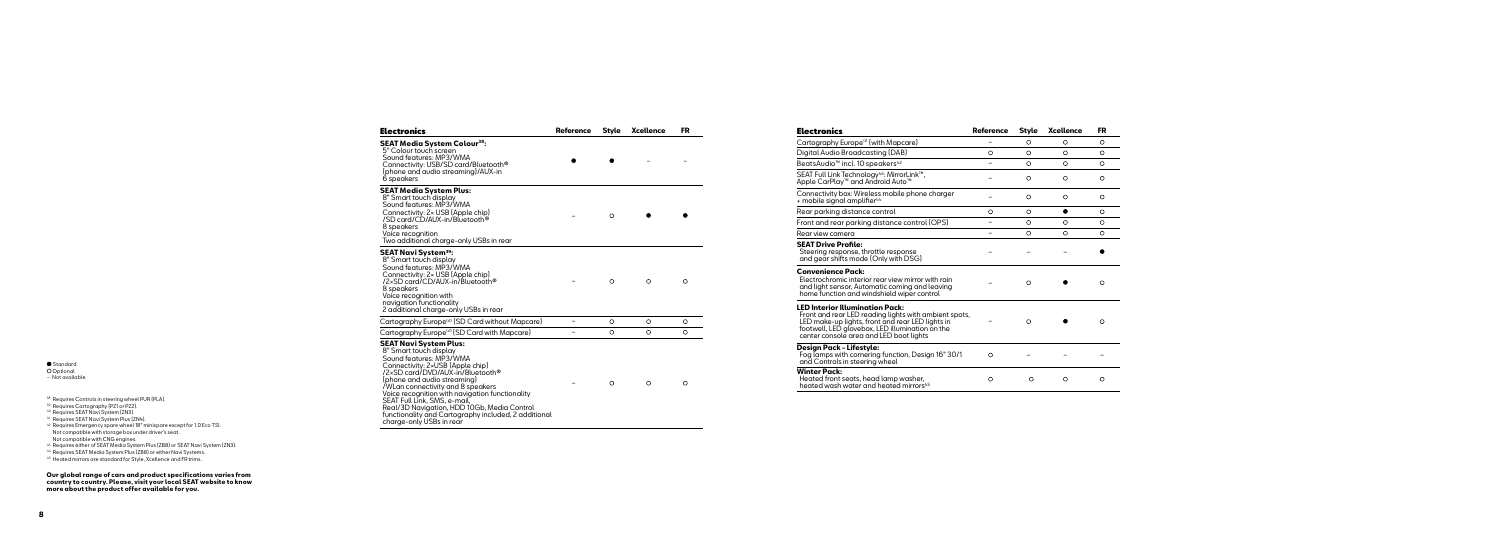| <b>Electronics</b>                                                                                                                                                                                                                                                                                                                                                                                                                                   | Reference | <b>Style</b> | <b>Xcellence</b> | FR      |
|------------------------------------------------------------------------------------------------------------------------------------------------------------------------------------------------------------------------------------------------------------------------------------------------------------------------------------------------------------------------------------------------------------------------------------------------------|-----------|--------------|------------------|---------|
| <b>SEAT Media System Colour<sup>38</sup>:</b><br>5" Colour touch screen<br>Sound features: MP3/WMA<br>Connectivity: USB/SD card/Bluetooth <sup>®</sup><br>(phone and audio streaming)/AUX-in<br>6 speakers                                                                                                                                                                                                                                           |           |              |                  |         |
| <b>SEAT Media System Plus:</b><br>8" Smart touch display<br>Sound features: MP3/WMA<br>Connectivity: 2x USB (Apple chip)<br>/SD card/CD/AUX-in/Bluetooth®<br>8 speakers<br>Voice recognition<br>Two additional charge-only USBs in rear                                                                                                                                                                                                              |           | $\circ$      |                  |         |
| <b>SEAT Navi System<sup>39</sup>:</b><br>8" Smart touch display<br>Sound features: MP3/WMA<br>Connectivity: 2× USB (Apple chip)<br>/2×SD card/CD/AUX-in/Bluetooth <sup>®</sup><br>8 speakers<br>Voice recognition with<br>navigation functionality<br>2 additional charge-only USBs in rear                                                                                                                                                          |           | $\circ$      | $\circ$          | O       |
| Cartography Europe <sup>40</sup> (SD Card without Mapcare)                                                                                                                                                                                                                                                                                                                                                                                           | -         | $\circ$      | $\circ$          | $\circ$ |
| Cartography Europe <sup>40</sup> (SD Card with Mapcare)                                                                                                                                                                                                                                                                                                                                                                                              |           | $\circ$      | $\circ$          | $\circ$ |
| <b>SEAT Navi System Plus:</b><br>8" Smart touch display<br>Sound features: MP3/WMA<br>Connectivity: 2×USB (Apple chip)<br>/2×SD card/DVD/AUX-in/Bluetooth®<br>(phone and audio streaming)<br>/WLan connectivity and 8 speakers<br>Voice recognition with navigation functionality<br>SEAT Full Link, SMS, e-mail,<br>Real/3D Navigation, HDD 10Gb, Media Control<br>functionality and Cartography included, 2 additional<br>charge-only USBs in rear |           | $\circ$      | $\circ$          | $\circ$ |

**Winter Pack:** Heated front sed heated wash wa

#### Electronics **Reference Style Xcellence FR**

| Cartography Europe <sup>41</sup> (wit                                 |
|-----------------------------------------------------------------------|
| Digital Audio Broadcastir                                             |
| BeatsAudio™ incl. 10 spec                                             |
| SEAT Full Link Technology <sup>4</sup><br>Apple CarPlay™ and Andr     |
| Connectivity box: Wireless<br>+ mobile signal amplifier <sup>44</sup> |

Rear parking dist Front and rear po

Rear view camera

**SEAT Drive Prof** Steering respons and gear shifts r

**Convenience Po** Electrochromic in

### **LED Interior Illu** Front and rear LE

center console a **Design Pack - Li** Fog lamps with a and Controls in s

| Electronics                                                                                                                                                                                                                                       | Reference | Style    | Xcellence | FR       |
|---------------------------------------------------------------------------------------------------------------------------------------------------------------------------------------------------------------------------------------------------|-----------|----------|-----------|----------|
| Cartography Europe <sup>41</sup> (with Mapcare)                                                                                                                                                                                                   |           | $\circ$  | $\circ$   | $\circ$  |
| Digital Audio Broadcasting (DAB)                                                                                                                                                                                                                  | $\circ$   | $\circ$  | $\circ$   | $\circ$  |
| BeatsAudio™ incl. 10 speakers <sup>42</sup>                                                                                                                                                                                                       |           | $\circ$  | $\circ$   | $\circ$  |
| SEAT Full Link Technology <sup>43</sup> : MirrorLink™,<br>Apple CarPlay™ and Android Auto™                                                                                                                                                        |           | O        | O         | $\circ$  |
| Connectivity box: Wireless mobile phone charger<br>+ mobile signal amplifier <sup>44</sup>                                                                                                                                                        |           | O        | O         | $\circ$  |
| Rear parking distance control                                                                                                                                                                                                                     | $\circ$   | ∩        | ●         | $\circ$  |
| Front and rear parking distance control (OPS)                                                                                                                                                                                                     |           | $\circ$  | $\circ$   | $\Omega$ |
| Rear view camera                                                                                                                                                                                                                                  |           | O        | O         | $\circ$  |
| <b>SEAT Drive Profile:</b><br>Steering response, throttle response<br>and gear shifts mode (Only with DSG)                                                                                                                                        |           |          |           |          |
| <b>Convenience Pack:</b><br>Electrochromic interior rear view mirror with rain<br>and light sensor, Automatic coming and leaving<br>home function and windshield wiper control                                                                    |           | $\Omega$ |           | $\circ$  |
| <b>LED Interior Illumination Pack:</b><br>Front and rear LED reading lights with ambient spots,<br>LED make-up lights, front and rear LED lights in<br>footwell, LED glovebox, LED illumination on the<br>center console area and LED boot liahts |           | $\Omega$ |           | $\circ$  |
| Design Pack - Lifestyle:<br>Fog lamps with cornering function, Design 16" 30/1<br>and Controls in steering wheel                                                                                                                                  | $\circ$   |          |           |          |
| <b>Winter Pack:</b><br>Heated front seats, head lamp washer,<br>heated wash water and heated mirrors <sup>45</sup>                                                                                                                                | O         | O        | O         | $\circ$  |

Standard Optional − Not available

 $^{38}$  Requires Controls in steering wheel PUR (PLA).<br> $^{39}$  Requires Cartography (PZ1 or PZ2).

- 40 Requires SEAT Navi System (ZN3).
- 41 Requires SEAT Navi System Plus (ZN4).
- 42 Requires Emergency spare wheel 18" minispare except for 1.0 Eco TSI. Not compatible with storage box under driver's seat.

Not compatible with CNG engines.<br><sup>44</sup> Requires either of SEAT Media System Plus (ZB8) or SEAT Navi System (ZN3).<br><sup>44</sup> Requires SEAT Media System Plus (ZB8) or either Navi Systems.<br><sup>45</sup> Heated mirrors are standard for Style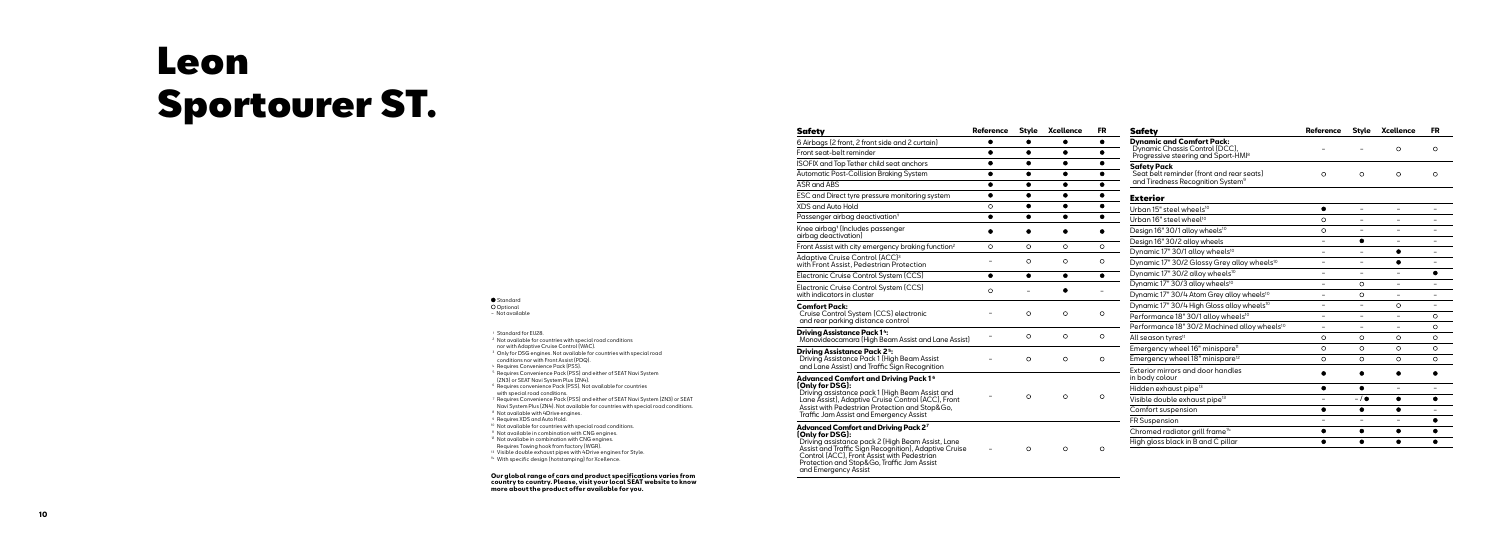Adaptive Cruise with Front Assist,

#### **Driving Assistan**  $M$ onovideocamc

| <b>Safety</b>                                                                                                                                                                                                                                                                              | <b>Reference</b> | <b>Style</b> | <b>Xcellence</b> | FR        |
|--------------------------------------------------------------------------------------------------------------------------------------------------------------------------------------------------------------------------------------------------------------------------------------------|------------------|--------------|------------------|-----------|
| 6 Airbags (2 front, 2 front side and 2 curtain)                                                                                                                                                                                                                                            | ٠                |              |                  | $\bullet$ |
| Front seat-belt reminder                                                                                                                                                                                                                                                                   |                  | ٠            | $\bullet$        |           |
| ISOFIX and Top Tether child seat anchors                                                                                                                                                                                                                                                   | ٠                | ٠            | ٠                |           |
| Automatic Post-Collision Braking System                                                                                                                                                                                                                                                    |                  |              |                  |           |
| ASR and ABS                                                                                                                                                                                                                                                                                | ●                | ●            | ●                | ●         |
| ESC and Direct tyre pressure monitoring system                                                                                                                                                                                                                                             | ٠                |              |                  |           |
| XDS and Auto Hold                                                                                                                                                                                                                                                                          | O                |              | 0                |           |
| Passenger airbag deactivation <sup>1</sup>                                                                                                                                                                                                                                                 | ٠                |              |                  |           |
| Knee airbag <sup>1</sup> (Includes passenger<br>airbag deactivation)                                                                                                                                                                                                                       |                  |              |                  |           |
| Front Assist with city emergency braking function <sup>2</sup>                                                                                                                                                                                                                             | O                | $\Omega$     | $\circ$          | $\Omega$  |
| Adaptive Cruise Control (ACC) <sup>3</sup><br>with Front Assist, Pedestrian Protection                                                                                                                                                                                                     |                  | O            | O                | O         |
| Electronic Cruise Control System (CCS)                                                                                                                                                                                                                                                     | ۰                |              |                  |           |
| Electronic Cruise Control System (CCS)<br>with indicators in cluster                                                                                                                                                                                                                       | O                |              |                  |           |
| <b>Comfort Pack:</b><br>Cruise Control System (CCS) electronic<br>and rear parking distance control                                                                                                                                                                                        |                  | $\circ$      | $\Omega$         | O         |
| <b>Driving Assistance Pack 14:</b><br>Monovideocamara (High Beam Assist and Lane Assist)                                                                                                                                                                                                   |                  | O            | O                | $\circ$   |
| <b>Driving Assistance Pack 25:</b><br>Driving Assistance Pack 1 (High Beam Assist<br>and Lane Assist) and Traffic Sign Recognition                                                                                                                                                         |                  | O            | O                | O         |
| Advanced Comfort and Driving Pack 16<br>[Only for DSG]:<br>Driving assistance pack 1 (High Beam Assist and<br>Lane Assist), Adaptive Cruise Control (ACC), Front<br>Assist with Pedestrian Protection and Stop&Go,<br>Traffic Jam Assist and Emergency Assist                              |                  | $\circ$      | O                | $\circ$   |
| Advanced Comfort and Driving Pack 27<br>[Only for DSG]:<br>Driving assistance pack 2 (High Beam Assist, Lane<br>Assist and Traffic Sign Recognition), Adaptive Cruise<br>Control (ACC), Front Assist with Pedestrian<br>Protection and Stop&Go, Traffic Jam Assist<br>and Emergency Assist |                  | O            | O                | O         |

| <b>Safety</b>                                                                                                         | <b>Reference</b>         | <b>Style</b> | <b>Xcellence</b>         | FR                       |
|-----------------------------------------------------------------------------------------------------------------------|--------------------------|--------------|--------------------------|--------------------------|
| <b>Dynamic and Comfort Pack:</b><br>Dynamic Chassis Control (DCC).<br>Progressive steering and Sport-HMI <sup>8</sup> |                          |              | $\circ$                  | O                        |
| <b>Safety Pack</b><br>Seat belt reminder (front and rear seats)<br>and Tiredness Recognition System <sup>9</sup>      | $\circ$                  | O            | $\circ$                  | O                        |
| <b>Exterior</b>                                                                                                       |                          |              |                          |                          |
| Urban 15" steel wheels <sup>10</sup>                                                                                  |                          |              |                          |                          |
| Urban 16" steel wheel <sup>10</sup>                                                                                   | O                        |              |                          |                          |
| Design 16" 30/1 alloy wheels <sup>10</sup>                                                                            | $\circ$                  |              |                          |                          |
| Design 16" 30/2 alloy wheels                                                                                          | $\overline{\phantom{0}}$ |              | -                        |                          |
| Dynamic 17" 30/1 alloy wheels <sup>10</sup>                                                                           |                          |              | ۰                        |                          |
| Dynamic 17" 30/2 Glossy Grey alloy wheels <sup>10</sup>                                                               | $\overline{\phantom{0}}$ | -            | ٠                        |                          |
| Dynamic 17" 30/2 alloy wheels <sup>10</sup>                                                                           |                          |              |                          |                          |
| Dynamic 17" 30/3 alloy wheels <sup>10</sup>                                                                           | $\overline{\phantom{0}}$ | O            | -                        |                          |
| Dynamic 17" 30/4 Atom Grey alloy wheels <sup>10</sup>                                                                 | $\overline{\phantom{0}}$ | O            | $\overline{\phantom{0}}$ | $\overline{\phantom{0}}$ |
| Dynamic 17" 30/4 High Gloss alloy wheels <sup>10</sup>                                                                |                          | -            | O                        |                          |
| Performance 18" 30/1 alloy wheels <sup>10</sup>                                                                       |                          |              | $\equiv$                 | O                        |
| Performance 18" 30/2 Machined alloy wheels <sup>10</sup>                                                              |                          |              |                          | O                        |
| All season tyres <sup>11</sup>                                                                                        | O                        | O            | O                        | O                        |
| Emergency wheel 16" minispare <sup>11</sup>                                                                           | O                        | $\Omega$     | O                        | $\Omega$                 |
| Emergency wheel 18" minispare <sup>12</sup>                                                                           | O                        | $\circ$      | O                        | O                        |
| Exterior mirrors and door handles<br>in body colour                                                                   |                          |              |                          |                          |
| Hidden exhaust pipe <sup>13</sup>                                                                                     | ●                        |              |                          |                          |
| Visible double exhaust pipe <sup>13</sup>                                                                             | $\overline{\phantom{0}}$ | $-1$         |                          |                          |
| Comfort suspension                                                                                                    | ●                        | ●            |                          |                          |
| <b>FR Suspension</b>                                                                                                  |                          |              |                          |                          |
| Chromed radiator grill frame <sup>14</sup>                                                                            | ●                        | ٠            |                          |                          |
| High gloss black in B and C pillar                                                                                    |                          |              |                          |                          |

Standard **O** Optional − Not available

<sup>1</sup> Standard for EU28.

- <sup>2</sup> Not available for countries with special road conditions
- nor with Adaptive Cruise Control (WAC).
- <sup>3</sup> Only for DSG engines. Not available for countries with special road
- conditions nor with Front Assist (PDQ).<br>4 Requires Convenience Pack (PSS).
- <sup>5</sup> Requires Convenience Pack (PSS) and either of SEAT Navi System (ZN3) or SEAT Navi System Plus (ZN4).
- <sup>6</sup> Requires convenience Pack (PSS). Not available for countries with special road conditions.
- <sup>7</sup> Requires Convenience Pack (PSS) and either of SEAT Navi System (ZN3) or SEAT Navi System Plus (ZN4). Not available for countries with special road conditions.
- 8 Not available with 4Drive engines.
- <sup>9</sup> Requires XDS and Auto Hold.
- <sup>10</sup> Not available for countries with special road conditions.
- <sup>11</sup> Not available in combination with CNG engines.
- <sup>12</sup> Not availabe in combination with CNG engines.
- 
- Requires Towing hook from factory (WGR).<br><sup>13</sup> Visible double exhaust pipes with 4Drive engines for Style.
- 14 With specific design (hotstamping) for Xcellence.

## Leon Sportourer ST.

**Our global range of cars and product specifications varies from country to country. Please, visit your local SEAT website to know more about the product offer available for you.**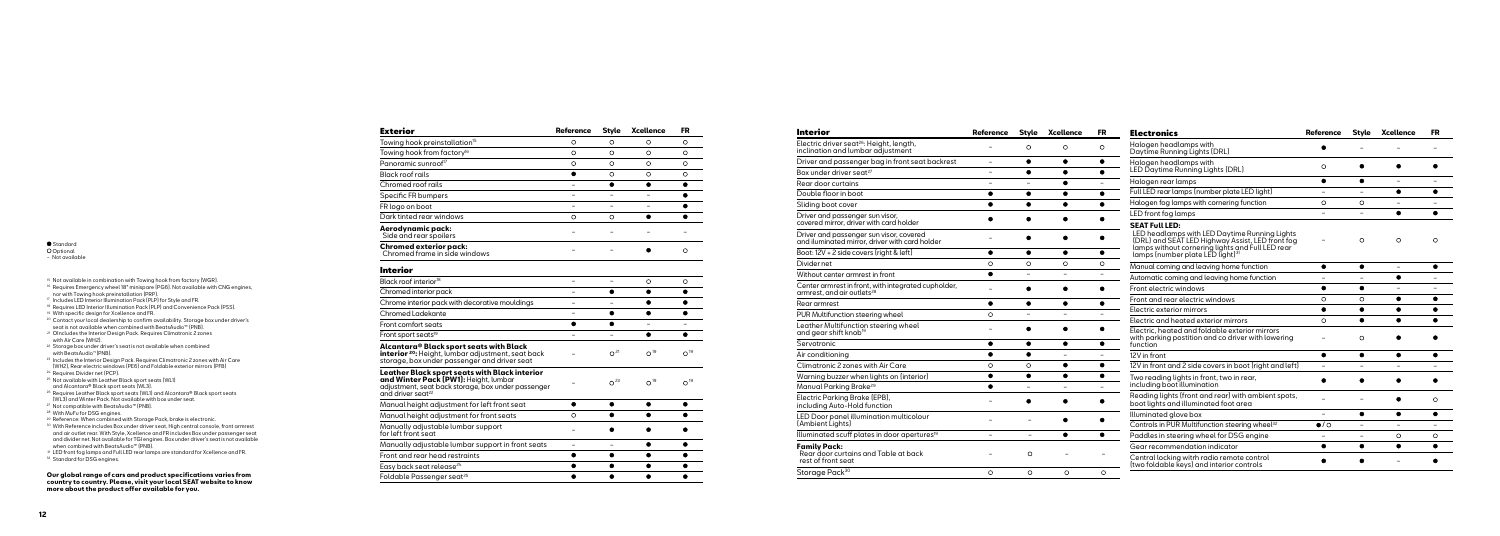#### Standard

**O** Optional

− Not available

- 15 Not available in combination with Towing hook from factory (WGR).<br><sup>16</sup> Requires Emergency wheel 18" minispare (PG6). Not available with CNG engines, nor with Towing hook preinstallation (PRP).
- 17 Includes LED Interior Illumination Pack (PLP) for Style and FR.
- <sup>18</sup> Requires LED Interior Illumination Pack (PLP) and Convenience Pack (PSS).
- <sup>19</sup> With specific design for Xcellence and FR.
- <sup>20</sup> Contact your local dealership to confirm availability. Storage box under driver's seat is not available when combined with BeatsAudio™ (PNB).
- <sup>21</sup> OIncludes the Interior Design Pack. Requires Climatronic 2 zones with Air Care (WH2).
- <sup>22</sup> Storage box under driver's seat is not available when combined with BeatsAudio ™(PNB).
- 23 Includes the Interior Design Pack. Requires Climatronic 2 zones with Air Care (WH2), Rear electric windows (PE6) and Foldable exterior mirrors (PFB)
- <sup>24</sup> Requires Divider net (PCP).
- <sup>25</sup> Not available with Leather Black sport seats (WL1) and Alcantara® Black sport seats (WL3).
- <sup>26</sup> Requires Leather Black sport seats (WL1) and Alcantara® Black sport seats (WL3) and Winter Pack. Not available with box under seat.
- <sup>27</sup> Not compatible with BeatsAudio™ (PNB).
- <sup>28</sup> With MuFu for DSG engines.
- <sup>29</sup> Reference: When combined with Storage Pack, brake is electronic.
- <sup>30</sup> With Reference includes Box under driver seat, High central console, front armrest and air outlet rear. With Style, Xcellence and FR includes Box under passenger seat and divider net. Not available for TGI engines. Box under driver's seat is not available when combined with BeatsAudio™ (PNB).
- 31 LED front fog lamps and Full LED rear lamps are standard for Xcellence and FR.
- <sup>32</sup> Standard for DSG engines.

| Exterior                                                                                                                                                                             | <b>Reference</b> | <b>Style</b>    | <b>Xcellence</b> | FR              |
|--------------------------------------------------------------------------------------------------------------------------------------------------------------------------------------|------------------|-----------------|------------------|-----------------|
| Towing hook preinstallation <sup>15</sup>                                                                                                                                            | O                | O               | O                | O               |
| Towing hook from factory <sup>16</sup>                                                                                                                                               | O                | O               | O                | O               |
| Panoramic sunroof <sup>17</sup>                                                                                                                                                      | O                | $\circ$         | O                | O               |
| <b>Black roof rails</b>                                                                                                                                                              |                  | O               | O                | O               |
| Chromed roof rails                                                                                                                                                                   | $\overline{a}$   |                 |                  |                 |
| Specific FR bumpers                                                                                                                                                                  |                  |                 |                  |                 |
| FR logo on boot                                                                                                                                                                      |                  |                 |                  |                 |
| Dark tinted rear windows                                                                                                                                                             | O                | $\circ$         |                  |                 |
| Aerodynamic pack:<br>Side and rear spoilers                                                                                                                                          |                  |                 |                  |                 |
| Chromed exterior pack:<br>Chromed frame in side windows                                                                                                                              |                  |                 |                  | $\circ$         |
| Interior                                                                                                                                                                             |                  |                 |                  |                 |
| Black roof interior <sup>18</sup>                                                                                                                                                    |                  |                 | O                | O               |
| Chromed interior pack                                                                                                                                                                |                  |                 |                  |                 |
| Chrome interior pack with decorative mouldings                                                                                                                                       |                  |                 |                  |                 |
| Chromed Ladekante                                                                                                                                                                    |                  |                 |                  |                 |
| Front comfort seats                                                                                                                                                                  |                  |                 |                  |                 |
| Front sport seats <sup>19</sup>                                                                                                                                                      |                  |                 | ٠                |                 |
| Alcantara® Black sport seats with Black<br>interior <sup>20</sup> : Height, lumbar adjustment, seat back<br>storage, box under passenger and driver seat                             |                  | O <sup>21</sup> | O <sup>19</sup>  | O <sup>19</sup> |
| Leather Black sport seats with Black interior<br><b>and Winter Pack (PW1):</b> Height, lumbar<br>adjustment, seat back storage, box under passenger<br>and driver seat <sup>22</sup> |                  | O <sup>23</sup> | O <sup>19</sup>  | O <sup>19</sup> |
| Manual height adjustment for left front seat                                                                                                                                         |                  | ●               | ٠                |                 |
| Manual height adjustment for front seats                                                                                                                                             | O                |                 |                  |                 |
| Manually adjustable lumbar support<br>for left front seat                                                                                                                            |                  |                 |                  |                 |
| Manually adjustable lumbar support in front seats                                                                                                                                    | $\overline{ }$   |                 |                  |                 |
| Front and rear head restraints                                                                                                                                                       |                  |                 |                  |                 |
| Easy back seat release <sup>24</sup>                                                                                                                                                 | ●                |                 |                  |                 |
| Foldable Passenaer seat <sup>25</sup>                                                                                                                                                |                  |                 |                  |                 |

| <b>Interior</b>                                                                               | <b>Reference</b>         | <b>Style</b>             | Xcellence                | <b>FR</b>                | <b>Electronics</b>                                                                                                                                    | <b>Reference</b>         | <b>Style</b>   | <b>Xcellence</b>         | <b>FR</b> |
|-----------------------------------------------------------------------------------------------|--------------------------|--------------------------|--------------------------|--------------------------|-------------------------------------------------------------------------------------------------------------------------------------------------------|--------------------------|----------------|--------------------------|-----------|
| Electric driver seat <sup>26</sup> : Height, length,<br>inclination and lumbar adjustment     |                          | $\circ$                  | $\circ$                  | $\circ$                  | Halogen headlamps with<br>Daytime Running Lights (DRL)                                                                                                |                          |                |                          |           |
| Driver and passenger bag in front seat backrest                                               | $\overline{\phantom{a}}$ | $\bullet$                | $\bullet$                | $\bullet$                | Halogen headlamps with                                                                                                                                | $\circ$                  |                |                          |           |
| Box under driver seat <sup>27</sup>                                                           | $\overline{a}$           | $\bullet$                | $\bullet$                | $\bullet$                | LED Daytime Running Lights (DRL)                                                                                                                      |                          |                |                          |           |
| Rear door curtains                                                                            | $\overline{\phantom{a}}$ | $\overline{\phantom{a}}$ | $\bullet$                |                          | Halogen rear lamps                                                                                                                                    | $\bullet$                | $\bullet$      | $\equiv$                 |           |
| Double floor in boot                                                                          | $\bullet$                | $\bullet$                | $\bullet$                | $\bullet$                | Full LED rear lamps (number plate LED light)                                                                                                          | $\overline{\phantom{a}}$ |                | $\bullet$                | $\bullet$ |
| Sliding boot cover                                                                            | $\bullet$                | $\bullet$                | $\bullet$                | $\bullet$                | Halogen fog lamps with cornering function                                                                                                             | $\circ$                  | $\circ$        |                          |           |
| Driver and passenger sun visor,<br>covered mirror, driver with card holder                    | ٠                        | $\bullet$                |                          | $\bullet$                | LED front fog lamps<br><b>SEAT Full LED:</b>                                                                                                          | $\overline{\phantom{a}}$ | $\sim$         | $\bullet$                |           |
| Driver and passenger sun visor, covered<br>and iluminated mirror, driver with card holder     |                          |                          |                          | $\bullet$                | LED headlamps with LED Daytime Running Lights<br>LORL) and SEAT LED Highway Assist, LED front fog<br>lamps without cornering lights and Full LED rear | $\overline{\phantom{a}}$ | $\circ$        | $\circ$                  | $\circ$   |
| Boot: 12V + 2 side covers (right & left)                                                      | $\bullet$                | $\bullet$                | $\bullet$                | $\bullet$                | lamps (number plate LED light) <sup>31</sup>                                                                                                          |                          |                |                          |           |
| Divider net                                                                                   | $\circ$                  | $\circ$                  | $\circ$                  | $\circ$                  | Manual coming and leaving home function                                                                                                               | $\bullet$                | $\bullet$      | $\sim$                   |           |
| Without center armrest in front                                                               | $\bullet$                | $\overline{\phantom{a}}$ | $\overline{\phantom{a}}$ | $\overline{\phantom{a}}$ | Automatic coming and leaving home function                                                                                                            | $\overline{a}$           |                | $\bullet$                |           |
| Center armrest in front, with integrated cupholder,<br>armrest, and air outlets <sup>28</sup> |                          |                          |                          | $\bullet$                | Front electric windows                                                                                                                                | $\bullet$                | $\bullet$      | $\overline{\phantom{a}}$ |           |
| Rear armrest                                                                                  | $\bullet$                | $\bullet$                | $\bullet$                | $\bullet$                | Front and rear electric windows                                                                                                                       | $\circ$                  | $\circ$        | $\bullet$                | ٠         |
| PUR Multifunction steering wheel                                                              | $\circ$                  |                          |                          |                          | Electric exterior mirrors                                                                                                                             | $\bullet$                | $\bullet$      | $\bullet$                |           |
| Leather Multifunction steering wheel                                                          |                          |                          |                          |                          | Electric and heated exterior mirrors                                                                                                                  | $\circ$                  | $\bullet$      |                          |           |
| and gear shift knob <sup>19</sup>                                                             |                          | $\bullet$                |                          | $\bullet$                | Electric, heated and foldable exterior mirrors<br>with parking postition and co driver with lowering                                                  |                          | $\circ$        |                          |           |
| Servotronic                                                                                   | $\bullet$                | $\bullet$                | $\bullet$                | $\bullet$                | function                                                                                                                                              |                          |                |                          |           |
| Air conditioning                                                                              | $\bullet$                | $\bullet$                |                          | $\equiv$                 | 12V in front                                                                                                                                          | $\bullet$                | $\bullet$      | $\bullet$                | ٠         |
| Climatronic 2 zones with Air Care                                                             | $\circ$                  | $\circ$                  | $\bullet$                | $\bullet$                | 12V in front and 2 side covers in boot (right and left)                                                                                               |                          |                |                          |           |
| Warning buzzer when lights on (interior)                                                      | $\bullet$                | $\bullet$                | $\bullet$                | $\bullet$                | Two reading lights in front, two in rear,                                                                                                             |                          |                |                          |           |
| Manual Parking Brake <sup>29</sup>                                                            | $\bullet$                | $\sim$                   | $\equiv$                 | $\sim$                   | including boot illumination                                                                                                                           |                          |                |                          |           |
| Electric Parking Brake (EPB),<br>including Auto-Hold function                                 |                          |                          |                          |                          | Reading lights (front and rear) with ambient spots,<br>boot lights and illuminated foot area                                                          |                          |                |                          | $\circ$   |
| LED Door panel illumination multicolour                                                       |                          |                          | $\bullet$                | ٠                        | Illuminated glove box                                                                                                                                 | $\equiv$                 | $\bullet$      | $\bullet$                | $\bullet$ |
| [Ambient Lights]                                                                              |                          |                          |                          |                          | Controls in PUR Multifunction steering wheel <sup>32</sup>                                                                                            | $\bullet$ / $\circ$      | $\overline{a}$ |                          |           |
| Illuminated scuff plates in door apertures <sup>19</sup>                                      | $\equiv$                 | $\equiv$                 | $\bullet$                | $\bullet$                | Paddles in steering wheel for DSG engine                                                                                                              | $\overline{\phantom{a}}$ | $\sim$         | $\circ$                  | $\circ$   |
| <b>Family Pack:</b>                                                                           |                          |                          |                          |                          | Gear recommendation indicator                                                                                                                         | $\bullet$                | $\bullet$      | $\bullet$                |           |
| Rear door curtains and Table at back<br>rest of front seat                                    |                          | $\circ$                  |                          |                          | Central locking witrh radio remote control<br>(two foldable keys) and interior controls                                                               |                          |                |                          |           |
| Storage Pack <sup>30</sup>                                                                    | $\circ$                  | $\circ$                  | $\circ$                  | $\circ$                  |                                                                                                                                                       |                          |                |                          |           |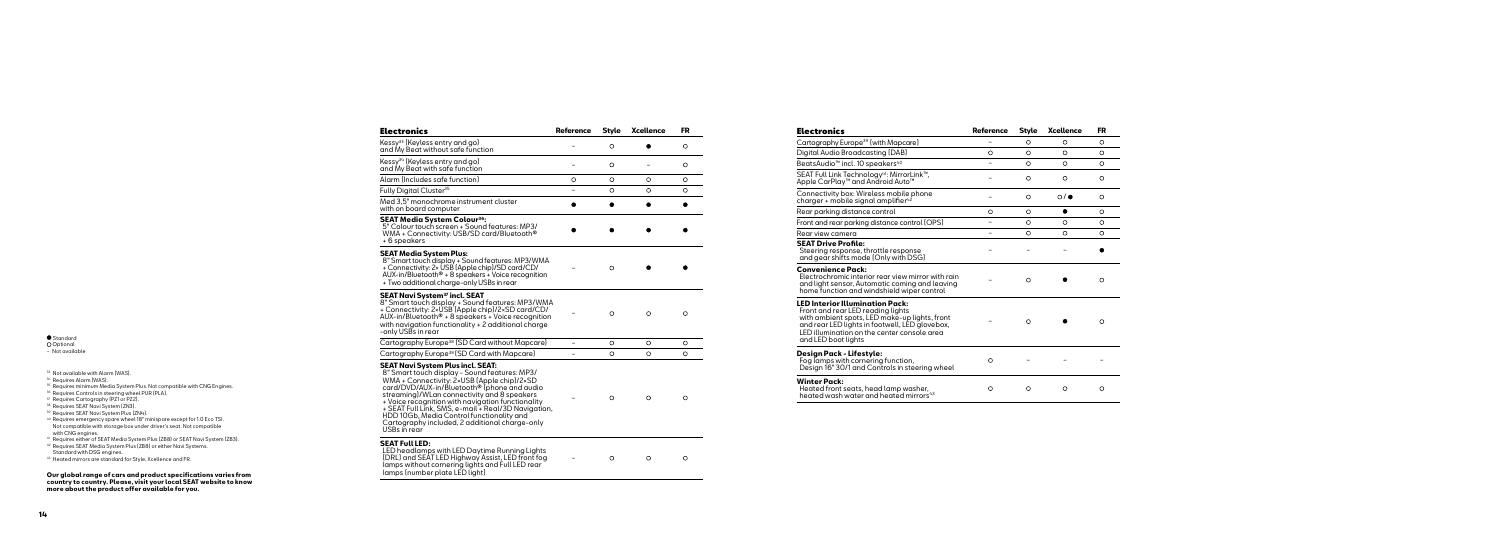|  | standar |  |
|--|---------|--|

### Standard Optional

− Not available

**Winter Pack:** Heated front sea heated wash wo

Alarm (Includes safe function) Fully Digital Cluster<sup>35</sup>

with on board computer **SEAT Media System Colour<sup>36</sup>:** 

| Electronics                                                                                                                                                                                                                                          | Reference | Style    | Xcellence           | FR      |
|------------------------------------------------------------------------------------------------------------------------------------------------------------------------------------------------------------------------------------------------------|-----------|----------|---------------------|---------|
| Cartography Europe <sup>39</sup> (with Mapcare)                                                                                                                                                                                                      |           | $\circ$  | $\circ$             | $\circ$ |
| Digital Audio Broadcasting (DAB)                                                                                                                                                                                                                     | $\circ$   | $\circ$  | $\circ$             | $\circ$ |
| BeatsAudio <sup>™</sup> incl. 10 speakers <sup>40</sup>                                                                                                                                                                                              |           | $\circ$  | $\circ$             | $\circ$ |
| SEAT Full Link Technology41: MirrorLink™,<br>Apple CarPlay™ and Android Auto™                                                                                                                                                                        |           | O        | $\circ$             | $\circ$ |
| Connectivity box: Wireless mobile phone<br>charger + mobile signal amplifier <sup>42</sup>                                                                                                                                                           |           | $\circ$  | $\circ$ / $\bullet$ | $\circ$ |
| Rear parking distance control                                                                                                                                                                                                                        | $\circ$   | $\circ$  | ●                   | $\circ$ |
| Front and rear parking distance control (OPS)                                                                                                                                                                                                        |           | $\Omega$ | $\Omega$            | $\circ$ |
| Rear view camera                                                                                                                                                                                                                                     |           | $\circ$  | $\circ$             | $\circ$ |
| <b>SEAT Drive Profile:</b><br>Steering response, throttle response<br>and gear shifts mode [Only with DSG]                                                                                                                                           |           |          |                     |         |
| <b>Convenience Pack:</b><br>Electrochromic interior rear view mirror with rain<br>and light sensor, Automatic coming and leaving<br>home function and windshield wiper control                                                                       |           | $\circ$  |                     | $\circ$ |
| <b>LED Interior Illumination Pack:</b><br>Front and rear LED reading lights<br>with ambient spots, LED make-up lights, front<br>and rear LED lights in footwell, LED glovebox,<br>LED illumination on the center console area<br>and LED boot lights |           | $\circ$  |                     | $\circ$ |
| Design Pack - Lifestyle:<br>Fog lamps with cornering function,<br>Design 16" 30/1 and Controls in steering wheel                                                                                                                                     | $\circ$   |          |                     |         |
| <b>Winter Pack:</b><br>Heated front seats, head lamp washer,<br>heated wash water and heated mirrors <sup>43</sup>                                                                                                                                   | $\circ$   | $\circ$  | $\circ$             | $\circ$ |

Electronics **Reference Style Xcellence FR**

−

 $\circ$ 

 $\circ$ 

 $\circ$ 

 $\circ$ 

 $\bullet$ 

 $\bullet$ 

 $\circ$ 

 $\circ$ 

 $\circ$ 

Kessy34 (Keyless entry and go) and My Beat with safe function

−

−

 $\circ$ 

 $\circ$ 

 $\bullet$ 

 $\bullet$ 

 $\bullet$ 

 $\circ$ 

 $\circ$ 

 $\bullet$ 

 $\circ$ 

 $\circ$ 

 $\circ$ 

 $\circ$ 

 $\bullet$ 

 $\bullet$ 

 $\bullet$ 

 $\circ$ 

 $\circ$ 

 $\circ$ 

 $\circ$ 

\_\_\_\_

 $\circ$ 

Kessy<sup>33</sup> (Keyless entry and go)<br>and My Beat without safe function

−

 $\bullet$ 

 $\bullet$ 

 $\circ$ 

Med 3,5" monochrome instrument cluster

**SEAT Media System Colour<sup>s6</sup>:**<br>5" Colour touch screen + Sound features: MP3/<br>WMA + Connectivity: USB/SD card/Bluetooth®

+ 6 speakers

**SEAT Media System Plus:**

**SEAT Navi System<sup>37</sup> incl. SEAT** 

8″ Smart touch display + Sound features: MP3/WMA + Connectivity: 2× USB (Apple chip)/SD card/CD/ AUX-in/Bluetooth® + 8 speakers + Voice recognition + Two additional charge-only USBs in rear

−

8″ Smart touch display + Sound features: MP3/WMA + Connectivity: 2×USB (Apple chip)/2×SD card/CD/ AUX-in/Bluetooth® + 8 speakers + Voice recognition with navigation functionality + 2 additional charge

Cartography Europe<sup>38</sup> (SD Card without Mapcare)

-only USBs in rear

#### $E$ **Lectronics**

| Cartography Er                           |
|------------------------------------------|
| Digital Audio B                          |
| BeatsAudio™ ir                           |
| <b>SEAT Full Link 1</b><br>Apple CarPlay |

Connectivity box  $charge + mobile$ 

Rear parking dist

Front and rear po Rear view camer

**SEAT Drive Prof** 

**Convenience P** Electrochromic i

**LED Interior Illu** 

**Design Pack - L** 

−

−

| - Not available                                                                                                                                                                                                                                                                                                                                                                                                                                                                                                                                                                | Cartography Europe <sup>38</sup> (SD Card with Mapcare)                                                                                                                                                                                                                                                                                                                                                                                                                       |   | Ο       |
|--------------------------------------------------------------------------------------------------------------------------------------------------------------------------------------------------------------------------------------------------------------------------------------------------------------------------------------------------------------------------------------------------------------------------------------------------------------------------------------------------------------------------------------------------------------------------------|-------------------------------------------------------------------------------------------------------------------------------------------------------------------------------------------------------------------------------------------------------------------------------------------------------------------------------------------------------------------------------------------------------------------------------------------------------------------------------|---|---------|
| <sup>33</sup> Not available with Alarm (WAS).<br><sup>34</sup> Requires Alarm (WAS).<br><sup>35</sup> Requires minimum Media System Plus. Not compatible with CNG Engines.<br><sup>36</sup> Requires Controls in steering wheel PUR (PLA).<br><sup>37</sup> Requires Cartography (PZ1 or PZ2).<br><sup>38</sup> Requires SEAT Navi System (ZN3).<br><sup>39</sup> Requires SEAT Navi System Plus (ZN4).<br>40 Requires emergency spare wheel 18" minispare except for 1.0 Eco TSI.<br>Not compatible with storage box under driver's seat. Not compatible<br>with CNG engines. | <b>SEAT Navi System Plus incl. SEAT:</b><br>8" Smart touch display - Sound features: MP3/<br>WMA + Connectivity: 2×USB (Apple chip)/2×SD<br>card/DVD/AUX-in/Bluetooth <sup>®</sup> [phone and audio<br>streaming)/WLan connectivity and 8 speakers<br>+ Voice recognition with navigation functionality<br>+ SEAT Full Link, SMS, e-mail + Real/3D Navigation,<br>HDD 10Gb, Media Control functionality and<br>Cartography included, 2 additional charge-only<br>USBs in rear | C | $\circ$ |
| 41 Requires either of SEAT Media System Plus (ZB8) or SEAT Navi System (ZB3).<br>42 Requires SEAT Media System Plus (ZB8) or either Navi Systems.<br>Standard with DSG engines.<br>43 Heated mirrors are standard for Style, Xcellence and FR.<br>Our global range of cars and product specifications varies from                                                                                                                                                                                                                                                              | <b>SEAT Full LED:</b><br>LED headlamps with LED Daytime Running Lights<br>(DRL) and SEAT LED Highway Assist, LED front fog<br>lamps without cornering lights and Full LED rear<br>lamps (number plate LED liaht)                                                                                                                                                                                                                                                              |   | ∩       |
| country to country. Please, visit your local SEAT website to know<br>more about the product offer available for you.                                                                                                                                                                                                                                                                                                                                                                                                                                                           |                                                                                                                                                                                                                                                                                                                                                                                                                                                                               |   |         |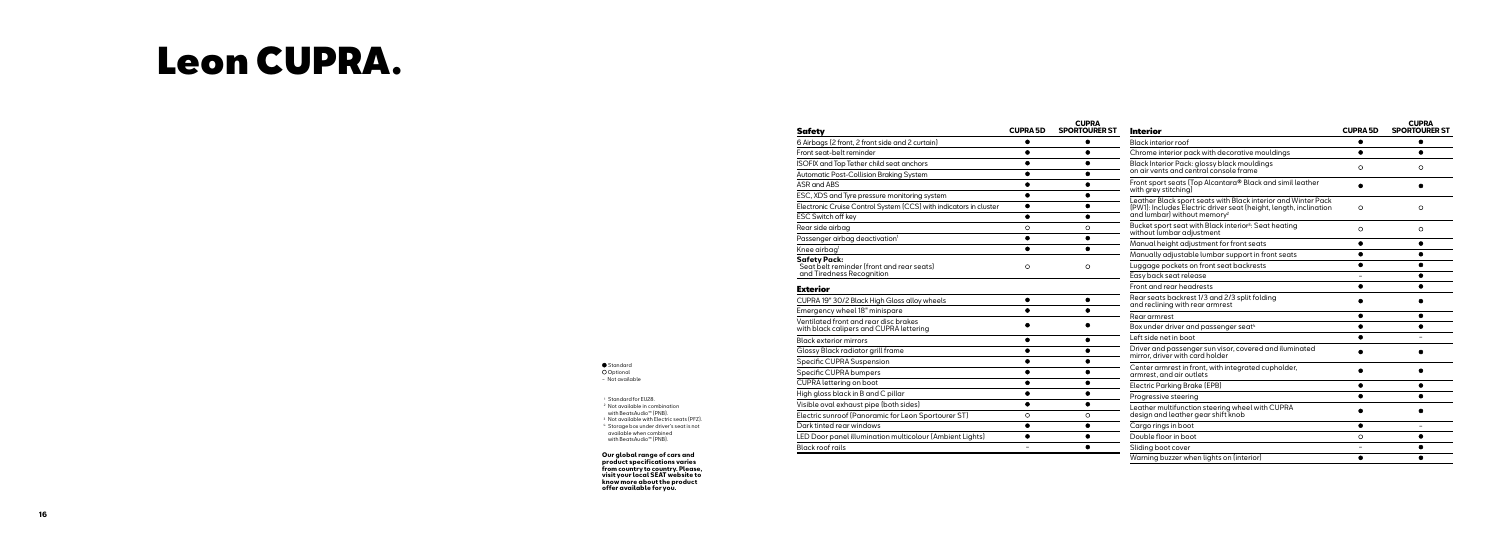ESC Switch off ke Rear side airbag

Passenger airbag

Knee airbag 1 **Safety Pack:**

Seat belt remin and Tiredness F

### Exterior

CUPRA 19" 30/2 B Emergency whee  $\frac{1}{\sqrt{2\pi}}$ with black calipe Black exterior mi Glossy Black rad Specific CUPRA Specific CUPRA **b CUPRA** lettering High gloss black Visible oval exha Electric sunroof I Dark tinted rear LED Door panel i Black roof rails

|                                                 | <b>CUPRA 5D</b> | <b>CUPRA</b><br><b>SPORTOURER ST</b> |
|-------------------------------------------------|-----------------|--------------------------------------|
| t, 2 front side and 2 curtain)                  |                 |                                      |
| eminder                                         |                 |                                      |
| ether child seat anchors                        |                 |                                      |
| Collision Braking System                        |                 |                                      |
|                                                 |                 |                                      |
| re pressure monitoring system                   |                 |                                      |
| Control System (CCS) with indicators in cluster |                 |                                      |
| эy                                              |                 |                                      |
|                                                 | O               | O                                    |
| g deactivation <sup>1</sup>                     |                 |                                      |
|                                                 |                 |                                      |
| der (front and rear seats)<br>Recognition       | Ο               | Ο                                    |
|                                                 |                 |                                      |
| <b>Black High Gloss alloy wheels</b>            |                 |                                      |
| el 18" minispare                                |                 |                                      |
| and rear disc brakes<br>ers and CUPRA lettering |                 |                                      |
| irrors                                          |                 |                                      |
| diator grill frame                              |                 |                                      |
| Suspension                                      |                 |                                      |
| bumpers                                         |                 |                                      |
| on boot                                         |                 |                                      |
| in B and C pillar                               |                 |                                      |
| aust pipe (both sides)                          |                 |                                      |
| (Panoramic for Leon Sportourer ST)              | O               | O                                    |
| windows                                         |                 |                                      |
| illumination multicolour (Ambient Lights)       |                 |                                      |
|                                                 |                 |                                      |

## Leon CUPRA.

#### **<u>Safety</u>** 6 Airbags (2 front

Front seat-belt re **ISOFIX and Top To** Automatic Post-C ASR and ABS ESC, XDS and Ty

Electronic Cruise

| Interior                                                                                                                                                                      | <b>CUPRA 5D</b> | <b>CUPRA</b><br><b>SPORTOURER ST</b> |
|-------------------------------------------------------------------------------------------------------------------------------------------------------------------------------|-----------------|--------------------------------------|
| Black interior roof                                                                                                                                                           |                 |                                      |
| Chrome interior pack with decorative mouldings                                                                                                                                |                 |                                      |
| Black Interior Pack: glossy black mouldings<br>on air vents and central console frame                                                                                         | O               | Ο                                    |
| Front sport seats (Top Alcantara® Black and simil leather<br>with grey stitching)                                                                                             |                 |                                      |
| Leather Black sport seats with Black interior and Winter Pack<br>(PW1): Includes Electric driver seat (height, length, inclination<br>and lumbar) without memory <sup>2</sup> | O               | O                                    |
| Bucket sport seat with Black interior <sup>3</sup> : Seat heating<br>without lumbar adjustment                                                                                | $\circ$         | O                                    |
| Manual height adjustment for front seats                                                                                                                                      | ۰               |                                      |
| Manually adjustable lumbar support in front seats                                                                                                                             |                 |                                      |
| Luggage pockets on front seat backrests                                                                                                                                       |                 |                                      |
| Easy back seat release                                                                                                                                                        |                 |                                      |
| Front and rear headrests                                                                                                                                                      |                 |                                      |
| Rear seats backrest 1/3 and 2/3 split folding<br>and reclining with rear armrest                                                                                              |                 |                                      |
| Rear armrest                                                                                                                                                                  |                 |                                      |
| Box under driver and passenger seat <sup>4</sup>                                                                                                                              |                 |                                      |
| Left side net in boot                                                                                                                                                         |                 |                                      |
| Driver and passenger sun visor, covered and iluminated<br>mirror, driver with card holder                                                                                     |                 |                                      |
| Center armrest in front, with integrated cupholder,<br>armrest, and air outlets                                                                                               |                 |                                      |
| <b>Electric Parking Brake (EPB)</b>                                                                                                                                           |                 |                                      |
| Progressive steering                                                                                                                                                          |                 |                                      |
| Leather multifunction steering wheel with CUPRA<br>design and leather gear shift knob                                                                                         |                 |                                      |
| Cargo rings in boot                                                                                                                                                           |                 | $\overline{\phantom{0}}$             |
| Double floor in boot                                                                                                                                                          | O               |                                      |
| Sliding boot cover                                                                                                                                                            |                 |                                      |
| Warning buzzer when lights on (interior)                                                                                                                                      |                 |                                      |

Standard **O** Optional − Not available

<sup>1</sup> Standard for EU28. <sup>2</sup> Not available in combination with BeatsAudio™ (PNB). <sup>3</sup> Not available with Electric seats (PFZ). <sup>4</sup> Storage box under driver's seat is not available when combined with BeatsAudio™ (PNB).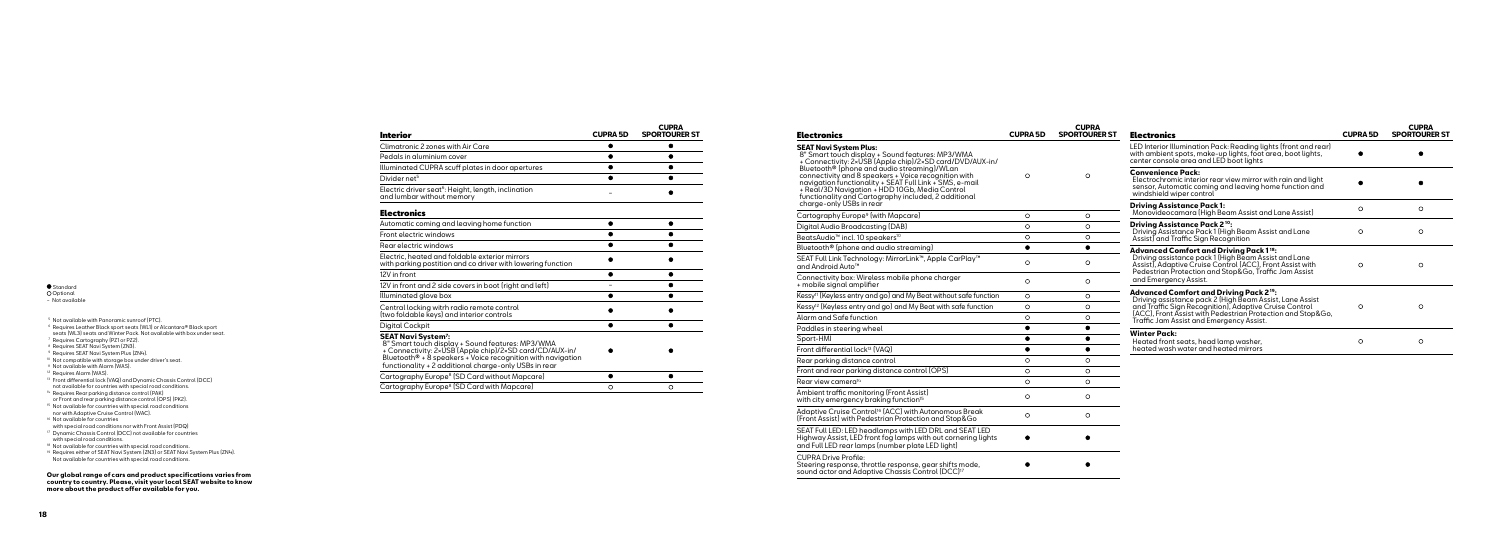Standard

**O** Optional

− Not available

- <sup>5</sup> Not available with Panoramic sunroof (PTC).
- <sup>6</sup> Requires Leather Black sport seats (WL1) or Alcantara® Black sport
- seats (WL3) seats and Winter Pack. Not available with box under seat.
- <sup>7</sup> Requires Cartography (PZ1 or PZ2).
- <sup>8</sup> Requires SEAT Navi System (ZN3).
- <sup>9</sup> Requires SEAT Navi System Plus (ZN4).
- <sup>10</sup> Not compatible with storage box under driver's seat.
- <sup>11</sup> Not available with Alarm (WAS).
- <sup>12</sup> Requires Alarm (WAS).
- <sup>13</sup> Front differential lock (VAQ) and Dynamic Chassis Control (DCC) not available for countries with special road conditions.
- <sup>14</sup> Requires Rear parking distance control (PAK)
- or Front and rear parking distance control (OPS) (PK2). <sup>15</sup> Not available for countries with special road conditions
- nor with Adaptive Cruise Control (WAC).
- <sup>16</sup> Not available for countries
- with special road conditions nor with Front Assist (PDQ) <sup>17</sup> Dynamic Chassis Control (DCC) not available for countries
- with special road conditions.

<sup>18</sup> Not available for countries with special road conditions.

<sup>19</sup> Requires either of SEAT Navi System (ZN3) or SEAT Navi System Plus (ZN4). Not available for countries with special road conditions.

| <b>Electronics</b>                                                                                                                                                                                                        | <b>CUPRA 5D</b> | <b>CUPRA</b><br><b>SPORTOURER ST</b> | <b>Electronics</b>                                                                                                                                                             | <b>CUPRA 5D</b> | <b>CUPRA</b><br><b>SPORTOURER ST</b> |
|---------------------------------------------------------------------------------------------------------------------------------------------------------------------------------------------------------------------------|-----------------|--------------------------------------|--------------------------------------------------------------------------------------------------------------------------------------------------------------------------------|-----------------|--------------------------------------|
| <b>SEAT Navi System Plus:</b><br>8" Smart touch display + Sound features: MP3/WMA<br>+ Connectivity: 2×USB (Apple chip)/2×SD card/DVD/AUX-in/<br>Bluetooth® (phone and audio streaming)/WLan                              |                 |                                      | LED Interior Illumination Pack: Reading lights (front and rear)<br>with ambient spots, make-up lights, foot area, boot lights,<br>center console area and LED boot lights      |                 |                                      |
| connectivity and 8 speakers + Voice recognition with<br>navigation functionality + SEAT Full Link + SMS, e-mail<br>+ Real/3D Navigation + HDD 10Gb, Media Control<br>functionality and Cartography included, 2 additional | $\circ$         | $\circ$                              | <b>Convenience Pack:</b><br>Electrochromic interior rear view mirror with rain and light<br>sensor, Automatic coming and leaving home function and<br>windshield wiper control |                 |                                      |
| charge-only USBs in rear                                                                                                                                                                                                  |                 |                                      | <b>Driving Assistance Pack 1:</b><br>Monovideocamara (High Beam Assist and Lane Assist)                                                                                        | $\circ$         | $\circ$                              |
| Cartography Europe <sup>9</sup> (with Mapcare)                                                                                                                                                                            | $\circ$         | $\circ$                              |                                                                                                                                                                                |                 |                                      |
| Digital Audio Broadcasting (DAB)                                                                                                                                                                                          | $\circ$         | $\circ$                              | <b>Drivina Assistance Pack 2<sup>10</sup>:</b><br>Driving Assistance Pack 1 (High Beam Assist and Lane                                                                         | $\circ$         | $\circ$                              |
| BeatsAudio <sup>™</sup> incl. 10 speakers <sup>10</sup>                                                                                                                                                                   | $\circ$         | $\circ$                              | Assist and Traffic Sign Recognition                                                                                                                                            |                 |                                      |
| Bluetooth <sup>®</sup> [phone and audio streaming]                                                                                                                                                                        | $\bullet$       | $\bullet$                            | <b>Advanced Comfort and Driving Pack 118:</b>                                                                                                                                  |                 |                                      |
| SEAT Full Link Technology: MirrorLink™, Apple CarPlay™<br>and Android Auto <sup>™</sup>                                                                                                                                   | $\circ$         | $\circ$                              | Driving assistance pack 1 (High Beam Assist and Lane<br>Assist), Adaptive Cruise Control (ACC), Front Assist with<br>Pedestrian Protection and Stop&Go, Traffic Jam Assist     | $\circ$         | $\circ$                              |
| Connectivity box: Wireless mobile phone charger<br>+ mobile signal amplifier                                                                                                                                              | $\circ$         | $\circ$                              | and Emergency Assist.                                                                                                                                                          |                 |                                      |
| Kessy <sup>11</sup> (Keyless entry and go) and My Beat without safe function                                                                                                                                              | $\circ$         | $\circ$                              | <b>Advanced Comfort and Driving Pack 219:</b><br>Driving assistance pack 2 (High Beam Assist, Lane Assist                                                                      |                 |                                      |
| Kessy <sup>12</sup> (Keyless entry and go) and My Beat with safe function                                                                                                                                                 | $\circ$         | $\circ$                              | and Traffic Sign Recognition), Adaptive Cruise Control                                                                                                                         | $\circ$         | $\circ$                              |
| Alarm and Safe function                                                                                                                                                                                                   | $\circ$         | $\circ$                              | (ACC), Front Assist with Pedestrian Protection and Stop&Go,<br>Traffic Jam Assist and Emergency Assist.                                                                        |                 |                                      |
| Paddles in steering wheel                                                                                                                                                                                                 | ●               | ∙                                    |                                                                                                                                                                                |                 |                                      |
| Sport-HMI                                                                                                                                                                                                                 | $\bullet$       |                                      | <b>Winter Pack:</b><br>Heated front seats, head lamp washer,                                                                                                                   | $\circ$         | $\circ$                              |
| Front differential lock <sup>13</sup> [VAQ]                                                                                                                                                                               | ▲               | $\bullet$                            | heated wash water and heated mirrors                                                                                                                                           |                 |                                      |
| Rear parking distance control                                                                                                                                                                                             | $\circ$         | $\circ$                              |                                                                                                                                                                                |                 |                                      |
| Front and rear parking distance control (OPS)                                                                                                                                                                             | $\circ$         | $\circ$                              |                                                                                                                                                                                |                 |                                      |
| Rear view camera <sup>14</sup>                                                                                                                                                                                            | $\circ$         | $\circ$                              |                                                                                                                                                                                |                 |                                      |
| Ambient traffic monitoring (Front Assist)<br>with city emergency braking function <sup>15</sup>                                                                                                                           | $\circ$         | $\circ$                              |                                                                                                                                                                                |                 |                                      |
| Adaptive Cruise Control <sup>16</sup> (ACC) with Autonomous Break<br>(Front Assist) with Pedestrian Protection and Stop&Go                                                                                                | $\circ$         | $\circ$                              |                                                                                                                                                                                |                 |                                      |
| SEAT Full LED: LED headlamps with LED DRL and SEAT LED<br>Highway Assist, LED front fog lamps with out cornering lights<br>and Full LED rear lamps (number plate LED light)                                               |                 |                                      |                                                                                                                                                                                |                 |                                      |
| <b>CUPRA Drive Profile:</b><br>Steering response, throttle response, gear shifts mode,<br>sound actor and Adaptive Chassis Control (DCC) <sup>17</sup>                                                                    |                 |                                      |                                                                                                                                                                                |                 |                                      |

| Interior                                                                                                                                                                                                                                                                             | <b>CUPRA 5D</b> | <b>CUPRA</b><br><b>SPORTOURER ST</b> |
|--------------------------------------------------------------------------------------------------------------------------------------------------------------------------------------------------------------------------------------------------------------------------------------|-----------------|--------------------------------------|
| Climatronic 2 zones with Air Care                                                                                                                                                                                                                                                    |                 |                                      |
| Pedals in aluminium cover                                                                                                                                                                                                                                                            |                 |                                      |
| Illuminated CUPRA scuff plates in door apertures                                                                                                                                                                                                                                     |                 |                                      |
| Divider net <sup>5</sup>                                                                                                                                                                                                                                                             |                 |                                      |
| Electric driver seat <sup>6</sup> : Height, length, inclination<br>and lumbar without memory                                                                                                                                                                                         |                 |                                      |
| Electronics                                                                                                                                                                                                                                                                          |                 |                                      |
| Automatic coming and leaving home function                                                                                                                                                                                                                                           |                 |                                      |
| Front electric windows                                                                                                                                                                                                                                                               |                 |                                      |
| Rear electric windows                                                                                                                                                                                                                                                                |                 |                                      |
| Electric, heated and foldable exterior mirrors<br>with parking postition and co driver with lowering function                                                                                                                                                                        |                 |                                      |
| 12V in front                                                                                                                                                                                                                                                                         |                 |                                      |
| 12V in front and 2 side covers in boot (right and left)                                                                                                                                                                                                                              |                 |                                      |
| Illuminated glove box                                                                                                                                                                                                                                                                |                 |                                      |
| Central locking witrh radio remote control<br>(two foldable keys) and interior controls                                                                                                                                                                                              |                 |                                      |
| Digital Cockpit                                                                                                                                                                                                                                                                      |                 |                                      |
| SEAT Navi System <sup>7</sup> :<br>8" Smart touch display + Sound features: MP3/WMA<br>+ Connectivity: 2×USB (Apple chip)/2×SD card/CD/AUX-in/<br>Bluetooth <sup>®</sup> + $8$ speakers + Voice recognition with navigation<br>functionality + 2 additional charge-only USBs in rear |                 |                                      |
| Cartography Europe <sup>8</sup> (SD Card without Mapcare)                                                                                                                                                                                                                            |                 |                                      |
| Cartography Europe <sup>8</sup> (SD Card with Mapcare)                                                                                                                                                                                                                               | $\circ$         | $\circ$                              |
|                                                                                                                                                                                                                                                                                      |                 |                                      |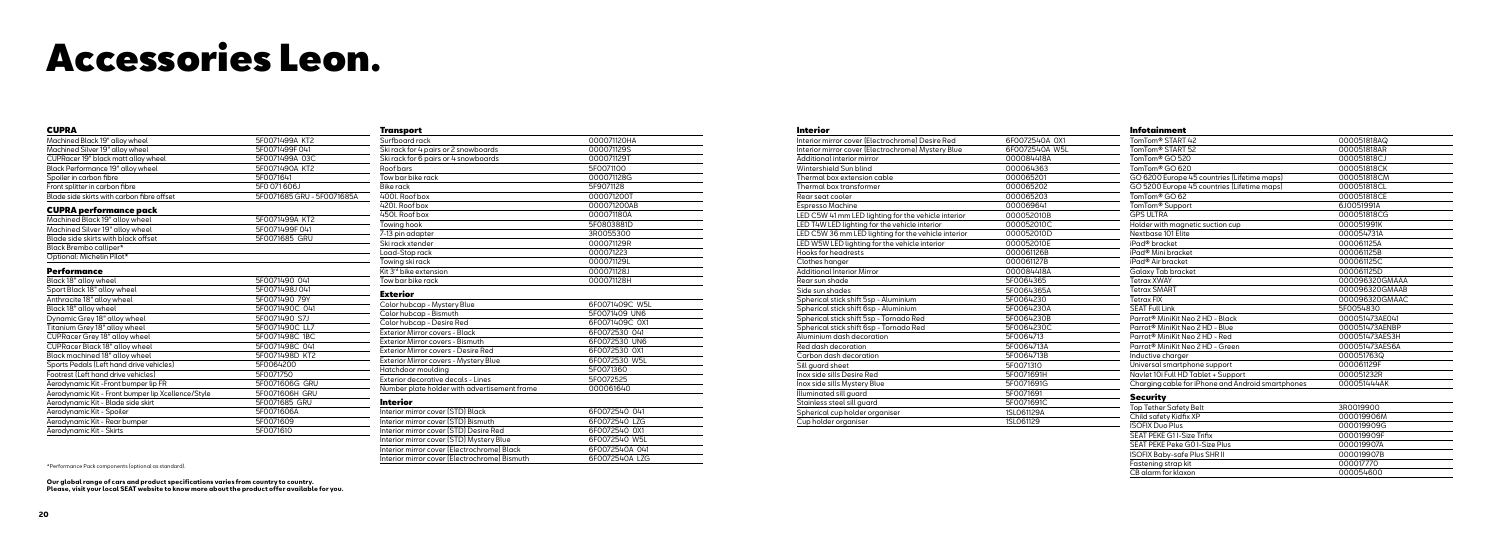## Accessories Leon.

| <b>CUPRA</b>                                       |                            |
|----------------------------------------------------|----------------------------|
| Machined Black 19" alloy wheel                     | 5F0071499A KT2             |
| Machined Silver 19" alloy wheel                    | 5F0071499F041              |
| CUPRacer 19" black matt alloy wheel                | 5F0071499A 03C             |
| Black Performance 19" alloy wheel                  | 5F0071490A KT2             |
| Spoiler in carbon fibre                            | 5F0071641                  |
| Front splitter in carbon fibre                     | 5F0 071 606J               |
| Blade side skirts with carbon fibre offset         | 5F0071685 GRU - 5F0071685A |
| <b>CUPRA performance pack</b>                      |                            |
| Machined Black 19" alloy wheel                     | 5F0071499A KT2             |
| Machined Silver 19" alloy wheel                    | 5F0071499F041              |
| Blade side skirts with black offset                | 5F0071685 GRU              |
| Black Brembo calliper*                             |                            |
| Optional: Michelin Pilot*                          |                            |
| Performance                                        |                            |
| Black 18" alloy wheel                              | 5F0071490 041              |
| Sport Black 18" alloy wheel                        | 5F0071498J041              |
| Anthracite 18" alloy wheel                         | 5F0071490 79Y              |
| Black 18" alloy wheel                              | 5F0071490C 041             |
| Dynamic Grey 18" alloy wheel                       | 5F0071490 S7J              |
| Titanium Grey 18" alloy wheel                      | 5F0071490C LL7             |
| CUPRacer Grey 18" alloy wheel                      | 5F0071498C 1BC             |
| CUPRacer Black 18" alloy wheel                     | 5F0071498C 041             |
| Black machined 18" alloy wheel                     | 5F0071498D KT2             |
| Sports Pedals (Left hand drive vehicles)           | 5F0064200                  |
| Footrest (Left hand drive vehicles)                | 5F0071750                  |
| Aerodynamic Kit -Front bumper lip FR               | 5F0071606G GRU             |
| Aerodynamic Kit - Front bumper lip Xcellence/Style | 5F0071606H GRU             |
| Aerodynamic Kit - Blade side skirt                 | 5F0071685 GRU              |
| Aerodynamic Kit - Spoiler                          | 5F0071606A                 |
| Aerodynamic Kit - Rear bumper                      | 5F0071609                  |
| Aerodynamic Kit - Skirts                           | 5F0071610                  |

| <b>Transport</b>                              |                |
|-----------------------------------------------|----------------|
| Surfboard rack                                | 000071120HA    |
| Ski rack for 4 pairs or 2 snowboards          | 000071129S     |
| Ski rack for 6 pairs or 4 snowboards          | 000071129T     |
| Roof bars                                     | 5F0071100      |
| Tow bar bike rack                             | 000071128G     |
| <b>Bike rack</b>                              | 5F9071128      |
| 400l. Roof box                                | 000071200T     |
| 420l. Roof box                                | 000071200AB    |
| 450I. Roof box                                | 000071180A     |
| Towing hook                                   | 5F0803881D     |
| 7-13 pin adapter                              | 3R0055300      |
| Ski rack xtender                              | 000071129R     |
| Load-Stop rack                                | 000071223      |
| Towing ski rack                               | 000071129L     |
| Kit 3 <sup>rd</sup> bike extension            | 000071128J     |
| Tow bar bike rack                             | 000071128H     |
| <b>Exterior</b>                               |                |
| Color hubcap - Mystery Blue                   | 6F0071409C W5L |
| Color hubcap - Bismuth                        | 5F0071409 UN6  |
| Color hubcap - Desire Red                     | 6F0071409C 0X1 |
| Exterior Mirror covers - Black                | 6F0072530 041  |
| Exterior Mirror covers - Bismuth              | 6F0072530 UN6  |
| Exterior Mirror covers - Desire Red           | 6F0072530 0X1  |
| Exterior Mirror covers - Mystery Blue         | 6F0072530 W5L  |
| Hatchdoor moulding                            | 5F0071360      |
| Exterior decorative decals - Lines            | 5F0072525      |
| Number plate holder with advertisement frame  | 000061640      |
| Interior                                      |                |
| Interior mirror cover [STD] Black             | 6F0072540 041  |
| Interior mirror cover (STD) Bismuth           | 6F0072540 LZG  |
| Interior mirror cover (STD) Desire Red        | 6F0072540 0X1  |
| Interior mirror cover (STD) Mystery Blue      | 6F0072540 W5L  |
| Interior mirror cover (Electrochrome) Black   | 6F0072540A 041 |
| Interior mirror cover (Electrochrome) Bismuth | 6F0072540A LZG |

#### Interior

Interior mirror co Interior mirror co Additional interio Wintershield Sur Thermal box ext Thermal box trai  $\overline{\mathsf{Rear}\, \mathsf{seat}\, \mathsf{cooder}}$ Espresso Machin  $LED$  C5W 41 mm LED T4W LED light LED C5W 36 mm LED W5W LED li Hooks for headre Clothes hanger Additional Interio Rear sun shade Side sun shades Spherical stick s Spherical stick s Spherical stick sh Spherical stick s Aluminium dash Red dash decord Carbon dash de Sill guard sheet Inox side sills De Inox side sills My Illuminated sill o Stainless steel s Spherical cup ho Cup holder orga

| <b>Infotainment</b>                               |                |
|---------------------------------------------------|----------------|
| TomTom <sup>®</sup> START 42                      | 000051818AQ    |
| TomTom <sup>®</sup> START 52                      | 000051818AR    |
| TomTom <sup>®</sup> GO 520                        | 000051818CJ    |
| TomTom® GO 620                                    | 000051818CK    |
| GO 6200 Europe 45 countries (Lifetime maps)       | 000051818CM    |
| GO 5200 Europe 45 countries (Lifetime maps)       | 000051818CL    |
| TomTom® GO 62                                     | 000051818CE    |
| TomTom <sup>®</sup> Support                       | 6J0051991A     |
| <b>GPS ULTRA</b>                                  | 000051818CG    |
| Holder with magnetic suction cup                  | 000051991K     |
| Nextbase 101 Elite                                | 000054731A     |
| iPad® bracket                                     | 000061125A     |
| iPad <sup>®</sup> Mini bracket                    | 000061125B     |
| iPad <sup>®</sup> Air bracket                     | 000061125C     |
| Galaxy Tab bracket                                | 000061125D     |
| <b>Tetrax XWAY</b>                                | 000096320GMAAA |
| <b>Tetrax SMART</b>                               | 000096320GMAAB |
| <b>Tetrax FIX</b>                                 | 000096320GMAAC |
| <b>SEAT Full Link</b>                             | 5F0054830      |
| Parrot <sup>®</sup> MiniKit Neo 2 HD - Black      | 000051473AE041 |
| Parrot <sup>®</sup> MiniKit Neo 2 HD - Blue       | 000051473AENBP |
| Parrot <sup>®</sup> MiniKit Neo 2 HD - Red        | 000051473AES3H |
| Parrot <sup>®</sup> MiniKit Neo 2 HD - Green      | 000051473AES6A |
| Inductive charger                                 | 000051763Q     |
| Universal smartphone support                      | 000061129F     |
| Navlet 10i Full HD Tablet + Support               | 000051232R     |
| Charging cable for iPhone and Android smartphones | 000051444AK    |
| <b>Security</b>                                   |                |
| <b>Top Tether Safety Belt</b>                     | 3R0019900      |
| Child safety Kidfix XP                            | 000019906M     |
| <b>ISOFIX Duo Plus</b>                            | 000019909G     |
| SEAT PEKE G11-Size Trifix                         | 000019909F     |
| SEAT PEKE Peke GO I-Size Plus                     | 000019907A     |
| <b>ISOFIX Baby-safe Plus SHR II</b>               | 000019907B     |
| Fastening strap kit                               | 000017770      |
| CB alarm for klaxon                               | 000054600      |

\*Performance Pack components (optional as standard).

| ver (Electrochrome) Desire Red          | 6F0072540A 0X1 |
|-----------------------------------------|----------------|
| ver (Electrochrome) Mystery Blue        | 6F0072540A W5L |
| or mirror                               | 000084418A     |
| n blind                                 | 000064363      |
| ension cable                            | 000065201      |
| _<br>nsformer                           | 000065202      |
|                                         | 000065203      |
| ٦e                                      | 000069641      |
| LED lighting for the vehicle interior   | 000052010B     |
| hting for the vehicle interior          | 000052010C     |
| I LED lighting for the vehicle interior | 000052010D     |
| ghting for the vehicle interior         | 000052010E     |
| ests                                    | 000061126B     |
|                                         | 000061127B     |
| or Mirror                               | 000084418A     |
|                                         | 5F0064365      |
|                                         | 5F0064365A     |
| hift 5sp - Aluminium                    | 5F0064230      |
| hift 6sp - Aluminium                    | 5F0064230A     |
| hift 5sp - Tornado Red                  | 5F0064230B     |
| hift 6sp - Tornado Red                  | 5F0064230C     |
| decoration                              | 5F0064713      |
| ation                                   | 5F0064713A     |
| coration                                | 5F0064713B     |
|                                         | 5F0071310      |
| sire Red                                | 5F0071691H     |
| stery Blue                              | 5F0071691G     |
| ıuard                                   | 5F0071691      |
| ill guard                               | 5F0071691C     |
| older organiser                         | 1SL061129A     |
| ıniser                                  | 1SL061129      |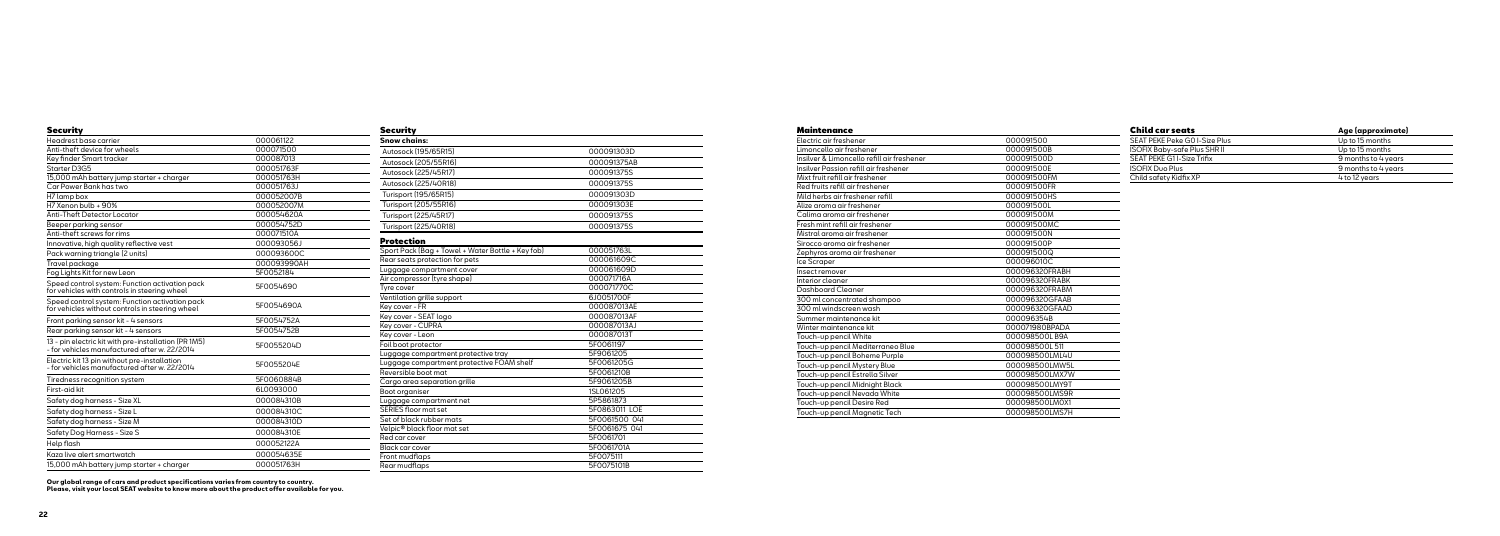| Securitv                                                                                             |             |
|------------------------------------------------------------------------------------------------------|-------------|
| Headrest base carrier                                                                                | 000061122   |
| Anti-theft device for wheels                                                                         | 000071500   |
| Key finder Smart tracker                                                                             | 000087013   |
| Starter D3G5                                                                                         | 000051763F  |
| 15,000 mAh battery jump starter + charger                                                            | 000051763H  |
| Car Power Bank has two                                                                               | 000051763J  |
| H7 lamp box                                                                                          | 000052007B  |
| H7 Xenon bulb + 90%                                                                                  | 000052007M  |
| Anti-Theft Detector Locator                                                                          | 000054620A  |
| Beeper parking sensor                                                                                | 000054752D  |
| Anti-theft screws for rims                                                                           | 000071510A  |
| Innovative, high quality reflective vest                                                             | 000093056J  |
| Pack warning triangle (2 units)                                                                      | 000093600C  |
| Travel package                                                                                       | 000093990AH |
| Fog Lights Kit for new Leon                                                                          | 5F0052184   |
| Speed control system: Function activation pack<br>for vehicles with controls in steering wheel       | 5F0054690   |
| Speed control system: Function activation pack<br>for vehicles without controls in steering wheel    | 5F0054690A  |
| Front parking sensor kit - 4 sensors                                                                 | 5F0054752A  |
| Rear parking sensor kit - 4 sensors                                                                  | 5F0054752B  |
| 13 - pin electric kit with pre-installation (PR 1M5)<br>- for vehicles manufactured after w. 22/2014 | 5F0055204D  |
| Electric kit 13 pin without pre-installation<br>- for vehicles manufactured after w. 22/2014         | 5F0055204E  |
| Tiredness recognition system                                                                         | 5F0060884B  |
| First-gid kit                                                                                        | 6L0093000   |
| Safety dog harness - Size XL                                                                         | 000084310B  |
| Safety dog harness - Size L                                                                          | 000084310C  |
| Safety dog harness - Size M                                                                          | 000084310D  |
| Safety Dog Harness - Size S                                                                          | 000084310E  |
| Help flash                                                                                           | 000052122A  |
| Kaza live alert smartwatch                                                                           | 000054635E  |
| 15,000 mAh battery jump starter + charger                                                            | 000051763H  |

| Security                                          |               |
|---------------------------------------------------|---------------|
| <b>Snow chains:</b>                               |               |
| Autosock [195/65R15]                              | 000091303D    |
| Autosock (205/55R16)                              | 000091375AB   |
| Autosock [225/45R17]                              | 000091375S    |
| Autosock (225/40R18)                              | 000091375S    |
| Turisport (195/65R15)                             | 000091303D    |
| Turisport (205/55R16)                             | 000091303E    |
| Turisport (225/45R17)                             | 000091375S    |
| Turisport (225/40R18)                             | 000091375S    |
| Protection                                        |               |
| Sport Pack (Bag + Towel + Water Bottle + Key fob) | 000051763L    |
| Rear seats protection for pets                    | 000061609C    |
| Luggage compartment cover                         | 000061609D    |
| Air compressor (tyre shape)                       | 000071716A    |
| Tyre cover                                        | 000071770C    |
| Ventilation grille support                        | 6J0051700F    |
| Key cover - FR                                    | 000087013AE   |
| Key cover - SEAT logo                             | 000087013AF   |
| Key cover - CUPRA                                 | 000087013AJ   |
| Key cover - Leon                                  | 000087013T    |
| Foil boot protector                               | 5F0061197     |
| Luggage compartment protective tray               | 5F9061205     |
| Luggage compartment protective FOAM shelf         | 5F0061205G    |
| Reversible boot mat                               | 5F0061210B    |
| Cargo area separation grille                      | 5F9061205B    |
| Boot organiser                                    | 1SL061205     |
| Luggage compartment net                           | 5P5861873     |
| SERIES floor mat set                              | 5F0863011 LOE |
| Set of black rubber mats                          | 5F0061500 041 |
| Velpic® black floor mat set                       | 5F0061675 041 |
| Red car cover                                     | 5F0061701     |
| Black car cover                                   | 5F0061701A    |
| Front mudflaps                                    | 5F0075111     |
| Rear mudflaps                                     | 5F0075101B    |

### **Maintenance**

Electric air freshe Limoncello air fre Insilver & Limonc **Insilver Passion** Mixt fruit refill air Red fruits refill a Mild herbs air fre Alize aroma air Calima aroma a Fresh mint refill Mistral aroma ai Sirocco aroma a Zephyros aroma Ice Scraper Insect remover Interior cleaner Dashboard Clea 300 ml concentr 300 ml windscre Summer mainter Winter maintend Touch-up pencil Touch-up pencil Touch-up pencil Touch-up pencil Touch-up pencil Touch-up pencil Touch-up pencil Touch-up pencil Touch-up pencil

| <b>Child car seats</b>              | Age (approximate)   |
|-------------------------------------|---------------------|
| SEAT PEKE Peke GO I-Size Plus       | Up to 15 months     |
| <b>ISOFIX Baby-safe Plus SHR II</b> | Up to 15 months     |
| SEAT PEKE G11-Size Trifix           | 9 months to 4 years |
| <b>ISOFIX Duo Plus</b>              | 9 months to 4 years |
| Child safety Kidfix XP              | 4 to 12 years       |

| э                          |                |
|----------------------------|----------------|
| ener                       | 000091500      |
| eshener                    | 000091500B     |
| cello refill air freshener | 000091500D     |
| refill air freshener       | 000091500E     |
| r freshener                | 000091500FM    |
| iir freshener              | 000091500FR    |
| eshener refill             | 000091500HS    |
| <sup>:</sup> reshener      | 000091500L     |
| iir freshener              | 000091500M     |
| air freshener              | 000091500MC    |
| ir freshener               | 000091500N     |
| uir freshener              | 000091500P     |
| a air freshener            | 000091500Q     |
|                            | 000096010C     |
|                            | 000096320FRABH |
|                            | 000096320FRABK |
| aner                       | 000096320FRABM |
| rated shampoo              | 000096320GFAAB |
| een wash                   | 000096320GFAAD |
| nance kit                  | 000096354B     |
| ance kit                   | 000071980BPADA |
| l White                    | 000098500LB9A  |
| l Mediterraneo Blue        | 000098500L511  |
| <b>Boheme Purple</b>       | 000098500LML4U |
| l Mystery Blue             | 000098500LMW5L |
| l Estrella Silver          | 000098500LMX7W |
| l Midnight Black           | 000098500LMY9T |
| l Nevada White             | 000098500LMS9R |
| l Desire Red               | 000098500LM0X1 |
| l Magnetic Tech            | 000098500LMS7H |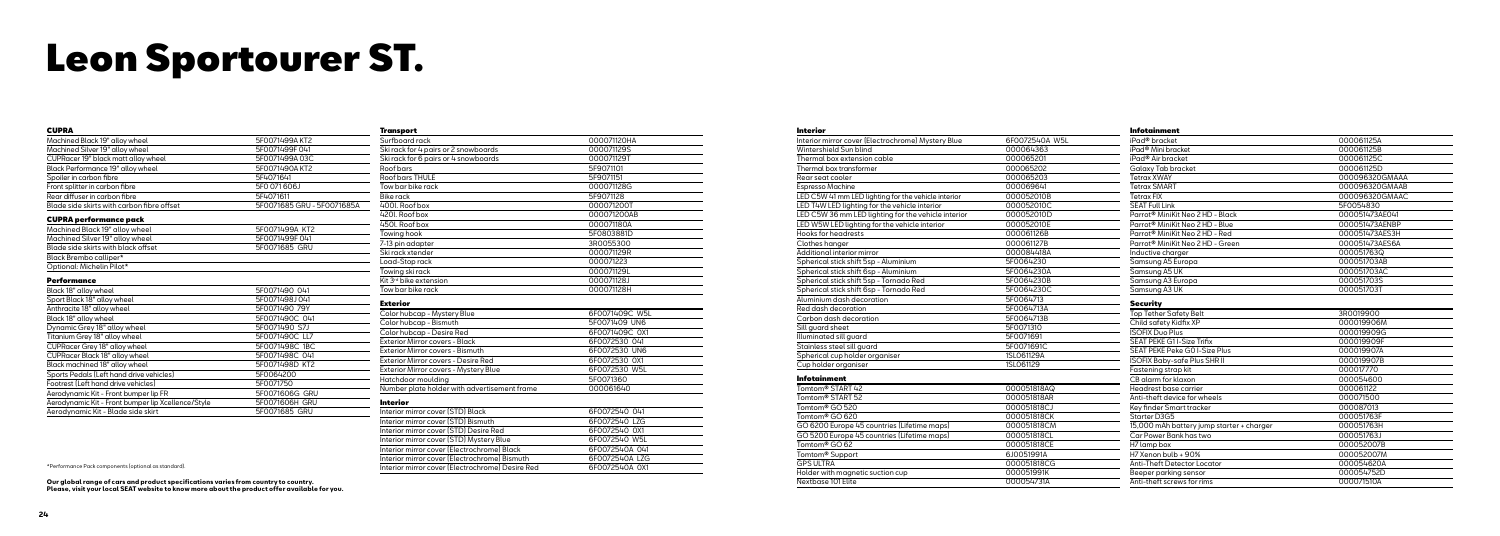## Leon Sportourer ST.

| <b>CUPRA</b>                                       |                            |
|----------------------------------------------------|----------------------------|
| Machined Black 19" alloy wheel                     | 5F0071499A KT2             |
| Machined Silver 19" alloy wheel                    | 5F0071499F041              |
| CUPRacer 19" black matt alloy wheel                | 5F0071499A03C              |
| Black Performance 19" alloy wheel                  | 5F0071490A KT2             |
| Spoiler in carbon fibre                            | 5F4071641                  |
| Front splitter in carbon fibre                     | 5F0 071 606J               |
| Rear diffuser in carbon fibre                      | 5F4071611                  |
| Blade side skirts with carbon fibre offset         | 5F0071685 GRU - 5F0071685A |
| <b>CUPRA performance pack</b>                      |                            |
| Machined Black 19" alloy wheel                     | 5F0071499A KT2             |
| Machined Silver 19" alloy wheel                    | 5F0071499F041              |
| Blade side skirts with black offset                | 5F0071685 GRU              |
| Black Brembo calliper*                             |                            |
| Optional: Michelin Pilot*                          |                            |
| Performance                                        |                            |
| Black 18" alloy wheel                              | 5F0071490 041              |
| Sport Black 18" alloy wheel                        | 5F0071498J041              |
| Anthracite 18" alloy wheel                         | 5F0071490 79Y              |
| Black 18" alloy wheel                              | 5F0071490C 041             |
| Dynamic Grey 18" alloy wheel                       | 5F0071490 S7J              |
| Titanium Grey 18" alloy wheel                      | 5F0071490C LL7             |
| CUPRacer Grey 18" alloy wheel                      | 5F0071498C 1BC             |
| CUPRacer Black 18" alloy wheel                     | 5F0071498C 041             |
| Black machined 18" alloy wheel                     | 5F0071498D KT2             |
| Sports Pedals (Left hand drive vehicles)           | 5F0064200                  |
| Footrest (Left hand drive vehicles)                | 5F0071750                  |
| Aerodynamic Kit - Front bumper lip FR              | 5F0071606G GRU             |
| Aerodynamic Kit - Front bumper lip Xcellence/Style | 5F0071606H GRU             |
| Aerodynamic Kit - Blade side skirt                 | 5F0071685 GRU              |

| <b>Transport</b>                                 |                |
|--------------------------------------------------|----------------|
| Surfboard rack                                   | 000071120HA    |
| Ski rack for 4 pairs or 2 snowboards             | 000071129S     |
| Ski rack for 6 pairs or 4 snowboards             | 000071129T     |
| Roof bars                                        | 5F9071101      |
| Roof bars THULE                                  | 5F9071151      |
| Tow bar bike rack                                | 000071128G     |
| <b>Bike rack</b>                                 | 5F9071128      |
| 400l. Roof box                                   | 000071200T     |
| 420l. Roof box                                   | 000071200AB    |
| 450l. Roof box                                   | 000071180A     |
| Towing hook                                      | 5F0803881D     |
| 7-13 pin adapter                                 | 3R0055300      |
| Ski rack xtender                                 | 000071129R     |
| Load-Stop rack                                   | 000071223      |
| Towing ski rack                                  | 000071129L     |
| Kit 3 <sup>rd</sup> bike extension               | 000071128J     |
| Tow bar bike rack                                | 000071128H     |
| <b>Exterior</b>                                  |                |
| Color hubcap - Mystery Blue                      | 6F0071409C W5L |
| Color hubcap - Bismuth                           | 5F0071409 UN6  |
| Color hubcap - Desire Red                        | 6F0071409C 0X1 |
| Exterior Mirror covers - Black                   | 6F0072530 041  |
| Exterior Mirror covers - Bismuth                 | 6F0072530 UN6  |
| Exterior Mirror covers - Desire Red              | 6F0072530 0X1  |
| Exterior Mirror covers - Mystery Blue            | 6F0072530 W5L  |
| Hatchdoor moulding                               | 5F0071360      |
| Number plate holder with advertisement frame     | 000061640      |
| <b>Interior</b>                                  |                |
| Interior mirror cover [STD] Black                | 6F0072540 041  |
| Interior mirror cover (STD) Bismuth              | 6F0072540 LZG  |
| Interior mirror cover [STD] Desire Red           | 6F0072540 0X1  |
| Interior mirror cover (STD) Mystery Blue         | 6F0072540 W5L  |
| Interior mirror cover (Electrochrome) Black      | 6F0072540A 041 |
| Interior mirror cover (Electrochrome) Bismuth    | 6F0072540A LZG |
| Interior mirror cover (Electrochrome) Desire Red | 6F0072540A 0X1 |

#### Interior

Nextbase 101 Elite

| Interior mirror cover (Electrochrome) Mystery Blue  | 6F0072540A W5L |
|-----------------------------------------------------|----------------|
| Wintershield Sun blind                              | 000064363      |
| Thermal box extension cable                         | 000065201      |
| Thermal box transformer                             | 000065202      |
| Rear seat cooler                                    | 000065203      |
| Espresso Machine                                    | 000069641      |
| LED C5W 41 mm LED lighting for the vehicle interior | 000052010B     |
| LED T4W LED lighting for the vehicle interior       | 000052010C     |
| LED C5W 36 mm LED lighting for the vehicle interior | 000052010D     |
| LED W5W LED lighting for the vehicle interior       | 000052010E     |
| <b>Hooks for headrests</b>                          | 000061126B     |
| Clothes hanger                                      | 000061127B     |
| Additional interior mirror                          | 000084418A     |
| Spherical stick shift 5sp - Aluminium               | 5F0064230      |
| Spherical stick shift 6sp - Aluminium               | 5F0064230A     |
| Spherical stick shift 5sp - Tornado Red             | 5F0064230B     |
| Spherical stick shift 6sp - Tornado Red             | 5F0064230C     |
| Aluminium dash decoration                           | 5F0064713      |
| Red dash decoration                                 | 5F0064713A     |
| Carbon dash decoration                              | 5F0064713B     |
| Sill guard sheet                                    | 5F0071310      |
| Illuminated sill guard                              | 5F0071691      |
| Stainless steel sill quard                          | 5F0071691C     |
| Spherical cup holder organiser                      | 1SL061129A     |
| Cup holder organiser                                | 1SL061129      |
| <b>Infotainment</b>                                 |                |
| Tomtom <sup>®</sup> START 42                        | 000051818AQ    |
| Tomtom <sup>®</sup> START 52                        | 000051818AR    |
| Tomtom <sup>®</sup> GO 520                          | 000051818CJ    |
| Tomtom <sup>®</sup> GO 620                          | 000051818CK    |
| GO 6200 Europe 45 countries (Lifetime maps)         | 000051818CM    |
| GO 5200 Europe 45 countries (Lifetime maps)         | 000051818CL    |
| Tomtom <sup>®</sup> GO 62                           | 000051818CE    |
| Tomtom <sup>®</sup> Support                         | 6J0051991A     |
| <b>GPS ULTRA</b>                                    | 000051818CG    |
| Holder with magnetic suction cup                    | 000051991K     |
| Nextbase 101 Flite                                  | 000054731A     |

| <b>Infotainment</b>                          |                |
|----------------------------------------------|----------------|
| iPad® bracket                                | 000061125A     |
| iPad <sup>®</sup> Mini bracket               | 000061125B     |
| iPad <sup>®</sup> Air bracket                | 000061125C     |
| Galaxy Tab bracket                           | 000061125D     |
| <b>Tetrax XWAY</b>                           | 000096320GMAAA |
| <b>Tetrax SMART</b>                          | 000096320GMAAB |
| <b>Tetrax FIX</b>                            | 000096320GMAAC |
| <b>SEAT Full Link</b>                        | 5F0054830      |
| Parrot <sup>®</sup> MiniKit Neo 2 HD - Black | 000051473AE041 |
| Parrot <sup>®</sup> MiniKit Neo 2 HD - Blue  | 000051473AENBP |
| Parrot <sup>®</sup> MiniKit Neo 2 HD - Red   | 000051473AES3H |
| Parrot <sup>®</sup> MiniKit Neo 2 HD - Green | 000051473AES6A |
| Inductive charger                            | 000051763Q     |
| Samsung A5 Europa                            | 000051703AB    |
| Samsung A5 UK                                | 000051703AC    |
| Samsung A3 Europa                            | 000051703S     |
| Samsung A3 UK                                | 000051703T     |
| <b>Security</b>                              |                |
| Top Tether Safety Belt                       | 3R0019900      |
| Child safety Kidfix XP                       | 000019906M     |
| <b>ISOFIX Duo Plus</b>                       | 000019909G     |
| <b>SEAT PEKE G1I-Size Trifix</b>             | 000019909F     |
| <b>SEAT PEKE Peke GO I-Size Plus</b>         | 000019907A     |
| <b>ISOFIX Baby-safe Plus SHR II</b>          | 000019907B     |
| Fastening strap kit                          | 000017770      |
| CB alarm for klaxon                          | 000054600      |
| Headrest base carrier                        | 000061122      |
| Anti-theft device for wheels                 | 000071500      |
| Key finder Smart tracker                     | 000087013      |
| Starter D3G5                                 | 000051763F     |
| 15,000 mAh battery jump starter + charger    | 000051763H     |
| Car Power Bank has two                       | 000051763J     |
| H7 lamp box                                  | 000052007B     |
| H7 Xenon bulb + 90%                          | 000052007M     |
| Anti-Theft Detector Locator                  | 000054620A     |
| Beeper parking sensor                        | 000054752D     |
| Anti-theft screws for rims                   | 000071510A     |

**Our global range of cars and product specifications varies from country to country.** Anti-theft screws for rims 000071510A **Please, visit your local SEAT website to know more about the product offer available for you.**

\*Performance Pack components (optional as standard).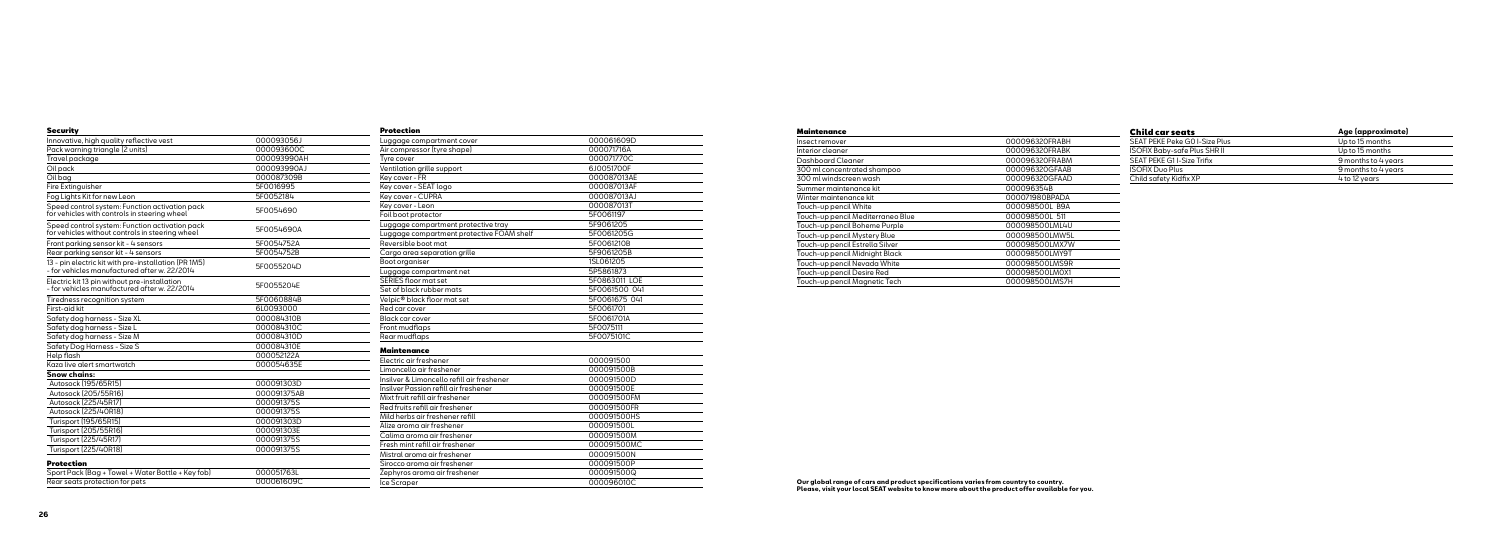| <b>Security</b>                                                                                      |             | <b>Protection</b>                          |                          |
|------------------------------------------------------------------------------------------------------|-------------|--------------------------------------------|--------------------------|
| Innovative, high quality reflective vest                                                             | 000093056J  | Luggage compartment cover                  | 000061609D               |
| Pack warning triangle (2 units)                                                                      | 000093600C  | Air compressor (tyre shape)                | 000071716A               |
| Travel package                                                                                       | 000093990AH | Tyre cover                                 | 000071770C               |
| Oil pack                                                                                             | 000093990AJ | Ventilation grille support                 | 6J0051700F               |
| Oil baa                                                                                              | 000087309B  | Key cover - FR                             | 000087013AE              |
| Fire Extinguisher                                                                                    | 5F0016995   | Key cover - SEAT logo                      | 000087013AF              |
| Fog Lights Kit for new Leon                                                                          | 5F0052184   | Key cover - CUPRA                          | 000087013AJ              |
| Speed control system: Function activation pack<br>for vehicles with controls in steering wheel       | 5F0054690   | Kev cover - Leon                           | 000087013T               |
|                                                                                                      |             | Foil boot protector                        | 5F0061197                |
| Speed control system: Function activation pack<br>for vehicles without controls in steering wheel    | 5F0054690A  | Luggage compartment protective tray        | 5F9061205                |
|                                                                                                      |             | Luggage compartment protective FOAM shelf  | 5F0061205G               |
| Front parking sensor kit - 4 sensors                                                                 | 5F0054752A  | Reversible boot mat                        | 5F0061210B               |
| Rear parking sensor kit - 4 sensors                                                                  | 5F0054752B  | Cargo area separation grille               | 5F9061205B               |
| 13 - pin electric kit with pre-installation (PR 1M5)<br>- for vehicles manufactured after w. 22/2014 | 5F0055204D  | Boot organiser                             | 1SL061205                |
|                                                                                                      |             | Luggage compartment net                    | 5P5861873                |
| Electric kit 13 pin without pre-installation<br>- for vehicles manufactured after w. 22/2014         | 5F0055204E  | SERIES floor mat set                       | 5F0863011 LOE            |
|                                                                                                      |             | Set of black rubber mats                   | 5F0061500 041            |
| Tiredness recognition system                                                                         | 5F0060884B  | Velpic <sup>®</sup> black floor mat set    | 5F0061675 041            |
| First-aid kit                                                                                        | 6L0093000   | Red car cover                              | 5F0061701                |
| Safety dog harness - Size XL                                                                         | 000084310B  | Black car cover                            | 5F0061701A               |
| Safety dog harness - Size L                                                                          | 000084310C  | Front mudflaps                             | 5F0075111                |
| Safety dog harness - Size M                                                                          | 000084310D  | Rear mudflaps                              | 5F0075101C               |
| Safety Dog Harness - Size S                                                                          | 000084310E  | <b>Maintenance</b>                         |                          |
| Help flash                                                                                           | 000052122A  | Electric air freshener                     | 000091500                |
| Kaza live alert smartwatch                                                                           | 000054635E  | Limoncello air freshener                   | 000091500B               |
| <b>Snow chains:</b>                                                                                  |             | Insilver & Limoncello refill air freshener | 000091500D               |
| Autosock [195/65R15]                                                                                 | 000091303D  | Insilver Passion refill air freshener      | 000091500E               |
| Autosock [205/55R16]                                                                                 | 000091375AB | Mixt fruit refill air freshener            | 000091500FM              |
| Autosock [225/45R17]                                                                                 | 000091375S  | Red fruits refill air freshener            | 000091500FR              |
| Autosock [225/40R18]                                                                                 | 000091375S  | Mild herbs air freshener refill            | 000091500HS              |
| Turisport (195/65R15)                                                                                | 000091303D  | Alize aroma air freshener                  | 000091500L               |
| Turisport (205/55R16)                                                                                | 000091303E  | Calima aroma air freshener                 | 000091500M               |
| Turisport (225/45R17)                                                                                | 000091375S  | Fresh mint refill air freshener            | 000091500MC              |
| Turisport (225/40R18)                                                                                | 000091375S  | Mistral aroma air freshener                | 000091500N               |
| <b>Protection</b>                                                                                    |             | Sirocco aroma air freshener                | 000091500P               |
|                                                                                                      | 000051763L  |                                            |                          |
| Sport Pack (Bag + Towel + Water Bottle + Key fob)                                                    | 000061609C  | Zephyros aroma air freshener               | 000091500Q<br>000096010C |
| Rear seats protection for pets                                                                       |             | Ice Scraper                                |                          |

#### Maintenance

Insect remover Interior cleaner Dashboard Clea 300 ml concentre 300 ml windscre Summer mainter Winter maintena Touch-up pencil  $\overline{\text{Touch-up pencil}}$ Touch-up pencil Touch-up pencil Touch-up pencil Touch-up pencil Touch-up pencil Touch-up pencil Touch-up pencil

| Child car seats                     | Age (approximate)   |  |
|-------------------------------------|---------------------|--|
| SEAT PEKE Peke GO I-Size Plus       | Up to 15 months     |  |
| <b>ISOFIX Baby-safe Plus SHR II</b> | Up to 15 months     |  |
| SEAT PEKE G11-Size Trifix           | 9 months to 4 years |  |
| <b>ISOFIX Duo Plus</b>              | 9 months to 4 years |  |
| Child safety Kidfix XP              | 4 to 12 years       |  |

|                      | 000096320FRABH |
|----------------------|----------------|
|                      | 000096320FRABK |
| ıner                 | 000096320FRABM |
| ated shampoo         | 000096320GFAAB |
| en wash!             | 000096320GFAAD |
| hance kit            | 000096354B     |
| ınce kit             | 000071980BPADA |
| White                | 000098500L B9A |
| Mediterraneo Blue    | 000098500L 511 |
| <b>Boheme Purple</b> | 000098500LML4U |
| Mystery Blue         | 000098500LMW5L |
| Estrella Silver      | 000098500LMX7W |
| Midnight Black       | 000098500LMY9T |
| Nevada White         | 000098500LMS9R |
| Desire Red           | 000098500LM0X1 |
| Magnetic Tech        | 000098500LMS7H |
|                      |                |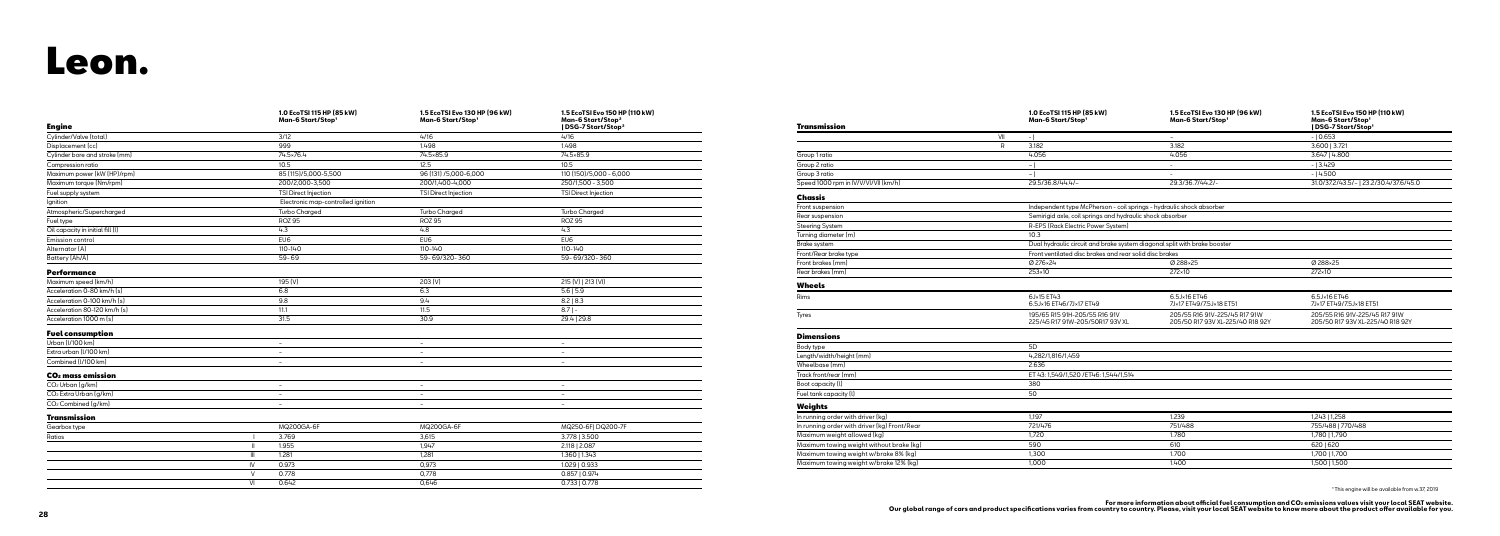## Leon.

| <b>Engine</b>                      |                        | 1.0 EcoTSI 115 HP (85 kW)<br>Man-6 Start/Stop1 | 1.5 EcoTSI Evo 130 HP (96 kW)<br>Man-6 Start/Stop1 | 1.5 EcoTSI Evo 150 HP (110 kW)<br>Man-6 Start/Stop <sup>2</sup><br>  DSG-7 Start/Stop <sup>2</sup> |
|------------------------------------|------------------------|------------------------------------------------|----------------------------------------------------|----------------------------------------------------------------------------------------------------|
| Cylinder/Valve (total)             |                        | 3/12                                           | 4/16                                               | 4/16                                                                                               |
| Displacement (cc)                  |                        | 999                                            | 1.498                                              | 1.498                                                                                              |
| Cylinder bore and stroke [mm]      |                        | 74.5×76.4                                      | 74.5×85.9                                          | 74.5×85.9                                                                                          |
| Compression ratio                  |                        | 10.5                                           | 12.5                                               | 10.5                                                                                               |
| Maximum power (kW (HP)/rpm)        |                        | 85 (115)/5,000-5,500                           | 96 (131) /5,000-6,000                              | 110 (150)/5,000 - 6,000                                                                            |
| Maximum torque (Nm/rpm)            |                        | 200/2,000-3,500                                | 200/1,400-4,000                                    | 250/1,500 - 3,500                                                                                  |
| Fuel supply system                 |                        | TSI Direct Injection                           | TSI Direct Injection                               | TSI Direct Injection                                                                               |
| Ignition                           |                        | Electronic map-controlled ignition             |                                                    |                                                                                                    |
| Atmospheric/Supercharged           |                        | <b>Turbo Charged</b>                           | <b>Turbo Charged</b>                               | <b>Turbo Charged</b>                                                                               |
| Fuel type                          |                        | <b>ROZ 95</b>                                  | <b>ROZ 95</b>                                      | <b>ROZ 95</b>                                                                                      |
| Oil capacity in initial fill (I)   |                        | 4.3                                            | 4.8                                                | 4.3                                                                                                |
| Emission control                   |                        | EU6                                            | EU6                                                | EU6                                                                                                |
| Alternator [A]                     |                        | 110-140                                        | 110-140                                            | 110-140                                                                                            |
| Battery (Ah/A)                     |                        | 59-69                                          | 59-69/320-360                                      | 59-69/320-360                                                                                      |
| <b>Performance</b>                 |                        |                                                |                                                    |                                                                                                    |
| Maximum speed (km/h)               |                        | 195 (V)                                        | 203 (V)                                            | 215 (V)   213 (VI)                                                                                 |
| Acceleration 0-80 km/h [s]         |                        | 6.8                                            | 6.3                                                | 5.6   5.9                                                                                          |
| Acceleration 0-100 km/h [s]        |                        | 9.8                                            | 9.4                                                | 8.2   8.3                                                                                          |
| Acceleration 80-120 km/h [s]       |                        | 11.1                                           | 11.5                                               | $8.7$  -                                                                                           |
| Acceleration 1000 m (s)            |                        | 31.5                                           | 30.9                                               | 29.4   29.8                                                                                        |
| <b>Fuel consumption</b>            |                        |                                                |                                                    |                                                                                                    |
| Urban (I/100 km)                   |                        | $\overline{\phantom{a}}$                       | $\sim$                                             | $\overline{\phantom{a}}$                                                                           |
| Extra urban (I/100 km)             |                        | $\overline{\phantom{a}}$                       | $\overline{\phantom{a}}$                           | $\overline{\phantom{a}}$                                                                           |
| Combined (I/100 km)                |                        | $\overline{\phantom{a}}$                       |                                                    | $\overline{\phantom{a}}$                                                                           |
| CO <sub>2</sub> mass emission      |                        |                                                |                                                    |                                                                                                    |
| CO <sub>2</sub> Urban [g/km]       |                        | $\overline{\phantom{a}}$                       | $\sim$                                             | $\overline{\phantom{a}}$                                                                           |
| CO <sub>2</sub> Extra Urban (g/km) |                        | $\overline{\phantom{a}}$                       | $\overline{\phantom{a}}$                           | $\overline{\phantom{a}}$                                                                           |
| CO <sub>2</sub> Combined (g/km)    |                        | $\overline{\phantom{a}}$                       | $\overline{\phantom{a}}$                           | $\overline{\phantom{a}}$                                                                           |
| Transmission                       |                        |                                                |                                                    |                                                                                                    |
| Gearbox type                       |                        | <b>MQ200GA-6F</b>                              | MQ200GA-6F                                         | MQ250-6FI DQ200-7F                                                                                 |
| Ratios                             |                        | 3.769                                          | 3,615                                              | 3.778   3.500                                                                                      |
|                                    | $\mathbf{I}$           | 1.955                                          | 1,947                                              | 2.118   2.087                                                                                      |
|                                    | $\mathbf{III}$         | 1.281                                          | 1,281                                              | 1.360   1.343                                                                                      |
|                                    | $\mathsf{I}\mathsf{V}$ | 0.973                                          | 0,973                                              | 1.029   0.933                                                                                      |
|                                    | $\vee$                 | 0.778                                          | 0,778                                              | 0.857   0.974                                                                                      |
|                                    | VI                     | 0.642                                          | 0,646                                              | 0.733   0.778                                                                                      |

| Group 1 ratio  |
|----------------|
| Group 2 ratio  |
| Group 3 ratio  |
| Speed 1000 rpm |
|                |

| Front suspension       |
|------------------------|
| Rear suspension        |
| <b>Steering System</b> |
| Turning diameter       |

| <b>Transmission</b>                          |     | 1.0 EcoTSI 115 HP (85 kW)<br>Man-6 Start/Stop1                            | 1.5 EcoTSI Evo 130 HP (96 kW)<br>Man-6 Start/Stop1                | 1.5 EcoTSI Evo 150 HP (110 kW)<br>Man-6 Start/Stop1<br>  DSG-7 Start/Stop1 |
|----------------------------------------------|-----|---------------------------------------------------------------------------|-------------------------------------------------------------------|----------------------------------------------------------------------------|
|                                              | VII | $-1$                                                                      | $\sim$                                                            | $-10.653$                                                                  |
|                                              | R   | 3.182                                                                     | 3.182                                                             | 3.600   3.721                                                              |
| Group 1 ratio                                |     | 4.056                                                                     | 4.056                                                             | 3.647   4.800                                                              |
| Group 2 ratio                                |     | - 1                                                                       | $\overline{\phantom{a}}$                                          | $-13.429$                                                                  |
| Group 3 ratio                                |     | - 1                                                                       | $\overline{a}$                                                    | $-14.500$                                                                  |
| Speed 1000 rpm in IV/V/VI/VII (km/h)         |     | 29.5/36.8/44.4/-                                                          | 29.3/36.7/44.2/-                                                  | 31.0/37.2/43.5/-   23.2/30.4/37.6/45.0                                     |
| Chassis                                      |     |                                                                           |                                                                   |                                                                            |
| Front suspension                             |     | Independent type McPherson - coil springs - hydraulic shock absorber      |                                                                   |                                                                            |
| Rear suspension                              |     | Semirigid axle, coil springs and hydraulic shock absorber                 |                                                                   |                                                                            |
| <b>Steering System</b>                       |     | R-EPS (Rack Electric Power System)                                        |                                                                   |                                                                            |
| Turning diameter (m)                         |     | 10.3                                                                      |                                                                   |                                                                            |
| Brake system                                 |     | Dual hydraulic circuit and brake system diagonal split with brake booster |                                                                   |                                                                            |
| Front/Rear brake type                        |     | Front ventilated disc brakes and rear solid disc brakes                   |                                                                   |                                                                            |
| Front brakes [mm]                            |     | Ø 276×24                                                                  | Ø 288×25                                                          | Ø 288×25                                                                   |
| Rear brakes [mm]                             |     | 253×10                                                                    | 272×10                                                            | 272×10                                                                     |
| <b>Wheels</b>                                |     |                                                                           |                                                                   |                                                                            |
| Rims                                         |     | 6J×15 ET43<br>6.5J×16 ET46/7J×17 ET49                                     | 6.5J×16 ET46<br>7J×17 ET49/7.5J×18 ET51                           | 6.5J×16 ET46<br>7J×17 ET49/7.5J×18 ET51                                    |
| Tyres                                        |     | 195/65 R15 91H-205/55 R16 91V<br>225/45 R17 91W-205/50R17 93V XL          | 205/55 R16 91V-225/45 R17 91W<br>205/50 R17 93V XL-225/40 R18 92Y | 205/55 R16 91V-225/45 R17 91W<br>205/50 R17 93V XL-225/40 R18 92Y          |
| <b>Dimensions</b>                            |     |                                                                           |                                                                   |                                                                            |
| Body type                                    |     | 5D                                                                        |                                                                   |                                                                            |
| Length/width/height [mm]                     |     | 4,282/1,816/1,459                                                         |                                                                   |                                                                            |
| Wheelbase [mm]                               |     | 2.636                                                                     |                                                                   |                                                                            |
| Track front/rear (mm)                        |     | ET 43: 1,549/1,520 / ET46: 1,544/1,514                                    |                                                                   |                                                                            |
| Boot capacity (I)                            |     | 380                                                                       |                                                                   |                                                                            |
| Fuel tank capacity (I)                       |     | 50                                                                        |                                                                   |                                                                            |
| <b>Weights</b>                               |     |                                                                           |                                                                   |                                                                            |
| In running order with driver (kg)            |     | 1.197                                                                     | 1.239                                                             | 1,243   1,258                                                              |
| In running order with driver (kg) Front/Rear |     | 721/476                                                                   | 751/488                                                           | 755/488   770/488                                                          |
| Maximum weight allowed [kg]                  |     | 1,720                                                                     | 1.780                                                             | 1,780   1,790                                                              |
| Maximum towing weight without brake [kg]     |     | 590                                                                       | 610                                                               | 620   620                                                                  |
| Maximum towing weight w/brake 8% (kg)        |     | 1,300                                                                     | 1.700                                                             | 1,700   1,700                                                              |
| Maximum towing weight w/brake 12% (kg)       |     | 1.000                                                                     | 1.400                                                             | 1,500   1,500                                                              |

¹ This engine will be available from w.37, 2019

For more information about official fuel consumption and CO≥ emissions values visit your local SEAT website.<br>Our global range of cars and product specifications varies from country, to country, Please, visit your local SE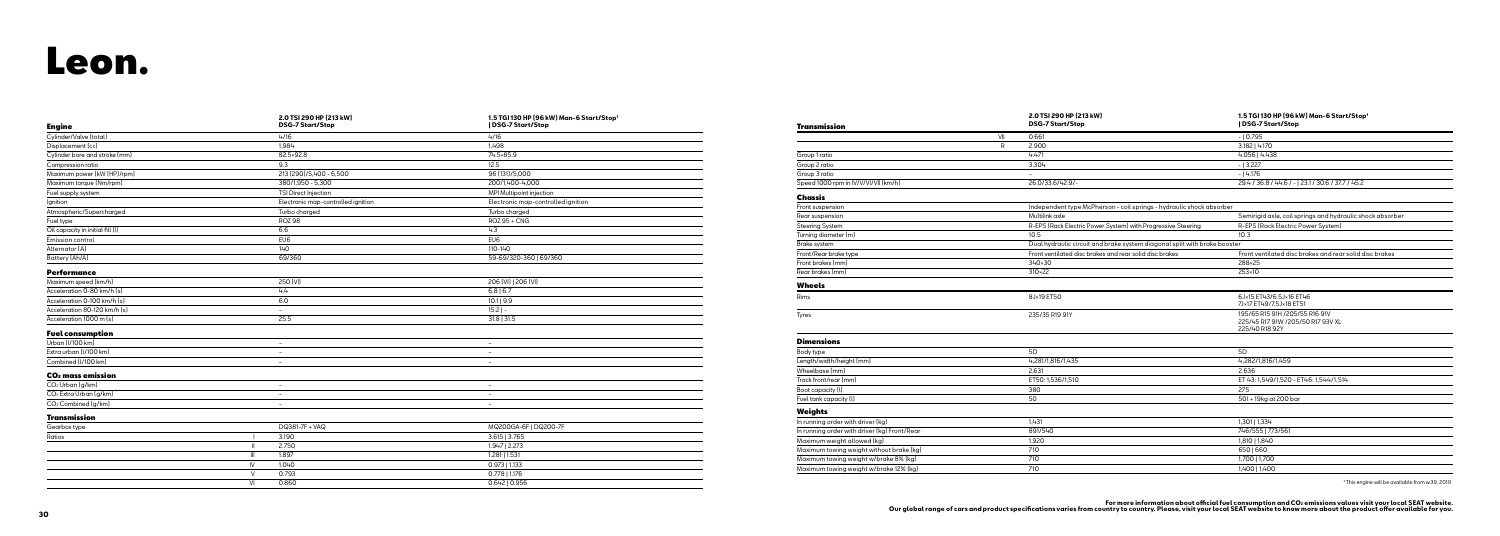| <b>Engine</b>                      |                | 2.0 TSI 290 HP (213 kW)<br><b>DSG-7 Start/Stop</b> | 1.5 TGI 130 HP (96 kW) Man-6 Start/Stop'<br>  DSG-7 Start/Stop |
|------------------------------------|----------------|----------------------------------------------------|----------------------------------------------------------------|
| Cylinder/Valve (total)             |                | 4/16                                               | 4/16                                                           |
| Displacement (cc)                  |                | 1,984                                              | 1,498                                                          |
| Cylinder bore and stroke [mm]      |                | 82.5×92.8                                          | 74.5×85.9                                                      |
| Compression ratio                  |                | 9.3                                                | 12.5                                                           |
| Maximum power (kW (HP)/rpm)        |                | 213 (290)/5,400 - 6,500                            | 96 (131)/5,000                                                 |
| Maximum torque (Nm/rpm)            |                | 380/1,950 - 5,300                                  | 200/1,400-4,000                                                |
| Fuel supply system                 |                | TSI Direct Injection                               | MPI Multipoint injection                                       |
| lgnition                           |                | Electronic map-controlled ignition                 | Electronic map-controlled ignition                             |
| Atmospheric/Supercharged           |                | Turbo charged                                      | Turbo charged                                                  |
| Fuel type                          |                | <b>ROZ 98</b>                                      | <b>ROZ 95 + CNG</b>                                            |
| Oil capacity in initial fill (I)   |                | 6.6                                                | 4.3                                                            |
| Emission control                   |                | EU6                                                | EU6                                                            |
| Alternator (A)                     |                | 140                                                | 110-140                                                        |
| Battery (Ah/A)                     |                | 69/360                                             | 59-69/320-360   69/360                                         |
| <b>Performance</b>                 |                |                                                    |                                                                |
| Maximum speed (km/h)               |                | 250 (VI)                                           | 206 (VI)   206 (VI)                                            |
| Acceleration 0-80 km/h [s]         |                | 4.4                                                | $6.8$   6.7                                                    |
| Acceleration 0-100 km/h [s]        |                | 6.0                                                | 10.1   9.9                                                     |
| Acceleration 80-120 km/h [s]       |                |                                                    | $15.2$   -                                                     |
| Acceleration 1000 m (s)            |                | 25.5                                               | $31.8$   31.5                                                  |
| <b>Fuel consumption</b>            |                |                                                    |                                                                |
| Urban (I/100 km)                   |                | $\overline{\phantom{0}}$                           | $\overline{\phantom{a}}$                                       |
| Extra urban (I/100 km)             |                | $\overline{\phantom{a}}$                           | $\overline{\phantom{a}}$                                       |
| Combined (I/100 km)                |                | $\overline{\phantom{a}}$                           | $\overline{\phantom{a}}$                                       |
| CO <sub>2</sub> mass emission      |                |                                                    |                                                                |
| CO <sub>2</sub> Urban (g/km)       |                | $\overline{\phantom{a}}$                           | $\overline{\phantom{a}}$                                       |
| CO <sub>2</sub> Extra Urban (g/km) |                | $\overline{\phantom{a}}$                           | $\equiv$                                                       |
| CO <sub>2</sub> Combined (q/km)    |                | $\overline{\phantom{a}}$                           | $\overline{\phantom{a}}$                                       |
| <b>Transmission</b>                |                |                                                    |                                                                |
| Gearbox type                       |                | DQ381-7F + VAQ                                     | MQ200GA-6F   DQ200-7F                                          |
| Ratios                             |                | 3.190                                              | 3.615   3.765                                                  |
|                                    | $\mathbf{I}$   | 2.750                                              | 1.947   2.273                                                  |
|                                    | $\mathbf{III}$ | 1.897                                              | 1.281   1.531                                                  |
|                                    | IV             | 1.040                                              | $0.973$   1.133                                                |
|                                    | $\vee$         | 0.793                                              | $0.778$   1.176                                                |
|                                    | VI             | 0.860                                              | $0.642$   0.956                                                |

### Transmission

| Group 1 ratio       |
|---------------------|
| Group 2 ratio       |
| Group 3 ratio       |
| Sneed $1000$ rpm in |

**Chassis**<br>Front suspension

Turning diameter (m) 10.5 10.3

| <b>Transmission</b>                          |     | 2.0 TSI 290 HP (213 kW)<br><b>DSG-7 Start/Stop</b>                        | 1.5 TGI 130 HP (96 kW) Man-6 Start/Stop'<br>  DSG-7 Start/Stop                        |
|----------------------------------------------|-----|---------------------------------------------------------------------------|---------------------------------------------------------------------------------------|
|                                              | VII | 0.661                                                                     | $-10.795$                                                                             |
|                                              | R   | 2.900                                                                     | 3.182   4.170                                                                         |
| Group 1 ratio                                |     | 4.471                                                                     | 4.056   4.438                                                                         |
| Group 2 ratio                                |     | 3.304                                                                     | $-13.227$                                                                             |
| Group 3 ratio                                |     |                                                                           | $-14.176$                                                                             |
| Speed 1000 rpm in IV/V/VI/VII (km/h)         |     | 26.0/33.6/42.9/-                                                          | 29.4 / 36.8 / 44.6 / -   23.1 / 30.6 / 37.7 / 45.2                                    |
| Chassis                                      |     |                                                                           |                                                                                       |
| Front suspension                             |     | Independent type McPherson - coil springs - hydraulic shock absorber      |                                                                                       |
| Rear suspension                              |     | Multilink axle                                                            | Semirigid axle, coil springs and hydraulic shock absorber                             |
| <b>Steering System</b>                       |     | R-EPS (Rack Electric Power System) with Progressive Steering              | R-EPS (Rack Electric Power System)                                                    |
| Turning diameter (m)                         |     | 10.5                                                                      | 10.3                                                                                  |
| Brake system                                 |     | Dual hydraulic circuit and brake system diagonal split with brake booster |                                                                                       |
| Front/Rear brake type                        |     | Front ventilated disc brakes and rear solid disc brakes                   | Front ventilated disc brakes and rear solid disc brakes                               |
| Front brakes (mm)                            |     | 340×30                                                                    | 288×25                                                                                |
| Rear brakes (mm)                             |     | 310×22                                                                    | 253×10                                                                                |
| Wheels                                       |     |                                                                           |                                                                                       |
| Rims                                         |     | 8J×19 ET50                                                                | 6J×15 ET43/6.5J×16 ET46<br>7J×17 ET49/7.5J×18 ET51                                    |
| Tyres                                        |     | 235/35 R19 91Y                                                            | 195/65 R15 91H /205/55 R16 91V<br>225/45 R17 91W /205/50 R17 93V XL<br>225/40 R18 92Y |
| <b>Dimensions</b>                            |     |                                                                           |                                                                                       |
| Body type                                    |     | 5 <sub>D</sub>                                                            | 5D                                                                                    |
| Length/width/height (mm)                     |     | 4,281/1,816/1,435                                                         | 4,282/1,816/1,459                                                                     |
| Wheelbase (mm)                               |     | 2,631                                                                     | 2.636                                                                                 |
| Track front/rear [mm]                        |     | ET50: 1,536/1,510                                                         | ET 43: 1,549/1,520 - ET46: 1,544/1,514                                                |
| Boot capacity (I)                            |     | 380                                                                       | 275                                                                                   |
| Fuel tank capacity (I)                       |     | 50                                                                        | 50l + 19kg at 200 bar                                                                 |
| Weights                                      |     |                                                                           |                                                                                       |
| In running order with driver (kg)            |     | 1,431                                                                     | 1,301   1,334                                                                         |
| In running order with driver (kg) Front/Rear |     | 891/540                                                                   | 746/555   773/561                                                                     |
| Maximum weight allowed (kg)                  |     | 1,920                                                                     | 1,810   1,840                                                                         |
| Maximum towing weight without brake (kg)     |     | 710                                                                       | 6501660                                                                               |
| Maximum towing weight w/brake 8% (kg)        |     | 710                                                                       | 1,700   1,700                                                                         |
| Maximum towing weight w/brake 12% (kg)       |     | 710                                                                       | 1,400   1,400                                                                         |

<sup>1</sup> This engine will be available from w.39, 2019

For more information about official fuel consumption and CO≥ emissions values visit your local SEAT website.<br>Our global range of cars and product specifications varies from country, to country, Please, visit your local SE

#### Wheels

#### Dimensions

Length/width/heigh

### Weights

In running order with In running order with Maximum weight a Maximum towing w

## Leon.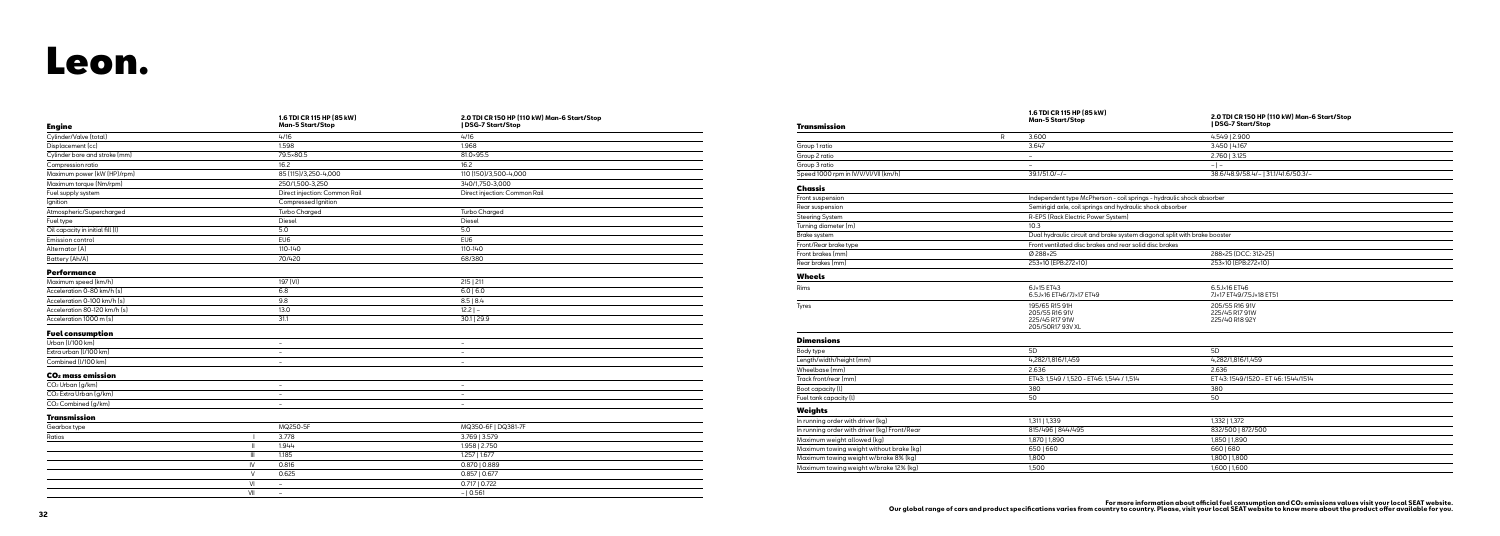## Leon.

| <b>Engine</b>                      |                                    | 1.6 TDI CR 115 HP (85 kW)<br><b>Man-5 Start/Stop</b> | 2.0 TDI CR 150 HP (110 kW) Man-6 Start/Stop<br>  DSG-7 Start/Stop |
|------------------------------------|------------------------------------|------------------------------------------------------|-------------------------------------------------------------------|
| Cylinder/Valve (total)             |                                    | 4/16                                                 | 4/16                                                              |
| Displacement (cc)                  |                                    | 1.598                                                | 1.968                                                             |
| Cylinder bore and stroke (mm)      |                                    | 79.5×80.5                                            | 81.0×95.5                                                         |
| Compression ratio                  |                                    | 16.2                                                 | 16.2                                                              |
| Maximum power (kW (HP)/rpm)        |                                    | 85 (115)/3,250-4,000                                 | 110 (150)/3,500-4,000                                             |
| Maximum torque (Nm/rpm)            |                                    | 250/1,500-3,250                                      | 340/1,750-3,000                                                   |
| Fuel supply system                 |                                    | Direct injection: Common Rail                        | Direct injection: Common Rail                                     |
| Ignition                           |                                    | Compressed Ignition                                  |                                                                   |
| Atmospheric/Supercharged           |                                    | <b>Turbo Charged</b>                                 | <b>Turbo Charged</b>                                              |
| Fuel type                          |                                    | Diesel                                               | Diesel                                                            |
| Oil capacity in initial fill (I)   |                                    | 5.0                                                  | 5.0                                                               |
| Emission control                   |                                    | EU <sub>6</sub>                                      | EU6                                                               |
| Alternator [A]                     |                                    | 110-140                                              | 110-140                                                           |
| Battery (Ah/A)                     |                                    | 70/420                                               | 68/380                                                            |
| <b>Performance</b>                 |                                    |                                                      |                                                                   |
| Maximum speed (km/h)               |                                    | 197 (VI)                                             | 215   211                                                         |
| Acceleration 0-80 km/h [s]         |                                    | 6.8                                                  | $6.0$   6.0                                                       |
| Acceleration 0-100 km/h (s)        |                                    | 9.8                                                  | 8.5   8.4                                                         |
| Acceleration 80-120 km/h [s]       |                                    | 13.0                                                 | $\overline{12.2}$   -                                             |
| Acceleration 1000 m (s)            |                                    | 31.1                                                 | 30.1   29.9                                                       |
| <b>Fuel consumption</b>            |                                    |                                                      |                                                                   |
| Urban (V100 km)                    |                                    | $\overline{\phantom{a}}$                             | $\sim$                                                            |
| Extra urban (I/100 km)             |                                    | $\overline{\phantom{a}}$                             | $\overline{\phantom{a}}$                                          |
| Combined (I/100 km)                |                                    | $\overline{\phantom{a}}$                             | $\overline{\phantom{a}}$                                          |
| CO <sub>2</sub> mass emission      |                                    |                                                      |                                                                   |
| CO <sub>2</sub> Urban [g/km]       |                                    | $\equiv$                                             | $\overline{\phantom{0}}$                                          |
| CO <sub>2</sub> Extra Urban (g/km) |                                    | $\sim$                                               | $\overline{\phantom{0}}$                                          |
| CO <sub>2</sub> Combined [g/km]    |                                    | $\sim$                                               | $\overline{\phantom{a}}$                                          |
| <b>Transmission</b>                |                                    |                                                      |                                                                   |
| Gearbox type                       |                                    | MQ250-5F                                             | MQ350-6F   DQ381-7F                                               |
| Ratios                             |                                    | 3.778                                                | 3.769   3.579                                                     |
|                                    | Ш                                  | 1.944                                                | 1.958   2.750                                                     |
|                                    | $\ensuremath{\mathsf{III}}\xspace$ | 1.185                                                | 1.257   1.677                                                     |
|                                    | $\mathsf{I}\mathsf{V}$             | 0.816                                                | 0.870   0.889                                                     |
|                                    | $\vee$                             | 0.625                                                | $0.857$   0.677                                                   |
|                                    | VI                                 | $\overline{\phantom{a}}$                             | 0.717   0.722                                                     |
|                                    | VII                                | $\overline{\phantom{a}}$                             | $-10.561$                                                         |

### Transmission

| Group 1 ratio  |  |
|----------------|--|
| Group 2 ratio  |  |
| Group 3 ratio  |  |
| Speed 1000 rpm |  |

#### Chassis

| Front suspension       |
|------------------------|
| Rear suspension        |
| <b>Steering System</b> |
| Turning diameter (     |
| <b>Brake system</b>    |
| Front/Rear brake t     |

| Transmission                                 | 1.6 TDI CR 115 HP (85 kW)<br><b>Man-5 Start/Stop</b>                      | 2.0 TDI CR 150 HP (110 kW) Man-6 Start/Stop<br>  DSG-7 Start/Stop |
|----------------------------------------------|---------------------------------------------------------------------------|-------------------------------------------------------------------|
|                                              | 3.600<br>R                                                                | 4.549   2.900                                                     |
| Group 1 ratio                                | 3.647                                                                     | 3.450   4.167                                                     |
| Group 2 ratio                                | $\equiv$                                                                  | $2.760$   3.125                                                   |
| Group 3 ratio                                | $\overline{\phantom{a}}$                                                  | $- -$                                                             |
| Speed 1000 rpm in IV/V/VI/VII (km/h)         | $39.1/51.0/-/$                                                            | 38.6/48.9/58.4/-131.1/41.6/50.3/-                                 |
| <b>Chassis</b>                               |                                                                           |                                                                   |
| Front suspension                             | Independent type McPherson - coil springs - hydraulic shock absorber      |                                                                   |
| Rear suspension                              | Semirigid axle, coil springs and hydraulic shock absorber                 |                                                                   |
| <b>Steering System</b>                       | R-EPS (Rack Electric Power System)                                        |                                                                   |
| Turning diameter (m)                         | 10.3                                                                      |                                                                   |
| Brake system                                 | Dual hydraulic circuit and brake system diagonal split with brake booster |                                                                   |
| Front/Rear brake type                        | Front ventilated disc brakes and rear solid disc brakes                   |                                                                   |
| Front brakes (mm)                            | Ø 288×25                                                                  | 288×25 (DCC: 312×25)                                              |
| Rear brakes (mm)                             | 253×10 [EPB:272×10]                                                       | 253×10 [EPB:272×10]                                               |
| <b>Wheels</b>                                |                                                                           |                                                                   |
| Rims                                         | 6J×15 ET43<br>6.5J×16 ET46/7J×17 ET49                                     | 6.5J×16 ET46<br>7J×17 ET49/7.5J×18 ET51                           |
| Tyres                                        | 195/65 R15 91H<br>205/55 R16 91V<br>225/45 R17 91W<br>205/50R17 93V XL    | 205/55 R16 91V<br>225/45 R17 91W<br>225/40 R18 92Y                |
| <b>Dimensions</b>                            |                                                                           |                                                                   |
| Body type                                    | 5D                                                                        | 5D                                                                |
| Length/width/height (mm)                     | 4,282/1,816/1,459                                                         | 4,282/1,816/1,459                                                 |
| Wheelbase [mm]                               | 2.636                                                                     | 2.636                                                             |
| Track front/rear (mm)                        | ET43: 1,549 / 1,520 - ET46: 1,544 / 1,514                                 | ET 43: 1549/1520 - ET 46: 1544/1514                               |
| Boot capacity [l]                            | 380                                                                       | 380                                                               |
| Fuel tank capacity (l)                       | 50                                                                        | 50                                                                |
| <b>Weights</b>                               |                                                                           |                                                                   |
| In running order with driver (kg)            | 1,311   1,339                                                             | 1,332   1,372                                                     |
| In running order with driver (kg) Front/Rear | 815/496   844/495                                                         | 832/500   872/500                                                 |
| Maximum weight allowed [kg]                  | 1,870   1,890                                                             | 1,850   1,890                                                     |
| Maximum towing weight without brake (kg)     | 6501660                                                                   | 6601680                                                           |
| Maximum towing weight w/brake 8% (kg)        | 1,800                                                                     | 1,800   1,800                                                     |
| Maximum towing weight w/brake 12% (kg)       | 1.500                                                                     | 1,600   1,600                                                     |

For more information about official fuel consumption and CO≥ emissions values visit your local SEAT website.<br>Our global range of cars and product specifications varies from country, to country, Please, visit your local SE

### Wheels

#### Dimensions

#### Weights

In running order with Maximum weight al Maximum towing we Maximum towing w Maximum towing w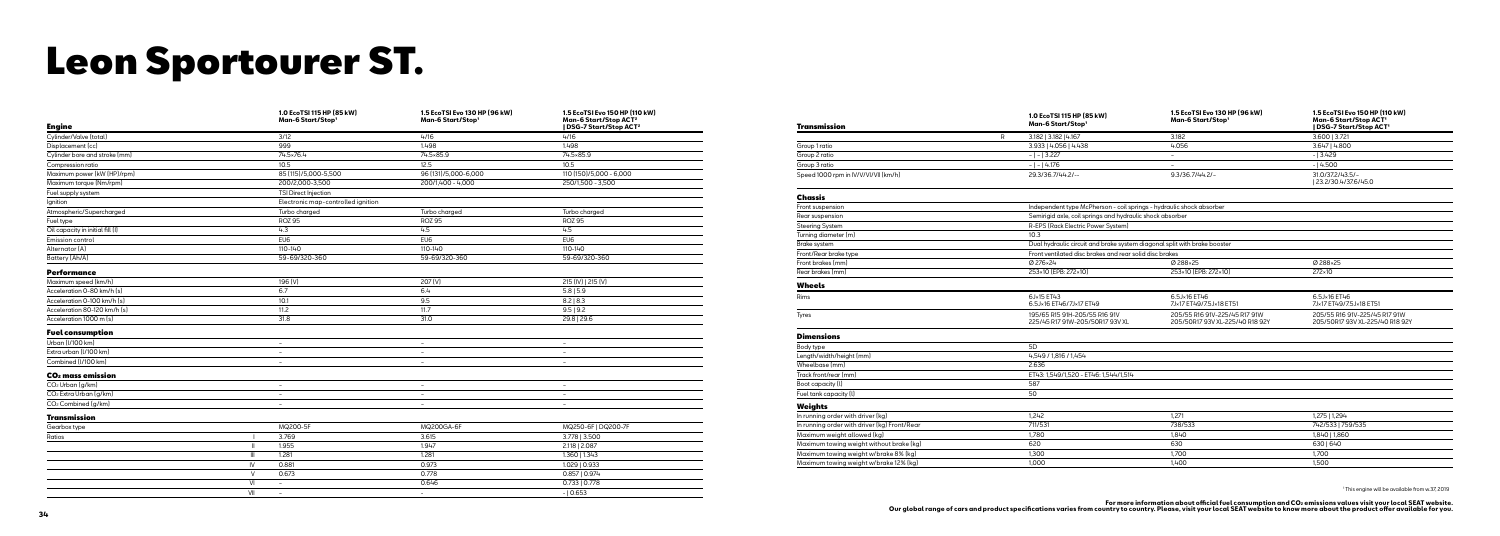## Leon Sportourer ST.

| <b>Engine</b>                      |                        | 1.0 EcoTSI 115 HP (85 kW)<br>Man-6 Start/Stop1 | 1.5 EcoTSI Evo 130 HP (96 kW)<br>Man-6 Start/Stop1 | 1.5 EcoTSI Evo 150 HP (110 kW)<br>Man-6 Start/Stop ACT <sup>2</sup><br>  DSG-7 Start/Stop ACT <sup>2</sup> | Tra           |
|------------------------------------|------------------------|------------------------------------------------|----------------------------------------------------|------------------------------------------------------------------------------------------------------------|---------------|
| Cylinder/Valve (total)             |                        | 3/12                                           | 4/16                                               | 4/16                                                                                                       |               |
| Displacement (cc)                  |                        | 999                                            | 1.498                                              | 1.498                                                                                                      | Grou          |
| Cylinder bore and stroke [mm]      |                        | 74.5×76.4                                      | 74.5×85.9                                          | 74.5×85.9                                                                                                  | Grou          |
| Compression ratio                  |                        | 10.5                                           | 12.5                                               | 10.5                                                                                                       | Grou          |
| Maximum power (kW (HP)/rpm)        |                        | 85 (115)/5,000-5,500                           | 96 (131)/5,000-6,000                               | 110 (150)/5,000 - 6,000                                                                                    | Spee          |
| Maximum torque (Nm/rpm)            |                        | 200/2,000-3,500                                | 200/1,400 - 4,000                                  | 250/1,500 - 3,500                                                                                          |               |
| Fuel supply system                 |                        | TSI Direct Injection                           |                                                    |                                                                                                            |               |
| Ignition                           |                        | Electronic map-controlled ignition             |                                                    |                                                                                                            | Cho           |
| Atmospheric/Supercharged           |                        | Turbo charged                                  | Turbo charged                                      | Turbo charged                                                                                              | Front<br>Rear |
| Fuel type                          |                        | <b>ROZ 95</b>                                  | <b>ROZ 95</b>                                      | <b>ROZ 95</b>                                                                                              | Stee          |
| Oil capacity in initial fill (I)   |                        | 4.3                                            | 4.5                                                | 4.5                                                                                                        | Turni         |
| Emission control                   |                        | EU <sub>6</sub>                                | EU <sub>6</sub>                                    | EU <sub>6</sub>                                                                                            | <b>Brak</b>   |
| Alternator [A]                     |                        | 110-140                                        | 110-140                                            | 110-140                                                                                                    |               |
| Battery (Ah/A)                     |                        | 59-69/320-360                                  | 59-69/320-360                                      | 59-69/320-360                                                                                              | Front         |
| <b>Performance</b>                 |                        |                                                |                                                    |                                                                                                            | Front<br>Rear |
| Maximum speed (km/h)               |                        | 196 (V)                                        | 207 (V)                                            | 215 (IV)   215 (V)                                                                                         | Wh            |
| Acceleration 0-80 km/h [s]         |                        | 6.7                                            | 6.4                                                | $5.8$   5.9                                                                                                |               |
| Acceleration 0-100 km/h [s]        |                        | 10.1                                           | 9.5                                                | 8.2   8.3                                                                                                  | Rims          |
| Acceleration 80-120 km/h [s]       |                        | 11.2                                           | 11.7                                               | 9.5   9.2                                                                                                  |               |
| Acceleration 1000 m (s)            |                        | 31.8                                           | 31.0                                               | 29.8   29.6                                                                                                | Tyres         |
| <b>Fuel consumption</b>            |                        |                                                |                                                    |                                                                                                            | Dim           |
| Urban (I/100 km)                   |                        | $\overline{\phantom{a}}$                       | $\overline{\phantom{a}}$                           |                                                                                                            | Body          |
| Extra urban (I/100 km)             |                        | $\overline{\phantom{a}}$                       | $\overline{\phantom{a}}$                           | $\sim$                                                                                                     | Leng          |
| Combined (I/100 km)                |                        | $\overline{a}$                                 | $\overline{\phantom{a}}$                           | $\sim$                                                                                                     | Whe           |
| CO <sub>2</sub> mass emission      |                        |                                                |                                                    |                                                                                                            | Tracl         |
| CO <sub>2</sub> Urban (q/km)       |                        | $\overline{\phantom{0}}$                       | $\overline{\phantom{a}}$                           | $\overline{\phantom{0}}$                                                                                   | Boot          |
| CO <sub>2</sub> Extra Urban (g/km) |                        | $\overline{\phantom{a}}$                       | $\overline{\phantom{a}}$                           |                                                                                                            | Fuel          |
| CO <sub>2</sub> Combined (q/km)    |                        | $\overline{\phantom{a}}$                       | $\sim$                                             | $\sim$                                                                                                     | Wei           |
| <b>Transmission</b>                |                        |                                                |                                                    |                                                                                                            | In ru         |
| Gearbox type                       |                        | MQ200-5F                                       | MQ200GA-6F                                         | MQ250-6F   DQ200-7F                                                                                        | In ru         |
| Ratios                             | - 1                    | 3.769                                          | 3.615                                              | 3.778   3.500                                                                                              | Maxi          |
|                                    | $\blacksquare$         | 1.955                                          | 1.947                                              | 2.118   2.087                                                                                              | Maxi          |
|                                    | $\mathbf{III}$         | 1.281                                          | 1.281                                              | 1.360   1.343                                                                                              | Maxi          |
|                                    | $\mathsf{I}\mathsf{V}$ | 0.881                                          | 0.973                                              | 1.029   0.933                                                                                              | Maxi          |
|                                    | $\vee$                 | 0.673                                          | 0.778                                              | $0.857$   $0.974$                                                                                          |               |
|                                    | VI                     | $\sim$                                         | 0.646                                              | 0.733   0.778                                                                                              |               |
|                                    | VII                    | $\overline{\phantom{a}}$                       | $\sim$                                             | $-10.653$                                                                                                  |               |

#### Transmission

| Group 1 ratio     |  |
|-------------------|--|
| Group 2 ratio     |  |
| Group 3 ratio     |  |
| Speed 1000 rpm in |  |

#### Chassis

| Transmission                                 | 1.0 EcoTSI 115 HP (85 kW)<br>Man-6 Start/Stop1                       | 1.5 EcoTSI Evo 130 HP [96 kW]<br>Man-6 Start/Stop1                        | 1.5 EcoTSI Evo 150 HP (110 kW)<br>Man-6 Start/Stop ACT <sup>1</sup><br>  DSG-7 Start/Stop ACT' |
|----------------------------------------------|----------------------------------------------------------------------|---------------------------------------------------------------------------|------------------------------------------------------------------------------------------------|
|                                              | R<br>3.182   3.182   4.167                                           | 3.182                                                                     | 3.600   3.721                                                                                  |
| Group 1 ratio                                | 3.933   4.056   4.438                                                | 4.056                                                                     | 3.647   4.800                                                                                  |
| Group 2 ratio                                | $- - 3.227 $                                                         | $\overline{\phantom{a}}$                                                  | $-13.429$                                                                                      |
| Group 3 ratio                                | $- - 4.176$                                                          |                                                                           | $-14.500$                                                                                      |
| Speed 1000 rpm in IV/V/VI/VII (km/h)         | 29.3/36.7/44.2/--                                                    | $9.3/36.7/44.2/-$                                                         | 31.0/37.2/43.5/-<br>  23.2/30.4/37.6/45.0                                                      |
| Chassis                                      |                                                                      |                                                                           |                                                                                                |
| Front suspension                             | Independent type McPherson - coil springs - hydraulic shock absorber |                                                                           |                                                                                                |
| Rear suspension                              | Semirigid axle, coil springs and hydraulic shock absorber            |                                                                           |                                                                                                |
| <b>Steering System</b>                       | R-EPS (Rack Electric Power System)                                   |                                                                           |                                                                                                |
| Turning diameter (m)                         | 10.3                                                                 |                                                                           |                                                                                                |
| Brake system                                 |                                                                      | Dual hydraulic circuit and brake system diagonal split with brake booster |                                                                                                |
| Front/Rear brake type                        | Front ventilated disc brakes and rear solid disc brakes              |                                                                           |                                                                                                |
| Front brakes (mm)                            | Ø 276×24                                                             | Ø 288×25                                                                  | Ø 288×25                                                                                       |
| Rear brakes (mm)                             | 253×10 (EPB: 272×10)                                                 | 253×10 (EPB: 272×10)                                                      | 272×10                                                                                         |
| <b>Wheels</b>                                |                                                                      |                                                                           |                                                                                                |
| Rims                                         | 6J×15 ET43<br>6.5J×16 ET46/7J×17 ET49                                | 6.5J×16 ET46<br>7J×17 ET49/7.5J×18 ET51                                   | 6.5J×16 ET46<br>7J×17 ET49/7.5J×18 ET51                                                        |
| Tyres                                        | 195/65 R15 91H-205/55 R16 91V<br>225/45 R17 91W-205/50R17 93V XL     | 205/55 R16 91V-225/45 R17 91W<br>205/50R17 93V XL-225/40 R18 92Y          | 205/55 R16 91V-225/45 R17 91W<br>205/50R17 93V XL-225/40 R18 92Y                               |
| <b>Dimensions</b>                            |                                                                      |                                                                           |                                                                                                |
| Body type                                    | 5D                                                                   |                                                                           |                                                                                                |
| Length/width/height (mm)                     | 4,549 / 1,816 / 1,454                                                |                                                                           |                                                                                                |
| Wheelbase (mm)                               | 2.636                                                                |                                                                           |                                                                                                |
| Track front/rear (mm)                        | ET43: 1,549/1,520 - ET46: 1,544/1,514                                |                                                                           |                                                                                                |
| Boot capacity (I)                            | 587                                                                  |                                                                           |                                                                                                |
| Fuel tank capacity (I)                       | 50                                                                   |                                                                           |                                                                                                |
| Weights                                      |                                                                      |                                                                           |                                                                                                |
| In running order with driver (kg)            | 1,242                                                                | 1,271                                                                     | 1,275   1,294                                                                                  |
| In running order with driver (kg) Front/Rear | 711/531                                                              | 738/533                                                                   | 742/533   759/535                                                                              |
| Maximum weight allowed (kg)                  | 1,780                                                                | 1,840                                                                     | 1,840   1,860                                                                                  |
| Maximum towing weight without brake [kg]     | 620                                                                  | 630                                                                       | 630   640                                                                                      |
| Maximum towing weight w/brake 8% (kg)        | 1,300                                                                | 1,700                                                                     | 1,700                                                                                          |
| Maximum towing weight w/brake 12% (kg)       | 1,000                                                                | 1,400                                                                     | 1,500                                                                                          |

1 This engine will be available from w.37, 2019

For more information about official fuel consumption and CO≥ emissions values visit your local SEAT website.<br>Our global range of cars and product specifications varies from country, to country, Please, visit your local SE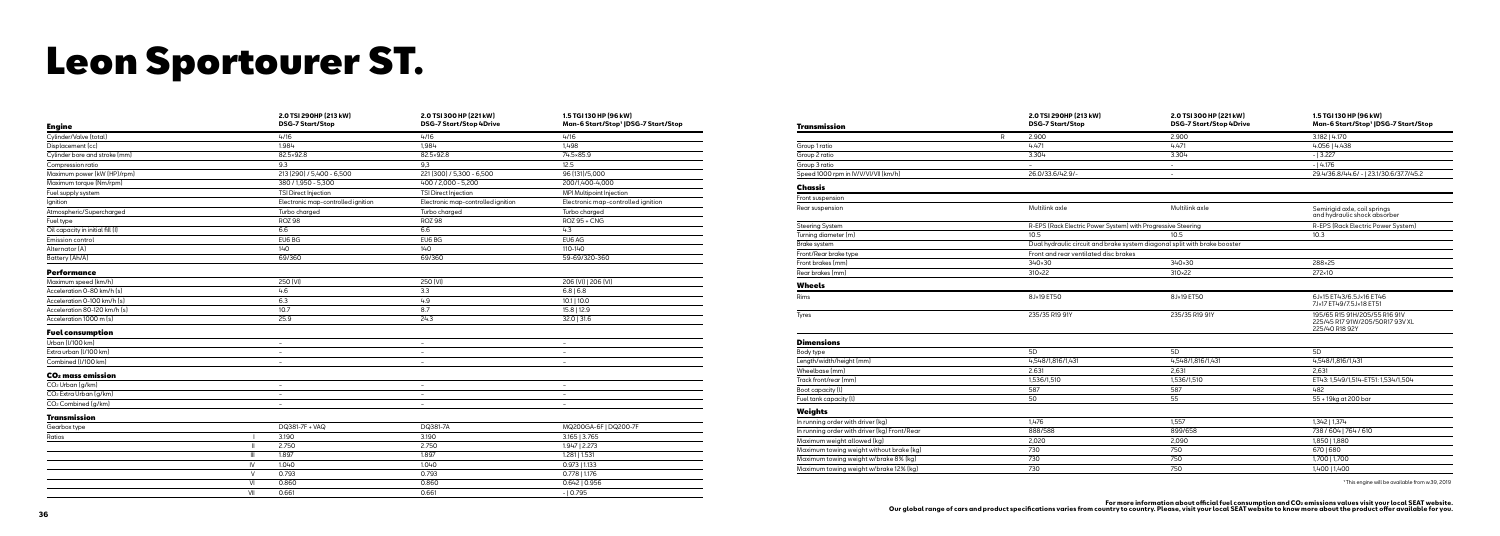## Leon Sportourer ST.

| <b>Engine</b>                      | 2.0 TSI 290HP (213 kW)<br><b>DSG-7 Start/Stop</b> | 2.0 TSI 300 HP (221 kW)<br><b>DSG-7 Start/Stop 4Drive</b> | 1.5 TGI 130 HP (96 kW)<br>Man-6 Start/Stop'  DSG-7 Start/Stop |
|------------------------------------|---------------------------------------------------|-----------------------------------------------------------|---------------------------------------------------------------|
| Cylinder/Valve (total)             | 4/16                                              | 4/16                                                      | 4/16                                                          |
| Displacement (cc)                  | 1.984                                             | 1.984                                                     | 1.498                                                         |
| Cylinder bore and stroke [mm]      | 82.5×92.8                                         | 82.5×92.8                                                 | 74.5×85.9                                                     |
| Compression ratio                  | 9.3                                               | 9,3                                                       | 12.5                                                          |
| Maximum power (kW (HP)/rpm)        | 213 (290) / 5,400 - 6,500                         | 221 (300) / 5,300 - 6,500                                 | 96 (131)/5,000                                                |
| Maximum torque (Nm/rpm)            | 380 / 1,950 - 5,300                               | 400 / 2,000 - 5,200                                       | 200/1,400-4,000                                               |
| Fuel supply system                 | TSI Direct Injection                              | TSI Direct Injection                                      | MPI Multipoint Injection                                      |
| Ignition                           | Electronic map-controlled ignition                | Electronic map-controlled ignition                        | Electronic map-controlled ignition                            |
| Atmospheric/Supercharged           | Turbo charged                                     | Turbo charged                                             | Turbo charged                                                 |
| Fuel type                          | <b>ROZ 98</b>                                     | <b>ROZ 98</b>                                             | <b>ROZ 95 + CNG</b>                                           |
| Oil capacity in initial fill (I)   | 6.6                                               | 6.6                                                       | 4.3                                                           |
| Emission control                   | EU6 BG                                            | EU6 BG                                                    | EU6 AG                                                        |
| Alternator [A]                     | 140                                               | 140                                                       | 110-140                                                       |
| Battery (Ah/A)                     | 69/360                                            | 69/360                                                    | 59-69/320-360                                                 |
| <b>Performance</b>                 |                                                   |                                                           |                                                               |
| Maximum speed (km/h)               | 250 [VI]                                          | 250 [VI]                                                  | 206 [VI]   206 [VI]                                           |
| Acceleration 0-80 km/h [s]         | 4.6                                               | 3.3                                                       | 6.8 6.8                                                       |
| Acceleration 0-100 km/h (s)        | 6.3                                               | 4.9                                                       | $10.1$   10.0                                                 |
| Acceleration 80-120 km/h [s]       | 10.7                                              | 8.7                                                       | 15.8   12.9                                                   |
| Acceleration 1000 m (s)            | 25.9                                              | 24.3                                                      | $32.0$   31.6                                                 |
| <b>Fuel consumption</b>            |                                                   |                                                           |                                                               |
| Urban (I/100 km)                   | $\overline{\phantom{a}}$                          | $\overline{\phantom{a}}$                                  | $\overline{\phantom{a}}$                                      |
| Extra urban (I/100 km)             | $\overline{\phantom{a}}$                          | $\overline{\phantom{a}}$                                  | $\equiv$                                                      |
| Combined (I/100 km)                | $\overline{\phantom{a}}$                          | $\overline{\phantom{a}}$                                  | $\overline{\phantom{a}}$                                      |
| CO <sub>2</sub> mass emission      |                                                   |                                                           |                                                               |
| $CO2$ Urban $(g/km)$               | $\overline{\phantom{a}}$                          | $\overline{\phantom{a}}$                                  | $\overline{\phantom{a}}$                                      |
| CO <sub>2</sub> Extra Urban (g/km) | $\overline{\phantom{a}}$                          | $\overline{\phantom{a}}$                                  | $\overline{\phantom{a}}$                                      |
| CO <sub>2</sub> Combined [g/km]    | $\sim$                                            | $\overline{\phantom{a}}$                                  | $\equiv$                                                      |
| <b>Transmission</b>                |                                                   |                                                           |                                                               |
| Gearbox type                       | DQ381-7F + VAQ                                    | DQ381-7A                                                  | MQ200GA-6F   DQ200-7F                                         |
| Ratios                             | 3.190                                             | 3.190                                                     | 3.165   3.765                                                 |
| $\mathbb{I}$                       | 2.750                                             | 2.750                                                     | 1.947   2.273                                                 |
| $\ensuremath{\mathsf{III}}\xspace$ | 1.897                                             | 1.897                                                     | 1.281   1.531                                                 |
| IV                                 | 1.040                                             | 1.040                                                     | $0.973$   1.133                                               |
| $\vee$                             | 0.793                                             | 0.793                                                     | $0.778$   1.176                                               |
| VI                                 | 0.860                                             | 0.860                                                     | $0.642$   0.956                                               |
| VII                                | 0.661                                             | 0.661                                                     | $-10.795$                                                     |
|                                    |                                                   |                                                           |                                                               |

#### Transmission

| Group 1 ratio  |
|----------------|
| Group 2 ratio  |
| Group 3 ratio  |
| Speed 1000 rpm |

#### Chassis

Front suspension

### Turning diameter (

Front/Rear brake ty

|                                              |   | 2.0 TSI 290HP (213 kW)<br><b>DSG-7 Start/Stop</b>                         | 2.0 TSI 300 HP (221 kW)<br><b>DSG-7 Start/Stop 4Drive</b> | 1.5 TGI 130 HP (96 kW)<br>Man-6 Start/Stop'  DSG-7 Start/Stop                      |
|----------------------------------------------|---|---------------------------------------------------------------------------|-----------------------------------------------------------|------------------------------------------------------------------------------------|
| <b>Transmission</b>                          | R | 2.900                                                                     | 2.900                                                     | 3.182   4.170                                                                      |
| Group 1 ratio                                |   | 4.471                                                                     | 4.471                                                     | 4.056   4.438                                                                      |
| Group 2 ratio                                |   | 3.304                                                                     | 3.304                                                     | $-13.227$                                                                          |
| Group 3 ratio                                |   |                                                                           | $\overline{\phantom{a}}$                                  | $-14.176$                                                                          |
| Speed 1000 rpm in IV/V/VI/VII (km/h)         |   | 26.0/33.6/42.9/-                                                          | $\overline{\phantom{a}}$                                  | 29.4/36.8/44.6/ -   23.1/30.6/37.7/45.2                                            |
|                                              |   |                                                                           |                                                           |                                                                                    |
| Chassis                                      |   |                                                                           |                                                           |                                                                                    |
| Front suspension                             |   |                                                                           |                                                           |                                                                                    |
| Rear suspension                              |   | Multilink axle                                                            | Multilink axle                                            | Semirigid axle, coil springs<br>and hydraulic shock absorber                       |
| <b>Steering System</b>                       |   | R-EPS (Rack Electric Power System) with Progressive Steering              |                                                           | R-EPS (Rack Electric Power System)                                                 |
| Turning diameter (m)                         |   | 10.5                                                                      | 10.5                                                      | 10.3                                                                               |
| <b>Brake system</b>                          |   | Dual hydraulic circuit and brake system diagonal split with brake booster |                                                           |                                                                                    |
| Front/Rear brake type                        |   | Front and rear ventilated disc brakes                                     |                                                           |                                                                                    |
| Front brakes (mm)                            |   | 340×30                                                                    | 340×30                                                    | 288×25                                                                             |
| Rear brakes (mm)                             |   | 310×22                                                                    | 310×22                                                    | 272×10                                                                             |
| Wheels                                       |   |                                                                           |                                                           |                                                                                    |
| Rims                                         |   | 8J×19 ET50                                                                | 8J×19 ET50                                                | 6J×15 ET43/6.5J×16 ET46<br>7J×17 ET49/7.5J×18 ET51                                 |
| Tyres                                        |   | 235/35 R19 91Y                                                            | 235/35 R19 91Y                                            | 195/65 R15 91H/205/55 R16 91V<br>225/45 R17 91W/205/50R17 93V XL<br>225/40 R18 92Y |
| <b>Dimensions</b>                            |   |                                                                           |                                                           |                                                                                    |
| Body type                                    |   | 5D                                                                        | 5D                                                        | 5 <sub>D</sub>                                                                     |
| Length/width/height (mm)                     |   | 4,548/1,816/1,431                                                         | 4,548/1,816/1,431                                         | 4,548/1,816/1,431                                                                  |
| Wheelbase (mm)                               |   | 2.631                                                                     | 2,631                                                     | 2,631                                                                              |
| Track front/rear (mm)                        |   | 1,536/1,510                                                               | 1,536/1,510                                               | ET43: 1,549/1,514-ET51: 1,534/1,504                                                |
| Boot capacity (I)                            |   | 587                                                                       | 587                                                       | 482                                                                                |
| Fuel tank capacity (I)                       |   | 50                                                                        | 55                                                        | 55 + 19kg at 200 bar                                                               |
| Weights                                      |   |                                                                           |                                                           |                                                                                    |
| In running order with driver (kg)            |   | 1,476                                                                     | 1,557                                                     | 1,342   1,374                                                                      |
| In running order with driver (kg) Front/Rear |   | 888/588                                                                   | 899/658                                                   | 738 / 604   764 / 610                                                              |
| Maximum weight allowed [kg]                  |   | 2,020                                                                     | 2,090                                                     | 1,850   1,880                                                                      |
| Maximum towing weight without brake (kg)     |   | 730                                                                       | 750                                                       | 6701680                                                                            |
| Maximum towing weight w/brake 8% (kg)        |   | 730                                                                       | 750                                                       | 1,700   1,700                                                                      |
| Maximum towing weight w/brake 12% (kg)       |   | 730                                                                       | 750                                                       | 1,400   1,400                                                                      |

<sup>1</sup> This engine will be available from w.39, 2019

For more information about official fuel consumption and CO≥ emissions values visit your local SEAT website.<br>Our global range of cars and product specifications varies from country, to country, Please, visit your local SE

### Wheels

#### Dimensions

Weights<br>In running order wit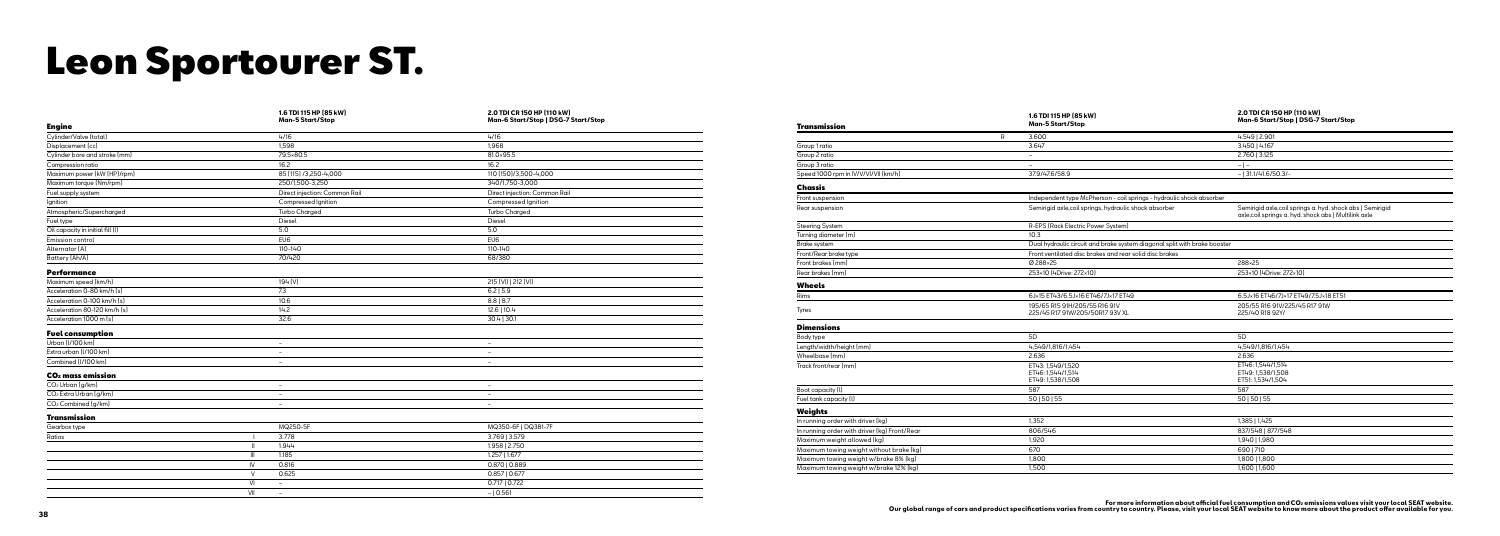|                                    | 1.6 TDI 115 HP (85 kW)<br><b>Man-5 Start/Stop</b> | 2.0 TDI CR 150 HP (110 kW)<br>Man-6 Start/Stop   DSG-7 Start/Stop |  |
|------------------------------------|---------------------------------------------------|-------------------------------------------------------------------|--|
| <b>Engine</b>                      |                                                   |                                                                   |  |
| Cylinder/Valve (total)             | 4/16                                              | 4/16                                                              |  |
| Displacement (cc)                  | 1,598                                             | 1,968                                                             |  |
| Cylinder bore and stroke [mm]      | 79.5×80.5                                         | 81.0×95.5                                                         |  |
| Compression ratio                  | 16.2                                              | 16.2                                                              |  |
| Maximum power (kW (HP)/rpm)        | 85 (115) /3,250-4,000                             | 110 (150)/3,500-4,000                                             |  |
| Maximum torque (Nm/rpm)            | 250/1,500-3,250                                   | 340/1,750-3,000                                                   |  |
| Fuel supply system                 | Direct injection: Common Rail                     | Direct injection: Common Rail                                     |  |
| Ignition                           | Compressed Ignition                               | Compressed Ignition                                               |  |
| Atmospheric/Supercharged           | <b>Turbo Charged</b>                              | <b>Turbo Charged</b>                                              |  |
| Fuel type                          | Diesel                                            | Diesel                                                            |  |
| Oil capacity in initial fill (I)   | 5.0                                               | 5.0                                                               |  |
| Emission control                   | EU6                                               | EU6                                                               |  |
| Alternator (A)                     | 110-140                                           | 110-140                                                           |  |
| Battery (Ah/A)                     | 70/420                                            | 68/380                                                            |  |
| <b>Performance</b>                 |                                                   |                                                                   |  |
| Maximum speed (km/h)               | 194 (V)                                           | 215 (VI)   212 (VI)                                               |  |
| Acceleration 0-80 km/h [s]         | 7.3                                               | $6.2$   5.9                                                       |  |
| Acceleration 0-100 km/h [s]        | 10.6                                              | $8.8$   8.7                                                       |  |
| Acceleration 80-120 km/h [s]       | 14.2                                              | 12.6   10.4                                                       |  |
| Acceleration 1000 m (s)            | 32.6                                              | $30.4$   30.1                                                     |  |
|                                    |                                                   |                                                                   |  |
| <b>Fuel consumption</b>            |                                                   |                                                                   |  |
| Urban (I/100 km)                   | $\sim$                                            | $\overline{\phantom{a}}$                                          |  |
| Extra urban (I/100 km)             | $\sim$                                            | $\sim$                                                            |  |
| Combined (I/100 km)                | $\overline{\phantom{a}}$                          | $\overline{\phantom{a}}$                                          |  |
| CO <sub>2</sub> mass emission      |                                                   |                                                                   |  |
| CO <sub>2</sub> Urban (g/km)       | $\overline{\phantom{a}}$                          | $\overline{\phantom{a}}$                                          |  |
| CO <sub>2</sub> Extra Urban (g/km) | $\overline{\phantom{a}}$                          | $\sim$                                                            |  |
| CO <sub>2</sub> Combined (g/km)    | $\overline{\phantom{a}}$                          | $\overline{\phantom{a}}$                                          |  |
| Transmission                       |                                                   |                                                                   |  |
| Gearbox type                       | MQ250-5F                                          | MQ350-6F   DQ381-7F                                               |  |
| Ratios                             | 3.778                                             | 3.769   3.579                                                     |  |
|                                    | 1.944<br>$\mathbf{H}$                             | 1.958   2.750                                                     |  |
|                                    | $\mathbf{III}$<br>1.185                           | 1.257   1.677                                                     |  |
|                                    | 0.816<br>IV.                                      | $0.870$   $0.889$                                                 |  |
|                                    | $\vee$<br>0.625                                   | 0.857   0.677                                                     |  |
|                                    | VI<br>$\equiv$                                    | $0.717$   0.722                                                   |  |
|                                    | VII<br>$-$                                        | $- 0.561$                                                         |  |
|                                    |                                                   |                                                                   |  |

#### Transmission

| Group 1 ratio  |
|----------------|
| Group 2 ratio  |
| Group 3 ratio  |
| Speed 1000 rpm |

#### Chassis

### Steering System Turning diameter (m)<br>Brake system

Front/Rear brake ty

| Transmission                                 |   | 1.6 TDI 115 HP (85 kW)<br><b>Man-5 Start/Stop</b>                         | 2.0 TDI CR 150 HP [110 kW]<br>Man-6 Start/Stop   DSG-7 Start/Stop                                                   |
|----------------------------------------------|---|---------------------------------------------------------------------------|---------------------------------------------------------------------------------------------------------------------|
|                                              | R | 3.600                                                                     | 4.549   2.901                                                                                                       |
| Group 1 ratio                                |   | 3.647                                                                     | 3.450   4.167                                                                                                       |
| Group 2 ratio                                |   | $\overline{\phantom{a}}$                                                  | 2.760   3.125                                                                                                       |
| Group 3 ratio                                |   | $\overline{\phantom{a}}$                                                  | $-$   $-$                                                                                                           |
| Speed 1000 rpm in IV/V/VI/VII (km/h)         |   | 37.9/47.6/58.9                                                            | $-$   31.1/41.6/50.3/-                                                                                              |
| Chassis                                      |   |                                                                           |                                                                                                                     |
| Front suspension                             |   | Independent type McPherson - coil springs - hydraulic shock absorber      |                                                                                                                     |
| Rear suspension                              |   | Semirigid axle, coil springs, hydraulic shock absorber                    | Semirigid axle, coil springs a. hyd. shock abs   Semirigid<br>axle, coil springs a. hyd. shock abs   Multilink axle |
| <b>Steering System</b>                       |   | R-EPS (Rack Electric Power System)                                        |                                                                                                                     |
| Turning diameter (m)                         |   | 10.3                                                                      |                                                                                                                     |
| Brake system                                 |   | Dual hydraulic circuit and brake system diagonal split with brake booster |                                                                                                                     |
| Front/Rear brake type                        |   | Front ventilated disc brakes and rear solid disc brakes                   |                                                                                                                     |
| Front brakes (mm)                            |   | Ø288×25                                                                   | 288×25                                                                                                              |
| Rear brakes (mm)                             |   | 253×10 (4Drive: 272×10)                                                   | 253×10 (4Drive: 272×10)                                                                                             |
| <b>Wheels</b>                                |   |                                                                           |                                                                                                                     |
| Rims                                         |   | 6J×15 ET43/6.5J×16 ET46/7J×17 ET49                                        | 6.5J×16 ET46/7J×17 ET49/7.5J×18 ET51                                                                                |
| Tyres                                        |   | 195/65 R15 91H/205/55 R16 91V<br>225/45 R17 91W/205/50R17 93V XL          | 205/55 R16 91V/225/45 R17 91W<br>225/40 R18 92Y/                                                                    |
| <b>Dimensions</b>                            |   |                                                                           |                                                                                                                     |
| Body type                                    |   | 5D                                                                        | 5D                                                                                                                  |
| Length/width/height (mm)                     |   | 4,549/1,816/1,454                                                         | 4,549/1,816/1,454                                                                                                   |
| Wheelbase (mm)                               |   | 2.636                                                                     | 2.636                                                                                                               |
| Track front/rear (mm)                        |   | ET43: 1,549/1,520<br>ET46: 1,544/1,514<br>ET49: 1,538/1,508               | ET46: 1.544/1.514<br>ET49: 1,538/1,508<br>ET51: 1,534/1,504                                                         |
| Boot capacity (I)                            |   | 587                                                                       | 587                                                                                                                 |
| Fuel tank capacity (I)                       |   | 50   50   55                                                              | 50   50   55                                                                                                        |
| Weights                                      |   |                                                                           |                                                                                                                     |
| In running order with driver (kg)            |   | 1,352                                                                     | 1,385   1,425                                                                                                       |
| In running order with driver (kg) Front/Rear |   | 806/546                                                                   | 837/548   877/548                                                                                                   |
| Maximum weight allowed [kg]                  |   | 1,920                                                                     | 1,940   1,980                                                                                                       |
| Maximum towing weight without brake [kg]     |   | 670                                                                       | 690   710                                                                                                           |
| Maximum towing weight w/brake 8% (kg)        |   | 1,800                                                                     | 1,800   1,800                                                                                                       |
| Maximum towing weight w/brake 12% (kg)       |   | 1.500                                                                     | 1,600   1,600                                                                                                       |

For more information about official fuel consumption and CO≥ emissions values visit your local SEAT website.<br>Our global range of cars and product specifications varies from country, to country, Please, visit your local SE

Wheels

#### Dimensions

Length/width/heigh Track front/rear (mn

### Fuel tank capacity (

### Weights

In running order with Maximum weight a  $\overline{\text{Maximum}}$  wing w

## Leon Sportourer ST.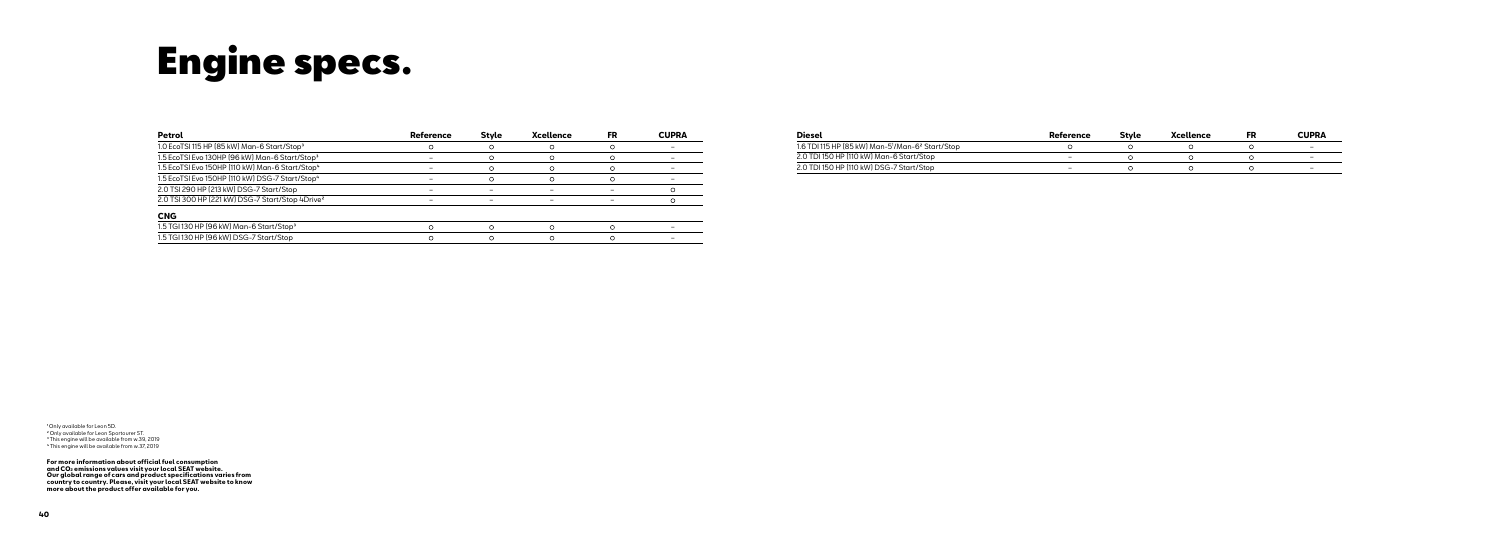| Petrol                                                       | Reference | <b>Style</b> | <b>Xcellence</b> | FR | <b>CUPRA</b> |
|--------------------------------------------------------------|-----------|--------------|------------------|----|--------------|
| 1.0 EcoTSI 115 HP (85 kW) Man-6 Start/Stop <sup>3</sup>      |           |              |                  |    |              |
| 1.5 EcoTSI Evo 130HP [96 kW] Man-6 Start/Stop <sup>3</sup>   |           |              |                  |    |              |
| 1.5 EcoTSI Evo 150HP [110 kW] Man-6 Start/Stop <sup>4</sup>  |           |              |                  |    |              |
| 1.5 EcoTSI Evo 150HP [110 kW] DSG-7 Start/Stop <sup>4</sup>  |           |              |                  |    |              |
| 2.0 TSI 290 HP (213 kW) DSG-7 Start/Stop                     |           |              |                  |    |              |
| 2.0 TSI 300 HP (221 kW) DSG-7 Start/Stop 4Drive <sup>2</sup> |           |              |                  |    |              |
| <b>CNG</b>                                                   |           |              |                  |    |              |
| 1.5 TGI 130 HP (96 kW) Man-6 Start/Stop <sup>3</sup>         |           |              |                  |    |              |
| 1.5 TGI 130 HP [96 kW] DSG-7 Start/Stop                      |           |              |                  |    |              |

<sup>1</sup> Only available for Leon 5D. ²Only available for Leon Sportourer ST. <sup>3</sup> This engine will be available from w.39, 2019 ⁴This engine will be available from w.37, 2019

For more information about official fuel consumption<br>and CO2 emissions values visit your local SEAT website.<br>Our global range of cars and product specifications varies from<br>country to country. Please, visit your local SEAT

## Engine specs.

| <b>Diesel</b>                                                            | Reference | Stvle | Xcellence | FR | CUPRA |
|--------------------------------------------------------------------------|-----------|-------|-----------|----|-------|
| 1.6 TDI 115 HP (85 kW) Man-5 <sup>1</sup> /Man-6 <sup>2</sup> Start/Stop |           |       |           |    | -     |
| 2.0 TDI 150 HP (110 kW) Man-6 Start/Stop                                 |           |       |           |    | -     |
| 2.0 TDI 150 HP (110 kW) DSG-7 Start/Stop                                 |           |       |           |    | -     |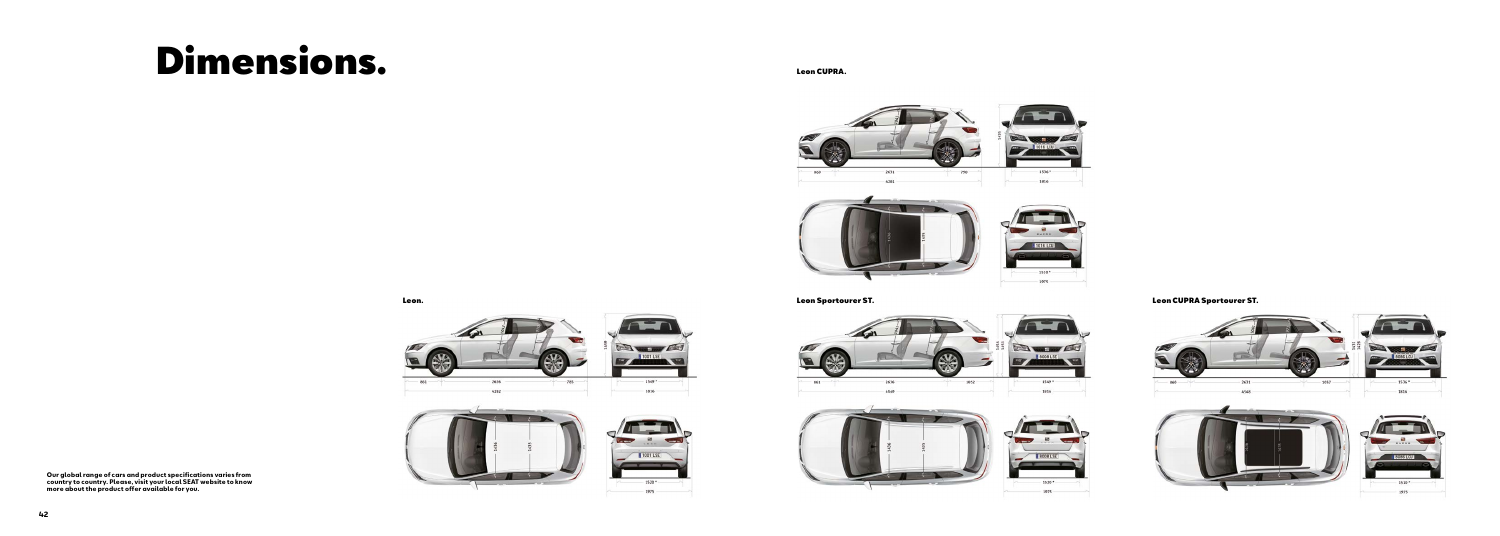Leon. Leon Sportourer ST.







Leon CUPRA.





Leon CUPRA Sportourer ST.







## Dimensions.